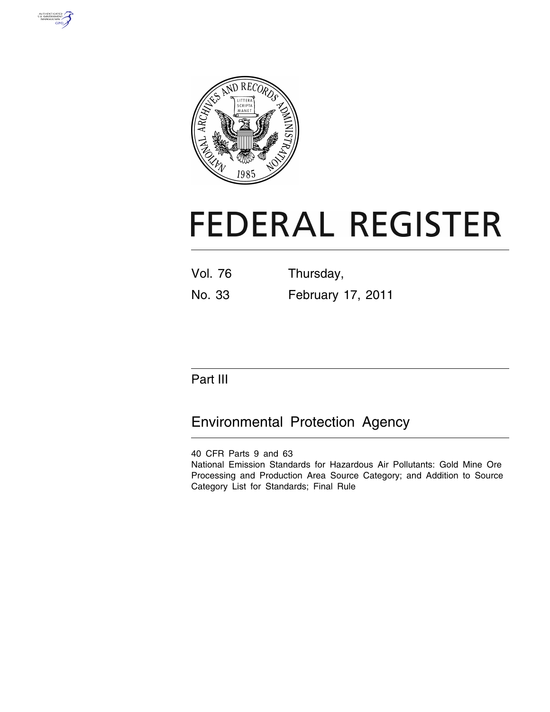



# **FEDERAL REGISTER**

Vol. 76 Thursday, No. 33 February 17, 2011

# Part III

# Environmental Protection Agency

40 CFR Parts 9 and 63

National Emission Standards for Hazardous Air Pollutants: Gold Mine Ore Processing and Production Area Source Category; and Addition to Source Category List for Standards; Final Rule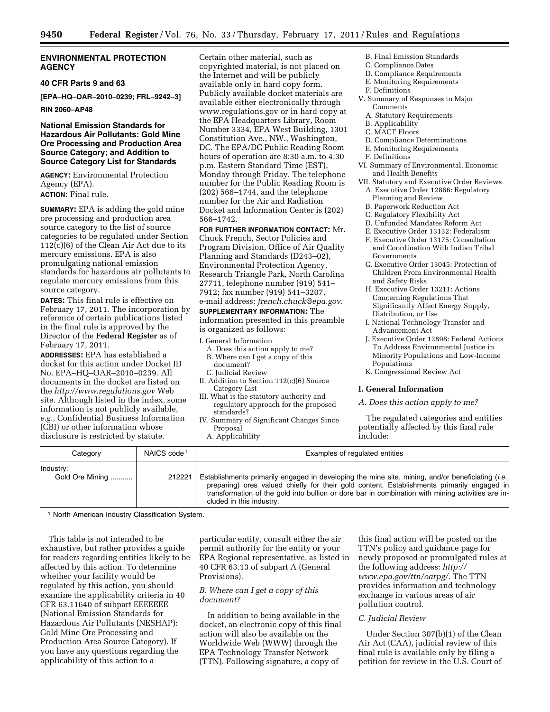# **ENVIRONMENTAL PROTECTION AGENCY**

#### **40 CFR Parts 9 and 63**

**[EPA–HQ–OAR–2010–0239; FRL–9242–3]** 

# **RIN 2060–AP48**

# **National Emission Standards for Hazardous Air Pollutants: Gold Mine Ore Processing and Production Area Source Category; and Addition to Source Category List for Standards**

**AGENCY:** Environmental Protection Agency (EPA). **ACTION:** Final rule.

**SUMMARY:** EPA is adding the gold mine ore processing and production area source category to the list of source categories to be regulated under Section 112(c)(6) of the Clean Air Act due to its mercury emissions. EPA is also promulgating national emission standards for hazardous air pollutants to regulate mercury emissions from this source category.

**DATES:** This final rule is effective on February 17, 2011. The incorporation by reference of certain publications listed in the final rule is approved by the Director of the **Federal Register** as of February 17, 2011.

**ADDRESSES:** EPA has established a docket for this action under Docket ID No. EPA–HQ–OAR–2010–0239. All documents in the docket are listed on the *<http://www.regulations.gov>*Web site. Although listed in the index, some information is not publicly available, *e.g.,* Confidential Business Information (CBI) or other information whose disclosure is restricted by statute.

Certain other material, such as copyrighted material, is not placed on the Internet and will be publicly available only in hard copy form. Publicly available docket materials are available either electronically through www.regulations.gov or in hard copy at the EPA Headquarters Library, Room Number 3334, EPA West Building, 1301 Constitution Ave., NW., Washington, DC. The EPA/DC Public Reading Room hours of operation are 8:30 a.m. to 4:30 p.m. Eastern Standard Time (EST), Monday through Friday. The telephone number for the Public Reading Room is (202) 566–1744, and the telephone number for the Air and Radiation Docket and Information Center is (202) 566–1742.

**FOR FURTHER INFORMATION CONTACT:** Mr. Chuck French, Sector Policies and Program Division, Office of Air Quality Planning and Standards (D243–02), Environmental Protection Agency, Research Triangle Park, North Carolina 27711, telephone number (919) 541– 7912; fax number (919) 541–3207, e-mail address: *[french.chuck@epa.gov.](mailto:french.chuck@epa.gov)* 

# **SUPPLEMENTARY INFORMATION:** The information presented in this preamble

is organized as follows:

- I. General Information
	- A. Does this action apply to me? B. Where can I get a copy of this document?
	- C. Judicial Review
- II. Addition to Section 112(c)(6) Source Category List
- III. What is the statutory authority and regulatory approach for the proposed standards?
- IV. Summary of Significant Changes Since Proposal
	- A. Applicability
- B. Final Emission Standards
- C. Compliance Dates
- D. Compliance Requirements
- E. Monitoring Requirements
- F. Definitions
- V. Summary of Responses to Major Comments
	- A. Statutory Requirements
	- B. Applicability
	- C. MACT Floors
	- D. Compliance Determinations
	- E. Monitoring Requirements
- F. Definitions
- VI. Summary of Environmental, Economic and Health Benefits
- VII. Statutory and Executive Order Reviews A. Executive Order 12866: Regulatory Planning and Review
	- B. Paperwork Reduction Act
	- C. Regulatory Flexibility Act
	- D. Unfunded Mandates Reform Act
	- E. Executive Order 13132: Federalism
	- F. Executive Order 13175: Consultation and Coordination With Indian Tribal Governments
	- G. Executive Order 13045: Protection of Children From Environmental Health and Safety Risks
	- H. Executive Order 13211: Actions Concerning Regulations That Significantly Affect Energy Supply, Distribution, or Use
	- I. National Technology Transfer and Advancement Act
	- J. Executive Order 12898: Federal Actions To Address Environmental Justice in Minority Populations and Low-Income Populations
	- K. Congressional Review Act

#### **I. General Information**

*A. Does this action apply to me?* 

The regulated categories and entities potentially affected by this final rule include:

| Category                     | NAICS code <sup>1</sup> | Examples of regulated entities                                                                                                                                                                                                                                                                                                   |
|------------------------------|-------------------------|----------------------------------------------------------------------------------------------------------------------------------------------------------------------------------------------------------------------------------------------------------------------------------------------------------------------------------|
|                              |                         |                                                                                                                                                                                                                                                                                                                                  |
| Industry:<br>Gold Ore Mining | 212221                  | Establishments primarily engaged in developing the mine site, mining, and/or beneficiating (i.e.,<br>preparing) ores valued chiefly for their gold content. Establishments primarily engaged in<br>transformation of the gold into bullion or dore bar in combination with mining activities are in-<br>cluded in this industry. |

1 North American Industry Classification System.

This table is not intended to be exhaustive, but rather provides a guide for readers regarding entities likely to be affected by this action. To determine whether your facility would be regulated by this action, you should examine the applicability criteria in 40 CFR 63.11640 of subpart EEEEEEE (National Emission Standards for Hazardous Air Pollutants (NESHAP): Gold Mine Ore Processing and Production Area Source Category). If you have any questions regarding the applicability of this action to a

particular entity, consult either the air permit authority for the entity or your EPA Regional representative, as listed in 40 CFR 63.13 of subpart A (General Provisions).

# *B. Where can I get a copy of this document?*

In addition to being available in the docket, an electronic copy of this final action will also be available on the Worldwide Web (WWW) through the EPA Technology Transfer Network (TTN). Following signature, a copy of

this final action will be posted on the TTN's policy and guidance page for newly proposed or promulgated rules at the following address: *[http://](http://www.epa.gov/ttn/oarpg/) [www.epa.gov/ttn/oarpg/.](http://www.epa.gov/ttn/oarpg/)* The TTN provides information and technology exchange in various areas of air pollution control.

# *C. Judicial Review*

Under Section 307(b)(1) of the Clean Air Act (CAA), judicial review of this final rule is available only by filing a petition for review in the U.S. Court of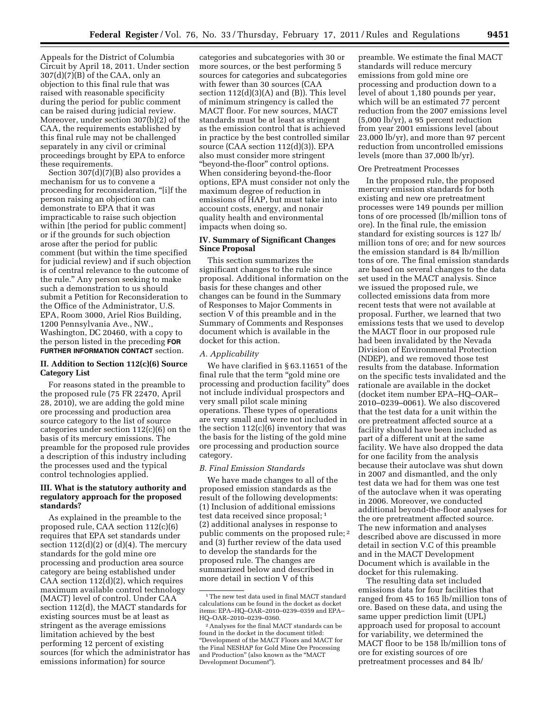Appeals for the District of Columbia Circuit by April 18, 2011. Under section 307(d)(7)(B) of the CAA, only an objection to this final rule that was raised with reasonable specificity during the period for public comment can be raised during judicial review. Moreover, under section 307(b)(2) of the CAA, the requirements established by this final rule may not be challenged separately in any civil or criminal proceedings brought by EPA to enforce these requirements.

Section 307(d)(7)(B) also provides a mechanism for us to convene a proceeding for reconsideration, ''[i]f the person raising an objection can demonstrate to EPA that it was impracticable to raise such objection within [the period for public comment] or if the grounds for such objection arose after the period for public comment (but within the time specified for judicial review) and if such objection is of central relevance to the outcome of the rule.'' Any person seeking to make such a demonstration to us should submit a Petition for Reconsideration to the Office of the Administrator, U.S. EPA, Room 3000, Ariel Rios Building, 1200 Pennsylvania Ave., NW., Washington, DC 20460, with a copy to the person listed in the preceding **FOR FURTHER INFORMATION CONTACT** section.

# **II. Addition to Section 112(c)(6) Source Category List**

For reasons stated in the preamble to the proposed rule (75 FR 22470, April 28, 2010), we are adding the gold mine ore processing and production area source category to the list of source categories under section 112(c)(6) on the basis of its mercury emissions. The preamble for the proposed rule provides a description of this industry including the processes used and the typical control technologies applied.

# **III. What is the statutory authority and regulatory approach for the proposed standards?**

As explained in the preamble to the proposed rule, CAA section 112(c)(6) requires that EPA set standards under section  $112(d)(2)$  or  $(d)(4)$ . The mercury standards for the gold mine ore processing and production area source category are being established under CAA section 112(d)(2), which requires maximum available control technology (MACT) level of control. Under CAA section 112(d), the MACT standards for existing sources must be at least as stringent as the average emissions limitation achieved by the best performing 12 percent of existing sources (for which the administrator has emissions information) for source

categories and subcategories with 30 or more sources, or the best performing 5 sources for categories and subcategories with fewer than 30 sources (CAA section 112(d)(3)(A) and (B)). This level of minimum stringency is called the MACT floor. For new sources, MACT standards must be at least as stringent as the emission control that is achieved in practice by the best controlled similar source (CAA section 112(d)(3)). EPA also must consider more stringent ''beyond-the-floor'' control options. When considering beyond-the-floor options, EPA must consider not only the maximum degree of reduction in emissions of HAP, but must take into account costs, energy, and nonair quality health and environmental impacts when doing so.

# **IV. Summary of Significant Changes Since Proposal**

This section summarizes the significant changes to the rule since proposal. Additional information on the basis for these changes and other changes can be found in the Summary of Responses to Major Comments in section V of this preamble and in the Summary of Comments and Responses document which is available in the docket for this action.

# *A. Applicability*

We have clarified in § 63.11651 of the final rule that the term ''gold mine ore processing and production facility'' does not include individual prospectors and very small pilot scale mining operations. These types of operations are very small and were not included in the section  $112(c)(6)$  inventory that was the basis for the listing of the gold mine ore processing and production source category.

# *B. Final Emission Standards*

We have made changes to all of the proposed emission standards as the result of the following developments: (1) Inclusion of additional emissions test data received since proposal; 1 (2) additional analyses in response to public comments on the proposed rule; 2 and (3) further review of the data used to develop the standards for the proposed rule. The changes are summarized below and described in more detail in section V of this

preamble. We estimate the final MACT standards will reduce mercury emissions from gold mine ore processing and production down to a level of about 1,180 pounds per year, which will be an estimated 77 percent reduction from the 2007 emissions level (5,000 lb/yr), a 95 percent reduction from year 2001 emissions level (about 23,000 lb/yr), and more than 97 percent reduction from uncontrolled emissions levels (more than 37,000 lb/yr).

#### Ore Pretreatment Processes

In the proposed rule, the proposed mercury emission standards for both existing and new ore pretreatment processes were 149 pounds per million tons of ore processed (lb/million tons of ore). In the final rule, the emission standard for existing sources is 127 lb/ million tons of ore; and for new sources the emission standard is 84 lb/million tons of ore. The final emission standards are based on several changes to the data set used in the MACT analysis. Since we issued the proposed rule, we collected emissions data from more recent tests that were not available at proposal. Further, we learned that two emissions tests that we used to develop the MACT floor in our proposed rule had been invalidated by the Nevada Division of Environmental Protection (NDEP), and we removed those test results from the database. Information on the specific tests invalidated and the rationale are available in the docket (docket item number EPA–HQ–OAR– 2010–0239–0061). We also discovered that the test data for a unit within the ore pretreatment affected source at a facility should have been included as part of a different unit at the same facility. We have also dropped the data for one facility from the analysis because their autoclave was shut down in 2007 and dismantled, and the only test data we had for them was one test of the autoclave when it was operating in 2006. Moreover, we conducted additional beyond-the-floor analyses for the ore pretreatment affected source. The new information and analyses described above are discussed in more detail in section V.C of this preamble and in the MACT Development Document which is available in the docket for this rulemaking.

The resulting data set included emissions data for four facilities that ranged from 45 to 165 lb/million tons of ore. Based on these data, and using the same upper prediction limit (UPL) approach used for proposal to account for variability, we determined the MACT floor to be 158 lb/million tons of ore for existing sources of ore pretreatment processes and 84 lb/

<sup>1</sup>The new test data used in final MACT standard calculations can be found in the docket as docket items: EPA–HQ–OAR–2010–0239–0359 and EPA– HQ–OAR–2010–0239–0360.

<sup>2</sup>Analyses for the final MACT standards can be found in the docket in the document titled: ''Development of the MACT Floors and MACT for the Final NESHAP for Gold Mine Ore Processing and Production'' (also known as the ''MACT Development Document'').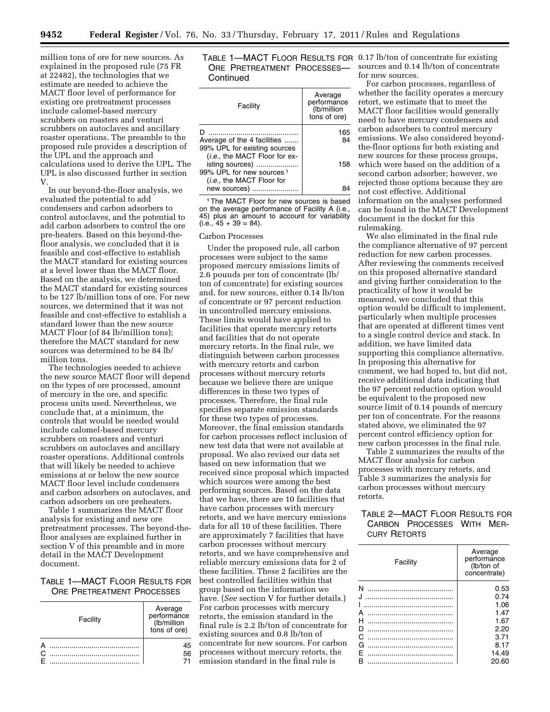million tons of ore for new sources. As explained in the proposed rule (75 FR at 22482), the technologies that we estimate are needed to achieve the MACT floor level of performance for existing ore pretreatment processes include calomel-based mercury scrubbers on roasters and venturi scrubbers on autoclaves and ancillary roaster operations. The preamble to the proposed rule provides a description of the UPL and the approach and calculations used to derive the UPL. The UPL is also discussed further in section V.

In our beyond-the-floor analysis, we evaluated the potential to add condensers and carbon adsorbers to control autoclaves, and the potential to add carbon adsorbers to control the ore pre-heaters. Based on this beyond-thefloor analysis, we concluded that it is feasible and cost-effective to establish the MACT standard for existing sources at a level lower than the MACT floor. Based on the analysis, we determined the MACT standard for existing sources to be 127 lb/million tons of ore. For new sources, we determined that it was not feasible and cost-effective to establish a standard lower than the new source MACT Floor (of 84 lb/million tons); therefore the MACT standard for new sources was determined to be 84 lb/ million tons.

The technologies needed to achieve the new source MACT floor will depend on the types of ore processed, amount of mercury in the ore, and specific process units used. Nevertheless, we conclude that, at a minimum, the controls that would be needed would include calomel-based mercury scrubbers on roasters and venturi scrubbers on autoclaves and ancillary roaster operations. Additional controls that will likely be needed to achieve emissions at or below the new source MACT floor level include condensers and carbon adsorbers on autoclaves, and carbon adsorbers on ore preheaters.

Table 1 summarizes the MACT floor analysis for existing and new ore pretreatment processes. The beyond-thefloor analyses are explained further in section V of this preamble and in more detail in the MACT Development document.

# TABLE 1—MACT FLOOR RESULTS FOR ORE PRETREATMENT PROCESSES

|        | Facility | Average<br>performance<br>(lb/million<br>tons of ore) |
|--------|----------|-------------------------------------------------------|
| $\cap$ |          | 45<br>56                                              |
|        |          |                                                       |

# TABLE 1—MACT FLOOR RESULTS FOR 0.17 lb/ton of concentrate for existing ORE PRETREATMENT PROCESSES— **Continued**

| Facility                                                    | Average<br>performance<br>(lb/million<br>tons of ore) |
|-------------------------------------------------------------|-------------------------------------------------------|
|                                                             | 165                                                   |
| Average of the 4 facilities<br>99% UPL for existing sources | 84                                                    |
| (i.e., the MACT Floor for ex-                               |                                                       |
| isting sources)<br>99% UPL for new sources <sup>1</sup>     | 158                                                   |
| ( <i>i.e.</i> , the MACT Floor for                          |                                                       |
| new sources)                                                |                                                       |

1The MACT Floor for new sources is based on the average performance of Facility A (i.e., 45) plus an amount to account for variability  $(i.e., 45 + 39 = 84)$ .

# Carbon Processes

Under the proposed rule, all carbon processes were subject to the same proposed mercury emissions limits of 2.6 pounds per ton of concentrate (lb/ ton of concentrate) for existing sources and, for new sources, either 0.14 lb/ton of concentrate or 97 percent reduction in uncontrolled mercury emissions. These limits would have applied to facilities that operate mercury retorts and facilities that do not operate mercury retorts. In the final rule, we distinguish between carbon processes with mercury retorts and carbon processes without mercury retorts because we believe there are unique differences in these two types of processes. Therefore, the final rule specifies separate emission standards for these two types of processes. Moreover, the final emission standards for carbon processes reflect inclusion of new test data that were not available at proposal. We also revised our data set based on new information that we received since proposal which impacted which sources were among the best performing sources. Based on the data that we have, there are 10 facilities that have carbon processes with mercury retorts, and we have mercury emissions data for all 10 of these facilities. There are approximately 7 facilities that have carbon processes without mercury retorts, and we have comprehensive and reliable mercury emissions data for 2 of these facilities. These 2 facilities are the best controlled facilities within that group based on the information we have. (*See* section V for further details.) For carbon processes with mercury retorts, the emission standard in the final rule is 2.2 lb/ton of concentrate for existing sources and 0.8 lb/ton of concentrate for new sources. For carbon processes without mercury retorts, the emission standard in the final rule is

sources and 0.14 lb/ton of concentrate for new sources.

For carbon processes, regardless of whether the facility operates a mercury retort, we estimate that to meet the MACT floor facilities would generally need to have mercury condensers and carbon adsorbers to control mercury emissions. We also considered beyondthe-floor options for both existing and new sources for these process groups, which were based on the addition of a second carbon adsorber; however, we rejected those options because they are not cost effective. Additional information on the analyses performed can be found in the MACT Development document in the docket for this rulemaking.

We also eliminated in the final rule the compliance alternative of 97 percent reduction for new carbon processes. After reviewing the comments received on this proposed alternative standard and giving further consideration to the practicality of how it would be measured, we concluded that this option would be difficult to implement, particularly when multiple processes that are operated at different times vent to a single control device and stack. In addition, we have limited data supporting this compliance alternative. In proposing this alternative for comment, we had hoped to, but did not, receive additional data indicating that the 97 percent reduction option would be equivalent to the proposed new source limit of 0.14 pounds of mercury per ton of concentrate. For the reasons stated above, we eliminated the 97 percent control efficiency option for new carbon processes in the final rule.

Table 2 summarizes the results of the MACT floor analysis for carbon processes with mercury retorts, and Table 3 summarizes the analysis for carbon processes without mercury retorts.

# TABLE 2—MACT FLOOR RESULTS FOR CARBON PROCESSES WITH MER-CURY RETORTS

| Facility | Average<br>performance<br>(lb/ton of<br>concentrate) |
|----------|------------------------------------------------------|
|          | 0.53                                                 |
|          | 0.74                                                 |
|          | 1.06                                                 |
| А        | 1.47                                                 |
|          | 1.67                                                 |
|          | 2.20                                                 |
| C        | 3.71                                                 |
| G        | 8.17                                                 |
|          | 14.49                                                |
|          | 20.60                                                |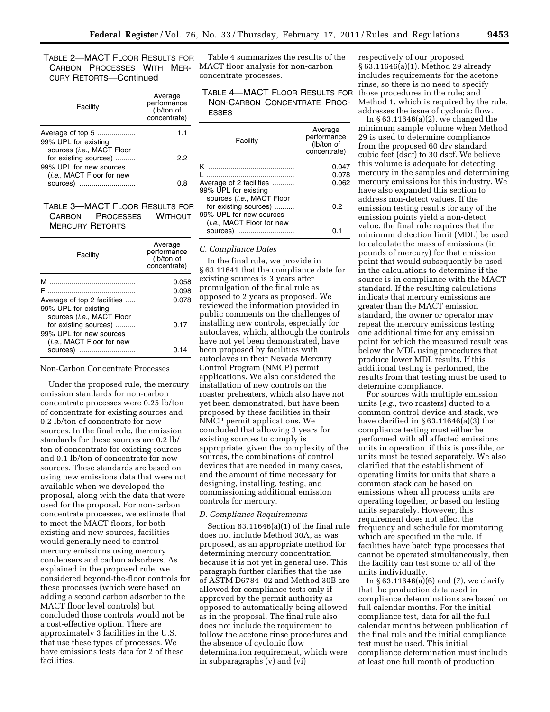# TABLE 2—MACT FLOOR RESULTS FOR CARBON PROCESSES WITH MER-CURY RETORTS—Continued

| Facility                                                                      | Average<br>performance<br>(lb/ton of<br>concentrate) |
|-------------------------------------------------------------------------------|------------------------------------------------------|
| Average of top 5<br>99% UPL for existing                                      | 1.1                                                  |
| sources (i.e., MACT Floor<br>for existing sources)<br>99% UPL for new sources | 22                                                   |
| ( <i>i.e.</i> , MACT Floor for new<br>sources)                                |                                                      |

# TABLE 3—MACT FLOOR RESULTS FOR CARBON PROCESSES WITHOUT MERCURY RETORTS

| Facility                                                                                  | Average<br>performance<br>(lb/ton of<br>concentrate) |
|-------------------------------------------------------------------------------------------|------------------------------------------------------|
| M<br>                                                                                     | 0.058<br>0.098                                       |
| Average of top 2 facilities<br>99% UPL for existing<br>sources ( <i>i.e.</i> , MACT Floor | 0.078                                                |
| for existing sources)<br>99% UPL for new sources<br>( <i>i.e.</i> , MACT Floor for new    | 0.17                                                 |
| sources)<br>                                                                              | በ 14                                                 |

#### Non-Carbon Concentrate Processes

Under the proposed rule, the mercury emission standards for non-carbon concentrate processes were 0.25 lb/ton of concentrate for existing sources and 0.2 lb/ton of concentrate for new sources. In the final rule, the emission standards for these sources are 0.2 lb/ ton of concentrate for existing sources and 0.1 lb/ton of concentrate for new sources. These standards are based on using new emissions data that were not available when we developed the proposal, along with the data that were used for the proposal. For non-carbon concentrate processes, we estimate that to meet the MACT floors, for both existing and new sources, facilities would generally need to control mercury emissions using mercury condensers and carbon adsorbers. As explained in the proposed rule, we considered beyond-the-floor controls for these processes (which were based on adding a second carbon adsorber to the MACT floor level controls) but concluded those controls would not be a cost-effective option. There are approximately 3 facilities in the U.S. that use these types of processes. We have emissions tests data for 2 of these facilities.

Table 4 summarizes the results of the MACT floor analysis for non-carbon concentrate processes.

TABLE 4—MACT FLOOR RESULTS FOR NON-CARBON CONCENTRATE PROC-ESSES

| Facility                           | Average<br>performance<br>(lb/ton of<br>concentrate) |
|------------------------------------|------------------------------------------------------|
| ĸ                                  | 0.047                                                |
|                                    | 0.078                                                |
| Average of 2 facilities            | 0.062                                                |
| 99% UPL for existing               |                                                      |
| sources ( <i>i.e.</i> , MACT Floor |                                                      |
| for existing sources)              | 0.2                                                  |
| 99% UPL for new sources            |                                                      |
| (i.e., MACT Floor for new          |                                                      |
| sources)                           |                                                      |

## *C. Compliance Dates*

In the final rule, we provide in § 63.11641 that the compliance date for existing sources is 3 years after promulgation of the final rule as opposed to 2 years as proposed. We reviewed the information provided in public comments on the challenges of installing new controls, especially for autoclaves, which, although the controls have not yet been demonstrated, have been proposed by facilities with autoclaves in their Nevada Mercury Control Program (NMCP) permit applications. We also considered the installation of new controls on the roaster preheaters, which also have not yet been demonstrated, but have been proposed by these facilities in their NMCP permit applications. We concluded that allowing 3 years for existing sources to comply is appropriate, given the complexity of the sources, the combinations of control devices that are needed in many cases, and the amount of time necessary for designing, installing, testing, and commissioning additional emission controls for mercury.

# *D. Compliance Requirements*

Section 63.11646(a)(1) of the final rule does not include Method 30A, as was proposed, as an appropriate method for determining mercury concentration because it is not yet in general use. This paragraph further clarifies that the use of ASTM D6784–02 and Method 30B are allowed for compliance tests only if approved by the permit authority as opposed to automatically being allowed as in the proposal. The final rule also does not include the requirement to follow the acetone rinse procedures and the absence of cyclonic flow determination requirement, which were in subparagraphs (v) and (vi)

respectively of our proposed § 63.11646(a)(1). Method 29 already includes requirements for the acetone rinse, so there is no need to specify those procedures in the rule; and Method 1, which is required by the rule, addresses the issue of cyclonic flow.

In § 63.11646(a)(2), we changed the minimum sample volume when Method 29 is used to determine compliance from the proposed 60 dry standard cubic feet (dscf) to 30 dscf. We believe this volume is adequate for detecting mercury in the samples and determining mercury emissions for this industry. We have also expanded this section to address non-detect values. If the emission testing results for any of the emission points yield a non-detect value, the final rule requires that the minimum detection limit (MDL) be used to calculate the mass of emissions (in pounds of mercury) for that emission point that would subsequently be used in the calculations to determine if the source is in compliance with the MACT standard. If the resulting calculations indicate that mercury emissions are greater than the MACT emission standard, the owner or operator may repeat the mercury emissions testing one additional time for any emission point for which the measured result was below the MDL using procedures that produce lower MDL results. If this additional testing is performed, the results from that testing must be used to determine compliance.

For sources with multiple emission units (*e.g.,* two roasters) ducted to a common control device and stack, we have clarified in § 63.11646(a)(3) that compliance testing must either be performed with all affected emissions units in operation, if this is possible, or units must be tested separately. We also clarified that the establishment of operating limits for units that share a common stack can be based on emissions when all process units are operating together, or based on testing units separately. However, this requirement does not affect the frequency and schedule for monitoring, which are specified in the rule. If facilities have batch type processes that cannot be operated simultaneously, then the facility can test some or all of the units individually.

In  $\S 63.11646(a)(6)$  and (7), we clarify that the production data used in compliance determinations are based on full calendar months. For the initial compliance test, data for all the full calendar months between publication of the final rule and the initial compliance test must be used. This initial compliance determination must include at least one full month of production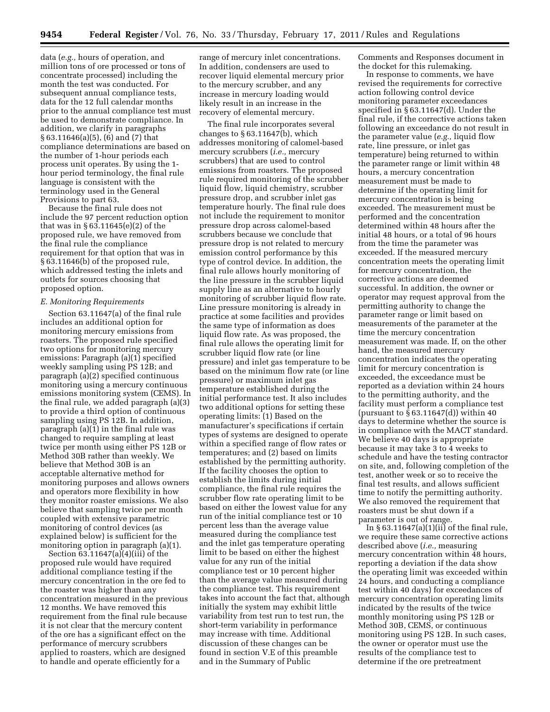data (*e.g.,* hours of operation, and million tons of ore processed or tons of concentrate processed) including the month the test was conducted. For subsequent annual compliance tests, data for the 12 full calendar months prior to the annual compliance test must be used to demonstrate compliance. In addition, we clarify in paragraphs § 63.11646(a)(5), (6) and (7) that compliance determinations are based on the number of 1-hour periods each process unit operates. By using the 1 hour period terminology, the final rule language is consistent with the terminology used in the General Provisions to part 63.

Because the final rule does not include the 97 percent reduction option that was in § 63.11645(e)(2) of the proposed rule, we have removed from the final rule the compliance requirement for that option that was in § 63.11646(b) of the proposed rule, which addressed testing the inlets and outlets for sources choosing that proposed option.

# *E. Monitoring Requirements*

Section 63.11647(a) of the final rule includes an additional option for monitoring mercury emissions from roasters. The proposed rule specified two options for monitoring mercury emissions: Paragraph (a)(1) specified weekly sampling using PS 12B; and paragraph (a)(2) specified continuous monitoring using a mercury continuous emissions monitoring system (CEMS). In the final rule, we added paragraph (a)(3) to provide a third option of continuous sampling using PS 12B. In addition, paragraph (a)(1) in the final rule was changed to require sampling at least twice per month using either PS 12B or Method 30B rather than weekly. We believe that Method 30B is an acceptable alternative method for monitoring purposes and allows owners and operators more flexibility in how they monitor roaster emissions. We also believe that sampling twice per month coupled with extensive parametric monitoring of control devices (as explained below) is sufficient for the monitoring option in paragraph (a)(1).

Section  $63.11647(a)(i)$ (iii) of the proposed rule would have required additional compliance testing if the mercury concentration in the ore fed to the roaster was higher than any concentration measured in the previous 12 months. We have removed this requirement from the final rule because it is not clear that the mercury content of the ore has a significant effect on the performance of mercury scrubbers applied to roasters, which are designed to handle and operate efficiently for a

range of mercury inlet concentrations. In addition, condensers are used to recover liquid elemental mercury prior to the mercury scrubber, and any increase in mercury loading would likely result in an increase in the recovery of elemental mercury.

The final rule incorporates several changes to  $\S 63.11647(b)$ , which addresses monitoring of calomel-based mercury scrubbers (*i.e.,* mercury scrubbers) that are used to control emissions from roasters. The proposed rule required monitoring of the scrubber liquid flow, liquid chemistry, scrubber pressure drop, and scrubber inlet gas temperature hourly. The final rule does not include the requirement to monitor pressure drop across calomel-based scrubbers because we conclude that pressure drop is not related to mercury emission control performance by this type of control device. In addition, the final rule allows hourly monitoring of the line pressure in the scrubber liquid supply line as an alternative to hourly monitoring of scrubber liquid flow rate. Line pressure monitoring is already in practice at some facilities and provides the same type of information as does liquid flow rate. As was proposed, the final rule allows the operating limit for scrubber liquid flow rate (or line pressure) and inlet gas temperature to be based on the minimum flow rate (or line pressure) or maximum inlet gas temperature established during the initial performance test. It also includes two additional options for setting these operating limits: (1) Based on the manufacturer's specifications if certain types of systems are designed to operate within a specified range of flow rates or temperatures; and (2) based on limits established by the permitting authority. If the facility chooses the option to establish the limits during initial compliance, the final rule requires the scrubber flow rate operating limit to be based on either the lowest value for any run of the initial compliance test or 10 percent less than the average value measured during the compliance test and the inlet gas temperature operating limit to be based on either the highest value for any run of the initial compliance test or 10 percent higher than the average value measured during the compliance test. This requirement takes into account the fact that, although initially the system may exhibit little variability from test run to test run, the short-term variability in performance may increase with time. Additional discussion of these changes can be found in section V.E of this preamble and in the Summary of Public

Comments and Responses document in the docket for this rulemaking.

In response to comments, we have revised the requirements for corrective action following control device monitoring parameter exceedances specified in § 63.11647(d). Under the final rule, if the corrective actions taken following an exceedance do not result in the parameter value (*e.g.,* liquid flow rate, line pressure, or inlet gas temperature) being returned to within the parameter range or limit within 48 hours, a mercury concentration measurement must be made to determine if the operating limit for mercury concentration is being exceeded. The measurement must be performed and the concentration determined within 48 hours after the initial 48 hours, or a total of 96 hours from the time the parameter was exceeded. If the measured mercury concentration meets the operating limit for mercury concentration, the corrective actions are deemed successful. In addition, the owner or operator may request approval from the permitting authority to change the parameter range or limit based on measurements of the parameter at the time the mercury concentration measurement was made. If, on the other hand, the measured mercury concentration indicates the operating limit for mercury concentration is exceeded, the exceedance must be reported as a deviation within 24 hours to the permitting authority, and the facility must perform a compliance test (pursuant to  $\S 63.11647(d)$ ) within 40 days to determine whether the source is in compliance with the MACT standard. We believe 40 days is appropriate because it may take 3 to 4 weeks to schedule and have the testing contractor on site, and, following completion of the test, another week or so to receive the final test results, and allows sufficient time to notify the permitting authority. We also removed the requirement that roasters must be shut down if a parameter is out of range.

In  $\S 63.11647(a)(1)(ii)$  of the final rule, we require these same corrective actions described above (*i.e.,* measuring mercury concentration within 48 hours, reporting a deviation if the data show the operating limit was exceeded within 24 hours, and conducting a compliance test within 40 days) for exceedances of mercury concentration operating limits indicated by the results of the twice monthly monitoring using PS 12B or Method 30B, CEMS, or continuous monitoring using PS 12B. In such cases, the owner or operator must use the results of the compliance test to determine if the ore pretreatment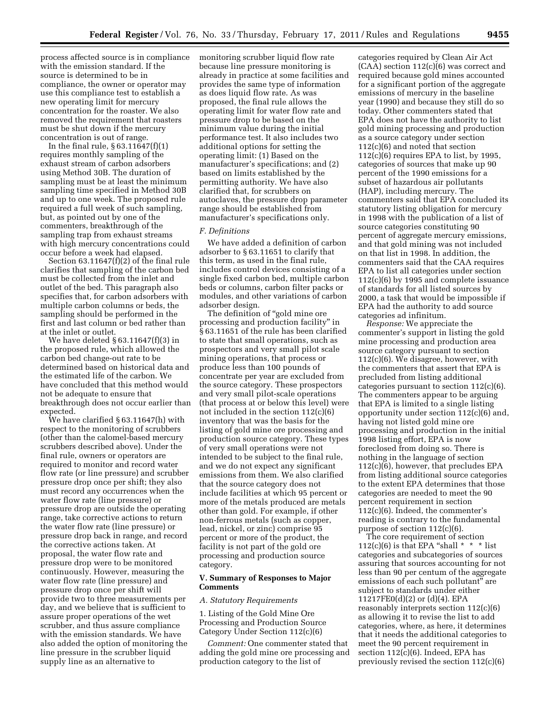process affected source is in compliance with the emission standard. If the source is determined to be in compliance, the owner or operator may use this compliance test to establish a new operating limit for mercury concentration for the roaster. We also removed the requirement that roasters must be shut down if the mercury concentration is out of range.

In the final rule,  $\S 63.11647(f)(1)$ requires monthly sampling of the exhaust stream of carbon adsorbers using Method 30B. The duration of sampling must be at least the minimum sampling time specified in Method 30B and up to one week. The proposed rule required a full week of such sampling, but, as pointed out by one of the commenters, breakthrough of the sampling trap from exhaust streams with high mercury concentrations could occur before a week had elapsed.

Section 63.11647(f)(2) of the final rule clarifies that sampling of the carbon bed must be collected from the inlet and outlet of the bed. This paragraph also specifies that, for carbon adsorbers with multiple carbon columns or beds, the sampling should be performed in the first and last column or bed rather than at the inlet or outlet.

We have deleted § 63.11647(f)(3) in the proposed rule, which allowed the carbon bed change-out rate to be determined based on historical data and the estimated life of the carbon. We have concluded that this method would not be adequate to ensure that breakthrough does not occur earlier than expected.

We have clarified § 63.11647(h) with respect to the monitoring of scrubbers (other than the calomel-based mercury scrubbers described above). Under the final rule, owners or operators are required to monitor and record water flow rate (or line pressure) and scrubber pressure drop once per shift; they also must record any occurrences when the water flow rate (line pressure) or pressure drop are outside the operating range, take corrective actions to return the water flow rate (line pressure) or pressure drop back in range, and record the corrective actions taken. At proposal, the water flow rate and pressure drop were to be monitored continuously. However, measuring the water flow rate (line pressure) and pressure drop once per shift will provide two to three measurements per day, and we believe that is sufficient to assure proper operations of the wet scrubber, and thus assure compliance with the emission standards. We have also added the option of monitoring the line pressure in the scrubber liquid supply line as an alternative to

monitoring scrubber liquid flow rate because line pressure monitoring is already in practice at some facilities and provides the same type of information as does liquid flow rate. As was proposed, the final rule allows the operating limit for water flow rate and pressure drop to be based on the minimum value during the initial performance test. It also includes two additional options for setting the operating limit: (1) Based on the manufacturer's specifications; and (2) based on limits established by the permitting authority. We have also clarified that, for scrubbers on autoclaves, the pressure drop parameter range should be established from manufacturer's specifications only.

#### *F. Definitions*

We have added a definition of carbon adsorber to § 63.11651 to clarify that this term, as used in the final rule, includes control devices consisting of a single fixed carbon bed, multiple carbon beds or columns, carbon filter packs or modules, and other variations of carbon adsorber design.

The definition of "gold mine ore" processing and production facility'' in § 63.11651 of the rule has been clarified to state that small operations, such as prospectors and very small pilot scale mining operations, that process or produce less than 100 pounds of concentrate per year are excluded from the source category. These prospectors and very small pilot-scale operations (that process at or below this level) were not included in the section 112(c)(6) inventory that was the basis for the listing of gold mine ore processing and production source category. These types of very small operations were not intended to be subject to the final rule, and we do not expect any significant emissions from them. We also clarified that the source category does not include facilities at which 95 percent or more of the metals produced are metals other than gold. For example, if other non-ferrous metals (such as copper, lead, nickel, or zinc) comprise 95 percent or more of the product, the facility is not part of the gold ore processing and production source category.

# **V. Summary of Responses to Major Comments**

# *A. Statutory Requirements*

1. Listing of the Gold Mine Ore Processing and Production Source Category Under Section 112(c)(6)

*Comment:* One commenter stated that adding the gold mine ore processing and production category to the list of

categories required by Clean Air Act (CAA) section 112(c)(6) was correct and required because gold mines accounted for a significant portion of the aggregate emissions of mercury in the baseline year (1990) and because they still do so today. Other commenters stated that EPA does not have the authority to list gold mining processing and production as a source category under section 112(c)(6) and noted that section  $112(c)(6)$  requires EPA to list, by 1995, categories of sources that make up 90 percent of the 1990 emissions for a subset of hazardous air pollutants (HAP), including mercury. The commenters said that EPA concluded its statutory listing obligation for mercury in 1998 with the publication of a list of source categories constituting 90 percent of aggregate mercury emissions, and that gold mining was not included on that list in 1998. In addition, the commenters said that the CAA requires EPA to list all categories under section 112(c)(6) by 1995 and complete issuance of standards for all listed sources by 2000, a task that would be impossible if EPA had the authority to add source categories ad infinitum.

*Response:* We appreciate the commenter's support in listing the gold mine processing and production area source category pursuant to section 112(c)(6). We disagree, however, with the commenters that assert that EPA is precluded from listing additional categories pursuant to section 112(c)(6). The commenters appear to be arguing that EPA is limited to a single listing opportunity under section 112(c)(6) and, having not listed gold mine ore processing and production in the initial 1998 listing effort, EPA is now foreclosed from doing so. There is nothing in the language of section 112(c)(6), however, that precludes EPA from listing additional source categories to the extent EPA determines that those categories are needed to meet the 90 percent requirement in section 112(c)(6). Indeed, the commenter's reading is contrary to the fundamental purpose of section 112(c)(6).

The core requirement of section 112(c)(6) is that EPA "shall  $* * *$  list categories and subcategories of sources assuring that sources accounting for not less than 90 per centum of the aggregate emissions of each such pollutant'' are subject to standards under either 11217FE0(d)(2) or (d)(4). EPA reasonably interprets section 112(c)(6) as allowing it to revise the list to add categories, where, as here, it determines that it needs the additional categories to meet the 90 percent requirement in section 112(c)(6). Indeed, EPA has previously revised the section 112(c)(6)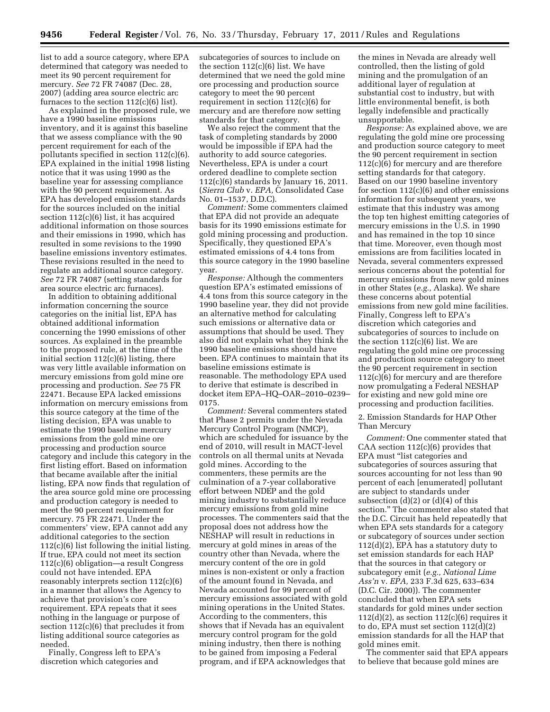list to add a source category, where EPA determined that category was needed to meet its 90 percent requirement for mercury. *See* 72 FR 74087 (Dec. 28, 2007) (adding area source electric arc furnaces to the section  $112(c)(6)$  list).

As explained in the proposed rule, we have a 1990 baseline emissions inventory, and it is against this baseline that we assess compliance with the 90 percent requirement for each of the pollutants specified in section 112(c)(6). EPA explained in the initial 1998 listing notice that it was using 1990 as the baseline year for assessing compliance with the 90 percent requirement. As EPA has developed emission standards for the sources included on the initial section 112(c)(6) list, it has acquired additional information on those sources and their emissions in 1990, which has resulted in some revisions to the 1990 baseline emissions inventory estimates. These revisions resulted in the need to regulate an additional source category. *See* 72 FR 74087 (setting standards for area source electric arc furnaces).

In addition to obtaining additional information concerning the source categories on the initial list, EPA has obtained additional information concerning the 1990 emissions of other sources. As explained in the preamble to the proposed rule, at the time of the initial section  $112(c)(6)$  listing, there was very little available information on mercury emissions from gold mine ore processing and production. *See* 75 FR 22471. Because EPA lacked emissions information on mercury emissions from this source category at the time of the listing decision, EPA was unable to estimate the 1990 baseline mercury emissions from the gold mine ore processing and production source category and include this category in the first listing effort. Based on information that became available after the initial listing, EPA now finds that regulation of the area source gold mine ore processing and production category is needed to meet the 90 percent requirement for mercury. 75 FR 22471. Under the commenters' view, EPA cannot add any additional categories to the section 112(c)(6) list following the initial listing. If true, EPA could not meet its section 112(c)(6) obligation—a result Congress could not have intended. EPA reasonably interprets section 112(c)(6) in a manner that allows the Agency to achieve that provision's core requirement. EPA repeats that it sees nothing in the language or purpose of section 112(c)(6) that precludes it from listing additional source categories as needed.

Finally, Congress left to EPA's discretion which categories and

subcategories of sources to include on the section  $112(c)(6)$  list. We have determined that we need the gold mine ore processing and production source category to meet the 90 percent requirement in section  $112(c)(6)$  for mercury and are therefore now setting standards for that category.

We also reject the comment that the task of completing standards by 2000 would be impossible if EPA had the authority to add source categories. Nevertheless, EPA is under a court ordered deadline to complete section 112(c)(6) standards by January 16, 2011. (*Sierra Club* v. *EPA,* Consolidated Case No. 01–1537, D.D.C).

*Comment:* Some commenters claimed that EPA did not provide an adequate basis for its 1990 emissions estimate for gold mining processing and production. Specifically, they questioned EPA's estimated emissions of 4.4 tons from this source category in the 1990 baseline year.

*Response:* Although the commenters question EPA's estimated emissions of 4.4 tons from this source category in the 1990 baseline year, they did not provide an alternative method for calculating such emissions or alternative data or assumptions that should be used. They also did not explain what they think the 1990 baseline emissions should have been. EPA continues to maintain that its baseline emissions estimate is reasonable. The methodology EPA used to derive that estimate is described in docket item EPA–HQ–OAR–2010–0239– 0175.

*Comment:* Several commenters stated that Phase 2 permits under the Nevada Mercury Control Program (NMCP), which are scheduled for issuance by the end of 2010, will result in MACT-level controls on all thermal units at Nevada gold mines. According to the commenters, these permits are the culmination of a 7-year collaborative effort between NDEP and the gold mining industry to substantially reduce mercury emissions from gold mine processes. The commenters said that the proposal does not address how the NESHAP will result in reductions in mercury at gold mines in areas of the country other than Nevada, where the mercury content of the ore in gold mines is non-existent or only a fraction of the amount found in Nevada, and Nevada accounted for 99 percent of mercury emissions associated with gold mining operations in the United States. According to the commenters, this shows that if Nevada has an equivalent mercury control program for the gold mining industry, then there is nothing to be gained from imposing a Federal program, and if EPA acknowledges that

the mines in Nevada are already well controlled, then the listing of gold mining and the promulgation of an additional layer of regulation at substantial cost to industry, but with little environmental benefit, is both legally indefensible and practically unsupportable.

*Response:* As explained above, we are regulating the gold mine ore processing and production source category to meet the 90 percent requirement in section 112(c)(6) for mercury and are therefore setting standards for that category. Based on our 1990 baseline inventory for section 112(c)(6) and other emissions information for subsequent years, we estimate that this industry was among the top ten highest emitting categories of mercury emissions in the U.S. in 1990 and has remained in the top 10 since that time. Moreover, even though most emissions are from facilities located in Nevada, several commenters expressed serious concerns about the potential for mercury emissions from new gold mines in other States (*e.g.,* Alaska). We share these concerns about potential emissions from new gold mine facilities. Finally, Congress left to EPA's discretion which categories and subcategories of sources to include on the section 112(c)(6) list. We are regulating the gold mine ore processing and production source category to meet the 90 percent requirement in section 112(c)(6) for mercury and are therefore now promulgating a Federal NESHAP for existing and new gold mine ore processing and production facilities.

2. Emission Standards for HAP Other Than Mercury

*Comment:* One commenter stated that CAA section 112(c)(6) provides that EPA must "list categories and subcategories of sources assuring that sources accounting for not less than 90 percent of each [enumerated] pollutant are subject to standards under subsection  $(d)(2)$  or  $(d)(4)$  of this section.'' The commenter also stated that the D.C. Circuit has held repeatedly that when EPA sets standards for a category or subcategory of sources under section  $112(d)(2)$ , EPA has a statutory duty to set emission standards for each HAP that the sources in that category or subcategory emit (*e.g., National Lime Ass'n* v. *EPA,* 233 F.3d 625, 633–634 (D.C. Cir. 2000)). The commenter concluded that when EPA sets standards for gold mines under section  $112(d)(2)$ , as section  $112(c)(6)$  requires it to do, EPA must set section 112(d)(2) emission standards for all the HAP that gold mines emit.

The commenter said that EPA appears to believe that because gold mines are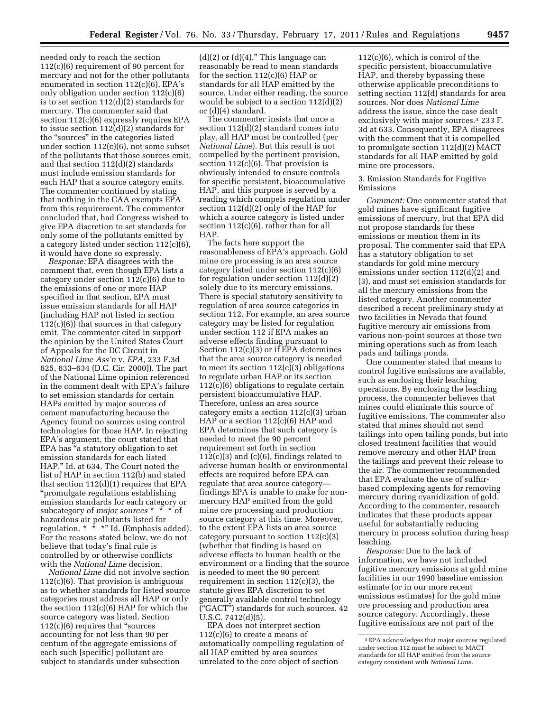needed only to reach the section 112(c)(6) requirement of 90 percent for mercury and not for the other pollutants enumerated in section 112(c)(6), EPA's only obligation under section 112(c)(6) is to set section 112(d)(2) standards for mercury. The commenter said that section 112(c)(6) expressly requires EPA to issue section 112(d)(2) standards for the ''sources'' in the categories listed under section 112(c)(6), not some subset of the pollutants that those sources emit, and that section 112(d)(2) standards must include emission standards for each HAP that a source category emits. The commenter continued by stating that nothing in the CAA exempts EPA from this requirement. The commenter concluded that, had Congress wished to give EPA discretion to set standards for only some of the pollutants emitted by a category listed under section 112(c)(6), it would have done so expressly.

*Response:* EPA disagrees with the comment that, even though EPA lists a category under section 112(c)(6) due to the emissions of one or more HAP specified in that section, EPA must issue emission standards for all HAP (including HAP not listed in section  $112(c)(6)$ ) that sources in that category emit. The commenter cited in support the opinion by the United States Court of Appeals for the DC Circuit in *National Lime Ass'n* v. *EPA,* 233 F.3d 625, 633–634 (D.C. Cir. 2000)). The part of the National Lime opinion referenced in the comment dealt with EPA's failure to set emission standards for certain HAPs emitted by major sources of cement manufacturing because the Agency found no sources using control technologies for those HAP. In rejecting EPA's argument, the court stated that EPA has ''a statutory obligation to set emission standards for each listed HAP.'' Id. at 634. The Court noted the list of HAP in section 112(b) and stated that section 112(d)(1) requires that EPA ''promulgate regulations establishing emission standards for each category or subcategory of *major sources* \* \* \* of hazardous air pollutants listed for regulation. \* \* \*'' Id. (Emphasis added). For the reasons stated below, we do not believe that today's final rule is controlled by or otherwise conflicts with the *National Lime* decision.

*National Lime* did not involve section 112(c)(6). That provision is ambiguous as to whether standards for listed source categories must address all HAP or only the section 112(c)(6) HAP for which the source category was listed. Section 112(c)(6) requires that ''sources accounting for not less than 90 per centum of the aggregate emissions of each such [specific] pollutant are subject to standards under subsection

 $(d)(2)$  or  $(d)(4)$ ." This language can reasonably be read to mean standards for the section 112(c)(6) HAP or standards for all HAP emitted by the source. Under either reading, the source would be subject to a section 112(d)(2) or (d)(4) standard.

The commenter insists that once a section 112(d)(2) standard comes into play, all HAP must be controlled (per *National Lime*). But this result is not compelled by the pertinent provision, section  $112(c)(6)$ . That provision is obviously intended to ensure controls for specific persistent, bioaccumulative HAP, and this purpose is served by a reading which compels regulation under section 112(d)(2) only of the HAP for which a source category is listed under section 112(c)(6), rather than for all HAP.

The facts here support the reasonableness of EPA's approach. Gold mine ore processing is an area source category listed under section 112(c)(6) for regulation under section 112(d)(2) solely due to its mercury emissions. There is special statutory sensitivity to regulation of area source categories in section 112. For example, an area source category may be listed for regulation under section 112 if EPA makes an adverse effects finding pursuant to Section 112(c)(3) or if EPA determines that the area source category is needed to meet its section 112(c)(3) obligations to regulate urban HAP or its section 112(c)(6) obligations to regulate certain persistent bioaccumulative HAP. Therefore, unless an area source category emits a section 112(c)(3) urban HAP or a section 112(c)(6) HAP and EPA determines that such category is needed to meet the 90 percent requirement set forth in section  $112(c)(3)$  and  $(c)(6)$ , findings related to adverse human health or environmental effects are required before EPA can regulate that area source category findings EPA is unable to make for nonmercury HAP emitted from the gold mine ore processing and production source category at this time. Moreover, to the extent EPA lists an area source category pursuant to section 112(c)(3) (whether that finding is based on adverse effects to human health or the environment or a finding that the source is needed to meet the 90 percent requirement in section 112(c)(3), the statute gives EPA discretion to set generally available control technology (''GACT'') standards for such sources. 42 U.S.C. 7412(d)(5).

EPA does not interpret section 112(c)(6) to create a means of automatically compelling regulation of all HAP emitted by area sources unrelated to the core object of section

112(c)(6), which is control of the specific persistent, bioaccumulative HAP, and thereby bypassing these otherwise applicable preconditions to setting section 112(d) standards for area sources. Nor does *National Lime*  address the issue, since the case dealt exclusively with major sources.3 233 F. 3d at 633. Consequently, EPA disagrees with the comment that it is compelled to promulgate section 112(d)(2) MACT standards for all HAP emitted by gold mine ore processors.

# 3. Emission Standards for Fugitive Emissions

*Comment:* One commenter stated that gold mines have significant fugitive emissions of mercury, but that EPA did not propose standards for these emissions or mention them in its proposal. The commenter said that EPA has a statutory obligation to set standards for gold mine mercury emissions under section 112(d)(2) and (3), and must set emission standards for all the mercury emissions from the listed category. Another commenter described a recent preliminary study at two facilities in Nevada that found fugitive mercury air emissions from various non-point sources at those two mining operations such as from leach pads and tailings ponds.

One commenter stated that means to control fugitive emissions are available, such as enclosing their leaching operations. By enclosing the leaching process, the commenter believes that mines could eliminate this source of fugitive emissions. The commenter also stated that mines should not send tailings into open tailing ponds, but into closed treatment facilities that would remove mercury and other HAP from the tailings and prevent their release to the air. The commenter recommended that EPA evaluate the use of sulfurbased complexing agents for removing mercury during cyanidization of gold. According to the commenter, research indicates that these products appear useful for substantially reducing mercury in process solution during heap leaching.

*Response:* Due to the lack of information, we have not included fugitive mercury emissions at gold mine facilities in our 1990 baseline emission estimate (or in our more recent emissions estimates) for the gold mine ore processing and production area source category. Accordingly, these fugitive emissions are not part of the

<sup>3</sup>EPA acknowledges that major sources regulated under section 112 must be subject to MACT standards for all HAP emitted from the source category consistent with *National Lime.*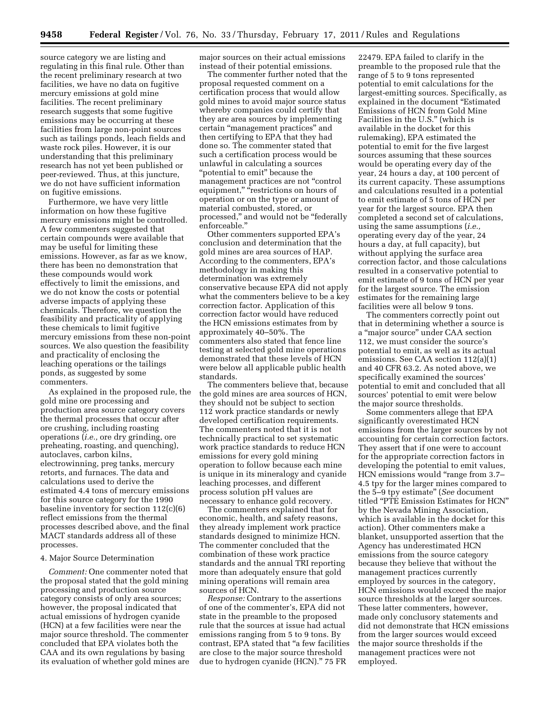source category we are listing and regulating in this final rule. Other than the recent preliminary research at two facilities, we have no data on fugitive mercury emissions at gold mine facilities. The recent preliminary research suggests that some fugitive emissions may be occurring at these facilities from large non-point sources such as tailings ponds, leach fields and waste rock piles. However, it is our understanding that this preliminary research has not yet been published or peer-reviewed. Thus, at this juncture, we do not have sufficient information on fugitive emissions.

Furthermore, we have very little information on how these fugitive mercury emissions might be controlled. A few commenters suggested that certain compounds were available that may be useful for limiting these emissions. However, as far as we know, there has been no demonstration that these compounds would work effectively to limit the emissions, and we do not know the costs or potential adverse impacts of applying these chemicals. Therefore, we question the feasibility and practicality of applying these chemicals to limit fugitive mercury emissions from these non-point sources. We also question the feasibility and practicality of enclosing the leaching operations or the tailings ponds, as suggested by some commenters.

As explained in the proposed rule, the gold mine ore processing and production area source category covers the thermal processes that occur after ore crushing, including roasting operations (*i.e.,* ore dry grinding, ore preheating, roasting, and quenching), autoclaves, carbon kilns, electrowinning, preg tanks, mercury retorts, and furnaces. The data and calculations used to derive the estimated 4.4 tons of mercury emissions for this source category for the 1990 baseline inventory for section 112(c)(6) reflect emissions from the thermal processes described above, and the final MACT standards address all of these processes.

# 4. Major Source Determination

*Comment:* One commenter noted that the proposal stated that the gold mining processing and production source category consists of only area sources; however, the proposal indicated that actual emissions of hydrogen cyanide (HCN) at a few facilities were near the major source threshold. The commenter concluded that EPA violates both the CAA and its own regulations by basing its evaluation of whether gold mines are major sources on their actual emissions instead of their potential emissions.

The commenter further noted that the proposal requested comment on a certification process that would allow gold mines to avoid major source status whereby companies could certify that they are area sources by implementing certain ''management practices'' and then certifying to EPA that they had done so. The commenter stated that such a certification process would be unlawful in calculating a sources ''potential to emit'' because the management practices are not ''control equipment," "restrictions on hours of operation or on the type or amount of material combusted, stored, or processed,'' and would not be ''federally enforceable.''

Other commenters supported EPA's conclusion and determination that the gold mines are area sources of HAP. According to the commenters, EPA's methodology in making this determination was extremely conservative because EPA did not apply what the commenters believe to be a key correction factor. Application of this correction factor would have reduced the HCN emissions estimates from by approximately 40–50%. The commenters also stated that fence line testing at selected gold mine operations demonstrated that these levels of HCN were below all applicable public health standards.

The commenters believe that, because the gold mines are area sources of HCN, they should not be subject to section 112 work practice standards or newly developed certification requirements. The commenters noted that it is not technically practical to set systematic work practice standards to reduce HCN emissions for every gold mining operation to follow because each mine is unique in its mineralogy and cyanide leaching processes, and different process solution pH values are necessary to enhance gold recovery.

The commenters explained that for economic, health, and safety reasons, they already implement work practice standards designed to minimize HCN. The commenter concluded that the combination of these work practice standards and the annual TRI reporting more than adequately ensure that gold mining operations will remain area sources of HCN.

*Response:* Contrary to the assertions of one of the commenter's, EPA did not state in the preamble to the proposed rule that the sources at issue had actual emissions ranging from 5 to 9 tons. By contrast, EPA stated that ''a few facilities are close to the major source threshold due to hydrogen cyanide (HCN).'' 75 FR

22479. EPA failed to clarify in the preamble to the proposed rule that the range of 5 to 9 tons represented potential to emit calculations for the largest-emitting sources. Specifically, as explained in the document ''Estimated Emissions of HCN from Gold Mine Facilities in the U.S.'' (which is available in the docket for this rulemaking), EPA estimated the potential to emit for the five largest sources assuming that these sources would be operating every day of the year, 24 hours a day, at 100 percent of its current capacity. These assumptions and calculations resulted in a potential to emit estimate of 5 tons of HCN per year for the largest source. EPA then completed a second set of calculations, using the same assumptions (*i.e.,*  operating every day of the year, 24 hours a day, at full capacity), but without applying the surface area correction factor, and those calculations resulted in a conservative potential to emit estimate of 9 tons of HCN per year for the largest source. The emission estimates for the remaining large facilities were all below 9 tons.

The commenters correctly point out that in determining whether a source is a ''major source'' under CAA section 112, we must consider the source's potential to emit, as well as its actual emissions. See CAA section 112(a)(1) and 40 CFR 63.2. As noted above, we specifically examined the sources' potential to emit and concluded that all sources' potential to emit were below the major source thresholds.

Some commenters allege that EPA significantly overestimated HCN emissions from the larger sources by not accounting for certain correction factors. They assert that if one were to account for the appropriate correction factors in developing the potential to emit values, HCN emissions would "range from 3.7– 4.5 tpy for the larger mines compared to the 5–9 tpy estimate'' (*See* document titled ''PTE Emission Estimates for HCN'' by the Nevada Mining Association, which is available in the docket for this action). Other commenters make a blanket, unsupported assertion that the Agency has underestimated HCN emissions from the source category because they believe that without the management practices currently employed by sources in the category, HCN emissions would exceed the major source thresholds at the larger sources. These latter commenters, however, made only conclusory statements and did not demonstrate that HCN emissions from the larger sources would exceed the major source thresholds if the management practices were not employed.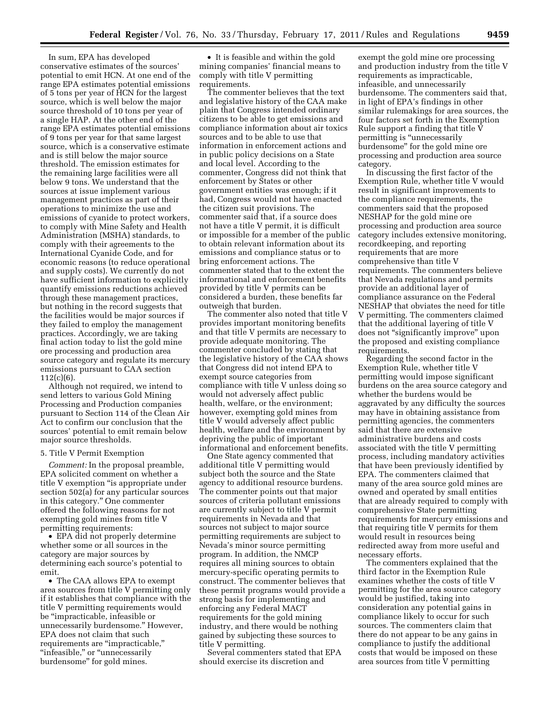In sum, EPA has developed conservative estimates of the sources' potential to emit HCN. At one end of the range EPA estimates potential emissions of 5 tons per year of HCN for the largest source, which is well below the major source threshold of 10 tons per year of a single HAP. At the other end of the range EPA estimates potential emissions of 9 tons per year for that same largest source, which is a conservative estimate and is still below the major source threshold. The emission estimates for the remaining large facilities were all below 9 tons. We understand that the sources at issue implement various management practices as part of their operations to minimize the use and emissions of cyanide to protect workers, to comply with Mine Safety and Health Administration (MSHA) standards, to comply with their agreements to the International Cyanide Code, and for economic reasons (to reduce operational and supply costs). We currently do not have sufficient information to explicitly quantify emissions reductions achieved through these management practices, but nothing in the record suggests that the facilities would be major sources if they failed to employ the management practices. Accordingly, we are taking final action today to list the gold mine ore processing and production area source category and regulate its mercury emissions pursuant to CAA section 112(c)(6).

Although not required, we intend to send letters to various Gold Mining Processing and Production companies pursuant to Section 114 of the Clean Air Act to confirm our conclusion that the sources' potential to emit remain below major source thresholds.

## 5. Title V Permit Exemption

*Comment:* In the proposal preamble, EPA solicited comment on whether a title V exemption ''is appropriate under section 502(a) for any particular sources in this category.'' One commenter offered the following reasons for not exempting gold mines from title V permitting requirements:

• EPA did not properly determine whether some or all sources in the category are major sources by determining each source's potential to emit.

• The CAA allows EPA to exempt area sources from title V permitting only if it establishes that compliance with the title V permitting requirements would be ''impracticable, infeasible or unnecessarily burdensome.'' However, EPA does not claim that such requirements are "impracticable," "infeasible," or "unnecessarily burdensome'' for gold mines.

• It is feasible and within the gold mining companies' financial means to comply with title V permitting requirements.

The commenter believes that the text and legislative history of the CAA make plain that Congress intended ordinary citizens to be able to get emissions and compliance information about air toxics sources and to be able to use that information in enforcement actions and in public policy decisions on a State and local level. According to the commenter, Congress did not think that enforcement by States or other government entities was enough; if it had, Congress would not have enacted the citizen suit provisions. The commenter said that, if a source does not have a title V permit, it is difficult or impossible for a member of the public to obtain relevant information about its emissions and compliance status or to bring enforcement actions. The commenter stated that to the extent the informational and enforcement benefits provided by title V permits can be considered a burden, these benefits far outweigh that burden.

The commenter also noted that title V provides important monitoring benefits and that title V permits are necessary to provide adequate monitoring. The commenter concluded by stating that the legislative history of the CAA shows that Congress did not intend EPA to exempt source categories from compliance with title V unless doing so would not adversely affect public health, welfare, or the environment; however, exempting gold mines from title V would adversely affect public health, welfare and the environment by depriving the public of important informational and enforcement benefits.

One State agency commented that additional title V permitting would subject both the source and the State agency to additional resource burdens. The commenter points out that major sources of criteria pollutant emissions are currently subject to title V permit requirements in Nevada and that sources not subject to major source permitting requirements are subject to Nevada's minor source permitting program. In addition, the NMCP requires all mining sources to obtain mercury-specific operating permits to construct. The commenter believes that these permit programs would provide a strong basis for implementing and enforcing any Federal MACT requirements for the gold mining industry, and there would be nothing gained by subjecting these sources to title V permitting.

Several commenters stated that EPA should exercise its discretion and

exempt the gold mine ore processing and production industry from the title V requirements as impracticable, infeasible, and unnecessarily burdensome. The commenters said that, in light of EPA's findings in other similar rulemakings for area sources, the four factors set forth in the Exemption Rule support a finding that title V permitting is ''unnecessarily burdensome'' for the gold mine ore processing and production area source category.

In discussing the first factor of the Exemption Rule, whether title V would result in significant improvements to the compliance requirements, the commenters said that the proposed NESHAP for the gold mine ore processing and production area source category includes extensive monitoring, recordkeeping, and reporting requirements that are more comprehensive than title V requirements. The commenters believe that Nevada regulations and permits provide an additional layer of compliance assurance on the Federal NESHAP that obviates the need for title V permitting. The commenters claimed that the additional layering of title V does not ''significantly improve'' upon the proposed and existing compliance requirements.

Regarding the second factor in the Exemption Rule, whether title V permitting would impose significant burdens on the area source category and whether the burdens would be aggravated by any difficulty the sources may have in obtaining assistance from permitting agencies, the commenters said that there are extensive administrative burdens and costs associated with the title V permitting process, including mandatory activities that have been previously identified by EPA. The commenters claimed that many of the area source gold mines are owned and operated by small entities that are already required to comply with comprehensive State permitting requirements for mercury emissions and that requiring title V permits for them would result in resources being redirected away from more useful and necessary efforts.

The commenters explained that the third factor in the Exemption Rule examines whether the costs of title V permitting for the area source category would be justified, taking into consideration any potential gains in compliance likely to occur for such sources. The commenters claim that there do not appear to be any gains in compliance to justify the additional costs that would be imposed on these area sources from title V permitting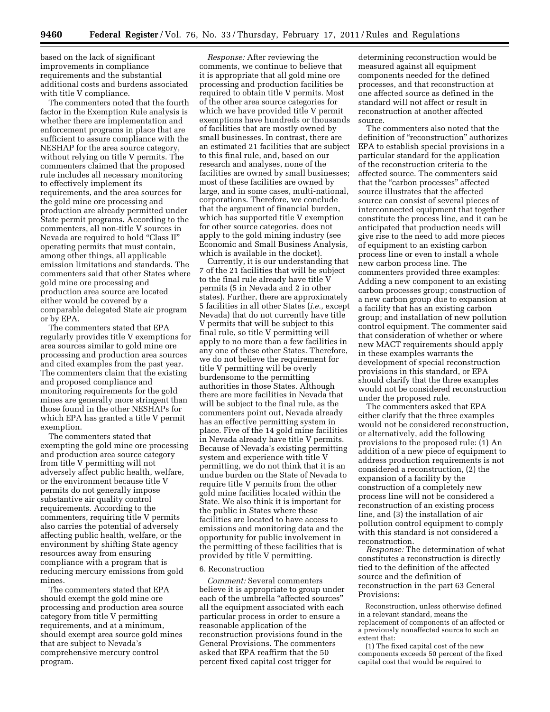based on the lack of significant improvements in compliance requirements and the substantial additional costs and burdens associated with title V compliance.

The commenters noted that the fourth factor in the Exemption Rule analysis is whether there are implementation and enforcement programs in place that are sufficient to assure compliance with the NESHAP for the area source category, without relying on title V permits. The commenters claimed that the proposed rule includes all necessary monitoring to effectively implement its requirements, and the area sources for the gold mine ore processing and production are already permitted under State permit programs. According to the commenters, all non-title V sources in Nevada are required to hold ''Class II'' operating permits that must contain, among other things, all applicable emission limitations and standards. The commenters said that other States where gold mine ore processing and production area source are located either would be covered by a comparable delegated State air program or by EPA.

The commenters stated that EPA regularly provides title V exemptions for area sources similar to gold mine ore processing and production area sources and cited examples from the past year. The commenters claim that the existing and proposed compliance and monitoring requirements for the gold mines are generally more stringent than those found in the other NESHAPs for which EPA has granted a title V permit exemption.

The commenters stated that exempting the gold mine ore processing and production area source category from title V permitting will not adversely affect public health, welfare, or the environment because title V permits do not generally impose substantive air quality control requirements. According to the commenters, requiring title V permits also carries the potential of adversely affecting public health, welfare, or the environment by shifting State agency resources away from ensuring compliance with a program that is reducing mercury emissions from gold mines.

The commenters stated that EPA should exempt the gold mine ore processing and production area source category from title V permitting requirements, and at a minimum, should exempt area source gold mines that are subject to Nevada's comprehensive mercury control program.

*Response:* After reviewing the comments, we continue to believe that it is appropriate that all gold mine ore processing and production facilities be required to obtain title V permits. Most of the other area source categories for which we have provided title V permit exemptions have hundreds or thousands of facilities that are mostly owned by small businesses. In contrast, there are an estimated 21 facilities that are subject to this final rule, and, based on our research and analyses, none of the facilities are owned by small businesses; most of these facilities are owned by large, and in some cases, multi-national, corporations. Therefore, we conclude that the argument of financial burden, which has supported title V exemption for other source categories, does not apply to the gold mining industry (see Economic and Small Business Analysis, which is available in the docket).

Currently, it is our understanding that 7 of the 21 facilities that will be subject to the final rule already have title V permits (5 in Nevada and 2 in other states). Further, there are approximately 5 facilities in all other States (*i.e.,* except Nevada) that do not currently have title V permits that will be subject to this final rule, so title V permitting will apply to no more than a few facilities in any one of these other States. Therefore, we do not believe the requirement for title V permitting will be overly burdensome to the permitting authorities in those States. Although there are more facilities in Nevada that will be subject to the final rule, as the commenters point out, Nevada already has an effective permitting system in place. Five of the 14 gold mine facilities in Nevada already have title V permits. Because of Nevada's existing permitting system and experience with title V permitting, we do not think that it is an undue burden on the State of Nevada to require title V permits from the other gold mine facilities located within the State. We also think it is important for the public in States where these facilities are located to have access to emissions and monitoring data and the opportunity for public involvement in the permitting of these facilities that is provided by title V permitting.

#### 6. Reconstruction

*Comment:* Several commenters believe it is appropriate to group under each of the umbrella "affected sources" all the equipment associated with each particular process in order to ensure a reasonable application of the reconstruction provisions found in the General Provisions. The commenters asked that EPA reaffirm that the 50 percent fixed capital cost trigger for

determining reconstruction would be measured against all equipment components needed for the defined processes, and that reconstruction at one affected source as defined in the standard will not affect or result in reconstruction at another affected source.

The commenters also noted that the definition of ''reconstruction'' authorizes EPA to establish special provisions in a particular standard for the application of the reconstruction criteria to the affected source. The commenters said that the "carbon processes" affected source illustrates that the affected source can consist of several pieces of interconnected equipment that together constitute the process line, and it can be anticipated that production needs will give rise to the need to add more pieces of equipment to an existing carbon process line or even to install a whole new carbon process line. The commenters provided three examples: Adding a new component to an existing carbon processes group; construction of a new carbon group due to expansion at a facility that has an existing carbon group; and installation of new pollution control equipment. The commenter said that consideration of whether or where new MACT requirements should apply in these examples warrants the development of special reconstruction provisions in this standard, or EPA should clarify that the three examples would not be considered reconstruction under the proposed rule.

The commenters asked that EPA either clarify that the three examples would not be considered reconstruction, or alternatively, add the following provisions to the proposed rule: (1) An addition of a new piece of equipment to address production requirements is not considered a reconstruction, (2) the expansion of a facility by the construction of a completely new process line will not be considered a reconstruction of an existing process line, and (3) the installation of air pollution control equipment to comply with this standard is not considered a reconstruction.

*Response:* The determination of what constitutes a reconstruction is directly tied to the definition of the affected source and the definition of reconstruction in the part 63 General Provisions:

Reconstruction, unless otherwise defined in a relevant standard, means the replacement of components of an affected or a previously nonaffected source to such an extent that:

(1) The fixed capital cost of the new components exceeds 50 percent of the fixed capital cost that would be required to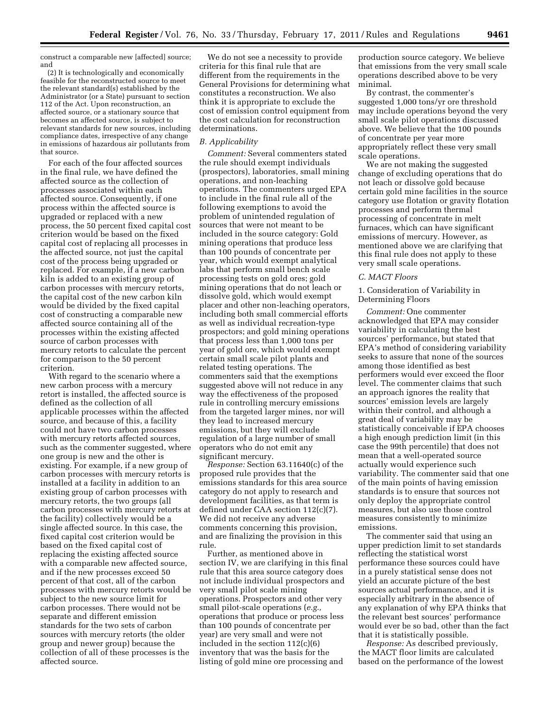construct a comparable new [affected] source; and

(2) It is technologically and economically feasible for the reconstructed source to meet the relevant standard(s) established by the Administrator (or a State) pursuant to section 112 of the Act. Upon reconstruction, an affected source, or a stationary source that becomes an affected source, is subject to relevant standards for new sources, including compliance dates, irrespective of any change in emissions of hazardous air pollutants from that source.

For each of the four affected sources in the final rule, we have defined the affected source as the collection of processes associated within each affected source. Consequently, if one process within the affected source is upgraded or replaced with a new process, the 50 percent fixed capital cost criterion would be based on the fixed capital cost of replacing all processes in the affected source, not just the capital cost of the process being upgraded or replaced. For example, if a new carbon kiln is added to an existing group of carbon processes with mercury retorts, the capital cost of the new carbon kiln would be divided by the fixed capital cost of constructing a comparable new affected source containing all of the processes within the existing affected source of carbon processes with mercury retorts to calculate the percent for comparison to the 50 percent criterion.

With regard to the scenario where a new carbon process with a mercury retort is installed, the affected source is defined as the collection of all applicable processes within the affected source, and because of this, a facility could not have two carbon processes with mercury retorts affected sources, such as the commenter suggested, where one group is new and the other is existing. For example, if a new group of carbon processes with mercury retorts is installed at a facility in addition to an existing group of carbon processes with mercury retorts, the two groups (all carbon processes with mercury retorts at the facility) collectively would be a single affected source. In this case, the fixed capital cost criterion would be based on the fixed capital cost of replacing the existing affected source with a comparable new affected source, and if the new processes exceed 50 percent of that cost, all of the carbon processes with mercury retorts would be subject to the new source limit for carbon processes. There would not be separate and different emission standards for the two sets of carbon sources with mercury retorts (the older group and newer group) because the collection of all of these processes is the affected source.

We do not see a necessity to provide criteria for this final rule that are different from the requirements in the General Provisions for determining what constitutes a reconstruction. We also think it is appropriate to exclude the cost of emission control equipment from the cost calculation for reconstruction determinations.

# *B. Applicability*

*Comment:* Several commenters stated the rule should exempt individuals (prospectors), laboratories, small mining operations, and non-leaching operations. The commenters urged EPA to include in the final rule all of the following exemptions to avoid the problem of unintended regulation of sources that were not meant to be included in the source category: Gold mining operations that produce less than 100 pounds of concentrate per year, which would exempt analytical labs that perform small bench scale processing tests on gold ores; gold mining operations that do not leach or dissolve gold, which would exempt placer and other non-leaching operators, including both small commercial efforts as well as individual recreation-type prospectors; and gold mining operations that process less than 1,000 tons per year of gold ore, which would exempt certain small scale pilot plants and related testing operations. The commenters said that the exemptions suggested above will not reduce in any way the effectiveness of the proposed rule in controlling mercury emissions from the targeted larger mines, nor will they lead to increased mercury emissions, but they will exclude regulation of a large number of small operators who do not emit any significant mercury.

*Response:* Section 63.11640(c) of the proposed rule provides that the emissions standards for this area source category do not apply to research and development facilities, as that term is defined under CAA section 112(c)(7). We did not receive any adverse comments concerning this provision, and are finalizing the provision in this rule.

Further, as mentioned above in section IV, we are clarifying in this final rule that this area source category does not include individual prospectors and very small pilot scale mining operations. Prospectors and other very small pilot-scale operations (*e.g.,*  operations that produce or process less than 100 pounds of concentrate per year) are very small and were not included in the section 112(c)(6) inventory that was the basis for the listing of gold mine ore processing and

production source category. We believe that emissions from the very small scale operations described above to be very minimal.

By contrast, the commenter's suggested 1,000 tons/yr ore threshold may include operations beyond the very small scale pilot operations discussed above. We believe that the 100 pounds of concentrate per year more appropriately reflect these very small scale operations.

We are not making the suggested change of excluding operations that do not leach or dissolve gold because certain gold mine facilities in the source category use flotation or gravity flotation processes and perform thermal processing of concentrate in melt furnaces, which can have significant emissions of mercury. However, as mentioned above we are clarifying that this final rule does not apply to these very small scale operations.

# *C. MACT Floors*

1. Consideration of Variability in Determining Floors

*Comment:* One commenter acknowledged that EPA may consider variability in calculating the best sources' performance, but stated that EPA's method of considering variability seeks to assure that none of the sources among those identified as best performers would ever exceed the floor level. The commenter claims that such an approach ignores the reality that sources' emission levels are largely within their control, and although a great deal of variability may be statistically conceivable if EPA chooses a high enough prediction limit (in this case the 99th percentile) that does not mean that a well-operated source actually would experience such variability. The commenter said that one of the main points of having emission standards is to ensure that sources not only deploy the appropriate control measures, but also use those control measures consistently to minimize emissions.

The commenter said that using an upper prediction limit to set standards reflecting the statistical worst performance these sources could have in a purely statistical sense does not yield an accurate picture of the best sources actual performance, and it is especially arbitrary in the absence of any explanation of why EPA thinks that the relevant best sources' performance would ever be so bad, other than the fact that it is statistically possible.

*Response:* As described previously, the MACT floor limits are calculated based on the performance of the lowest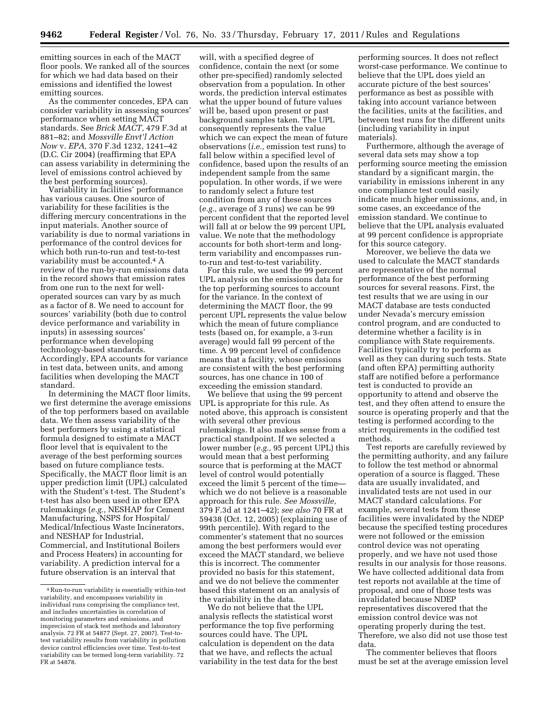emitting sources in each of the MACT floor pools. We ranked all of the sources for which we had data based on their emissions and identified the lowest emitting sources.

As the commenter concedes, EPA can consider variability in assessing sources' performance when setting MACT standards. See *Brick MACT,* 479 F.3d at 881–82; and *Mossville Envt'l Action Now* v. *EPA,* 370 F.3d 1232, 1241–42 (D.C. Cir 2004) (reaffirming that EPA can assess variability in determining the level of emissions control achieved by the best performing sources).

Variability in facilities' performance has various causes. One source of variability for these facilities is the differing mercury concentrations in the input materials. Another source of variability is due to normal variations in performance of the control devices for which both run-to-run and test-to-test variability must be accounted.4 A review of the run-by-run emissions data in the record shows that emission rates from one run to the next for welloperated sources can vary by as much as a factor of 8. We need to account for sources' variability (both due to control device performance and variability in inputs) in assessing sources' performance when developing technology-based standards. Accordingly, EPA accounts for variance in test data, between units, and among facilities when developing the MACT standard.

In determining the MACT floor limits, we first determine the average emissions of the top performers based on available data. We then assess variability of the best performers by using a statistical formula designed to estimate a MACT floor level that is equivalent to the average of the best performing sources based on future compliance tests. Specifically, the MACT floor limit is an upper prediction limit (UPL) calculated with the Student's t-test. The Student's t-test has also been used in other EPA rulemakings (*e.g.,* NESHAP for Cement Manufacturing, NSPS for Hospital/ Medical/Infectious Waste Incinerators, and NESHAP for Industrial, Commercial, and Institutional Boilers and Process Heaters) in accounting for variability. A prediction interval for a future observation is an interval that

will, with a specified degree of confidence, contain the next (or some other pre-specified) randomly selected observation from a population. In other words, the prediction interval estimates what the upper bound of future values will be, based upon present or past background samples taken. The UPL consequently represents the value which we can expect the mean of future observations (*i.e.,* emission test runs) to fall below within a specified level of confidence, based upon the results of an independent sample from the same population. In other words, if we were to randomly select a future test condition from any of these sources (*e.g.,* average of 3 runs) we can be 99 percent confident that the reported level will fall at or below the 99 percent UPL value. We note that the methodology accounts for both short-term and longterm variability and encompasses runto-run and test-to-test variability.

For this rule, we used the 99 percent UPL analysis on the emissions data for the top performing sources to account for the variance. In the context of determining the MACT floor, the 99 percent UPL represents the value below which the mean of future compliance tests (based on, for example, a 3-run average) would fall 99 percent of the time. A 99 percent level of confidence means that a facility, whose emissions are consistent with the best performing sources, has one chance in 100 of exceeding the emission standard.

We believe that using the 99 percent UPL is appropriate for this rule. As noted above, this approach is consistent with several other previous rulemakings. It also makes sense from a practical standpoint. If we selected a lower number (*e.g.,* 95 percent UPL) this would mean that a best performing source that is performing at the MACT level of control would potentially exceed the limit 5 percent of the time which we do not believe is a reasonable approach for this rule. *See Mossville,*  379 F.3d at 1241–42); *see also* 70 FR at 59438 (Oct. 12, 2005) (explaining use of 99th percentile). With regard to the commenter's statement that no sources among the best performers would ever exceed the MACT standard, we believe this is incorrect. The commenter provided no basis for this statement, and we do not believe the commenter based this statement on an analysis of the variability in the data.

We do not believe that the UPL analysis reflects the statistical worst performance the top five performing sources could have. The UPL calculation is dependent on the data that we have, and reflects the actual variability in the test data for the best

performing sources. It does not reflect worst-case performance. We continue to believe that the UPL does yield an accurate picture of the best sources' performance as best as possible with taking into account variance between the facilities, units at the facilities, and between test runs for the different units (including variability in input materials).

Furthermore, although the average of several data sets may show a top performing source meeting the emission standard by a significant margin, the variability in emissions inherent in any one compliance test could easily indicate much higher emissions, and, in some cases, an exceedance of the emission standard. We continue to believe that the UPL analysis evaluated at 99 percent confidence is appropriate for this source category.

Moreover, we believe the data we used to calculate the MACT standards are representative of the normal performance of the best performing sources for several reasons. First, the test results that we are using in our MACT database are tests conducted under Nevada's mercury emission control program, and are conducted to determine whether a facility is in compliance with State requirements. Facilities typically try to perform as well as they can during such tests. State (and often EPA) permitting authority staff are notified before a performance test is conducted to provide an opportunity to attend and observe the test, and they often attend to ensure the source is operating properly and that the testing is performed according to the strict requirements in the codified test methods.

Test reports are carefully reviewed by the permitting authority, and any failure to follow the test method or abnormal operation of a source is flagged. These data are usually invalidated, and invalidated tests are not used in our MACT standard calculations. For example, several tests from these facilities were invalidated by the NDEP because the specified testing procedures were not followed or the emission control device was not operating properly, and we have not used those results in our analysis for those reasons. We have collected additional data from test reports not available at the time of proposal, and one of those tests was invalidated because NDEP representatives discovered that the emission control device was not operating properly during the test. Therefore, we also did not use those test data.

The commenter believes that floors must be set at the average emission level

<sup>4</sup>Run-to-run variability is essentially within-test variability, and encompasses variability in individual runs comprising the compliance test, and includes uncertainties in correlation of monitoring parameters and emissions, and imprecision of stack test methods and laboratory analysis. 72 FR at 54877 (Sept. 27, 2007). Test-totest variability results from variability in pollution device control efficiencies over time. Test-to-test variability can be termed long-term variability. 72 FR at 54878.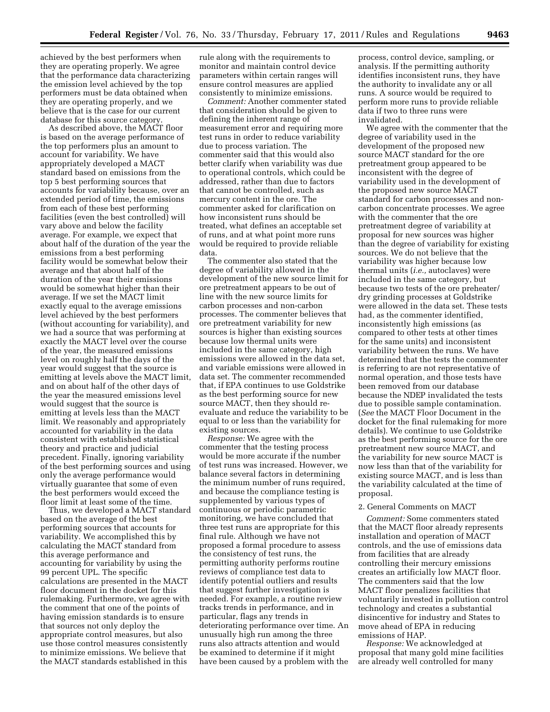achieved by the best performers when they are operating properly. We agree that the performance data characterizing the emission level achieved by the top performers must be data obtained when they are operating properly, and we believe that is the case for our current database for this source category.

As described above, the MACT floor is based on the average performance of the top performers plus an amount to account for variability. We have appropriately developed a MACT standard based on emissions from the top 5 best performing sources that accounts for variability because, over an extended period of time, the emissions from each of these best performing facilities (even the best controlled) will vary above and below the facility average. For example, we expect that about half of the duration of the year the emissions from a best performing facility would be somewhat below their average and that about half of the duration of the year their emissions would be somewhat higher than their average. If we set the MACT limit exactly equal to the average emissions level achieved by the best performers (without accounting for variability), and we had a source that was performing at exactly the MACT level over the course of the year, the measured emissions level on roughly half the days of the year would suggest that the source is emitting at levels above the MACT limit, and on about half of the other days of the year the measured emissions level would suggest that the source is emitting at levels less than the MACT limit. We reasonably and appropriately accounted for variability in the data consistent with established statistical theory and practice and judicial precedent. Finally, ignoring variability of the best performing sources and using only the average performance would virtually guarantee that some of even the best performers would exceed the floor limit at least some of the time.

Thus, we developed a MACT standard based on the average of the best performing sources that accounts for variability. We accomplished this by calculating the MACT standard from this average performance and accounting for variability by using the 99 percent UPL. The specific calculations are presented in the MACT floor document in the docket for this rulemaking. Furthermore, we agree with the comment that one of the points of having emission standards is to ensure that sources not only deploy the appropriate control measures, but also use those control measures consistently to minimize emissions. We believe that the MACT standards established in this

rule along with the requirements to monitor and maintain control device parameters within certain ranges will ensure control measures are applied consistently to minimize emissions.

*Comment:* Another commenter stated that consideration should be given to defining the inherent range of measurement error and requiring more test runs in order to reduce variability due to process variation. The commenter said that this would also better clarify when variability was due to operational controls, which could be addressed, rather than due to factors that cannot be controlled, such as mercury content in the ore. The commenter asked for clarification on how inconsistent runs should be treated, what defines an acceptable set of runs, and at what point more runs would be required to provide reliable data.

The commenter also stated that the degree of variability allowed in the development of the new source limit for ore pretreatment appears to be out of line with the new source limits for carbon processes and non-carbon processes. The commenter believes that ore pretreatment variability for new sources is higher than existing sources because low thermal units were included in the same category, high emissions were allowed in the data set, and variable emissions were allowed in data set. The commenter recommended that, if EPA continues to use Goldstrike as the best performing source for new source MACT, then they should reevaluate and reduce the variability to be equal to or less than the variability for existing sources.

*Response:* We agree with the commenter that the testing process would be more accurate if the number of test runs was increased. However, we balance several factors in determining the minimum number of runs required, and because the compliance testing is supplemented by various types of continuous or periodic parametric monitoring, we have concluded that three test runs are appropriate for this final rule. Although we have not proposed a formal procedure to assess the consistency of test runs, the permitting authority performs routine reviews of compliance test data to identify potential outliers and results that suggest further investigation is needed. For example, a routine review tracks trends in performance, and in particular, flags any trends in deteriorating performance over time. An unusually high run among the three runs also attracts attention and would be examined to determine if it might have been caused by a problem with the

process, control device, sampling, or analysis. If the permitting authority identifies inconsistent runs, they have the authority to invalidate any or all runs. A source would be required to perform more runs to provide reliable data if two to three runs were invalidated.

We agree with the commenter that the degree of variability used in the development of the proposed new source MACT standard for the ore pretreatment group appeared to be inconsistent with the degree of variability used in the development of the proposed new source MACT standard for carbon processes and noncarbon concentrate processes. We agree with the commenter that the ore pretreatment degree of variability at proposal for new sources was higher than the degree of variability for existing sources. We do not believe that the variability was higher because low thermal units (*i.e.,* autoclaves) were included in the same category, but because two tests of the ore preheater/ dry grinding processes at Goldstrike were allowed in the data set. These tests had, as the commenter identified, inconsistently high emissions (as compared to other tests at other times for the same units) and inconsistent variability between the runs. We have determined that the tests the commenter is referring to are not representative of normal operation, and those tests have been removed from our database because the NDEP invalidated the tests due to possible sample contamination. (*See* the MACT Floor Document in the docket for the final rulemaking for more details). We continue to use Goldstrike as the best performing source for the ore pretreatment new source MACT, and the variability for new source MACT is now less than that of the variability for existing source MACT, and is less than the variability calculated at the time of proposal.

#### 2. General Comments on MACT

*Comment:* Some commenters stated that the MACT floor already represents installation and operation of MACT controls, and the use of emissions data from facilities that are already controlling their mercury emissions creates an artificially low MACT floor. The commenters said that the low MACT floor penalizes facilities that voluntarily invested in pollution control technology and creates a substantial disincentive for industry and States to move ahead of EPA in reducing emissions of HAP.

*Response:* We acknowledged at proposal that many gold mine facilities are already well controlled for many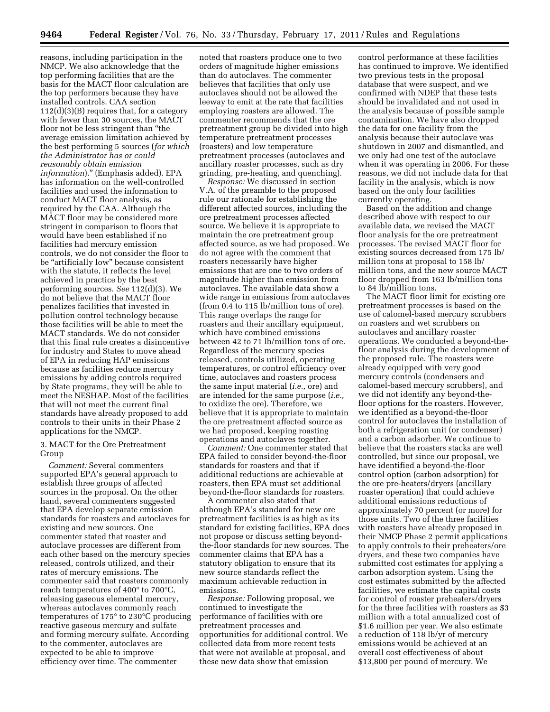reasons, including participation in the NMCP. We also acknowledge that the top performing facilities that are the basis for the MACT floor calculation are the top performers because they have installed controls. CAA section 112(d)(3)(B) requires that, for a category with fewer than 30 sources, the MACT floor not be less stringent than ''the average emission limitation achieved by the best performing 5 sources (*for which the Administrator has or could reasonably obtain emission information*).'' (Emphasis added). EPA has information on the well-controlled facilities and used the information to conduct MACT floor analysis, as required by the CAA. Although the MACT floor may be considered more stringent in comparison to floors that would have been established if no facilities had mercury emission controls, we do not consider the floor to be "artificially low" because consistent with the statute, it reflects the level achieved in practice by the best performing sources. *See* 112(d)(3). We do not believe that the MACT floor penalizes facilities that invested in pollution control technology because those facilities will be able to meet the MACT standards. We do not consider that this final rule creates a disincentive for industry and States to move ahead of EPA in reducing HAP emissions because as facilities reduce mercury emissions by adding controls required by State programs, they will be able to meet the NESHAP. Most of the facilities that will not meet the current final standards have already proposed to add controls to their units in their Phase 2 applications for the NMCP.

# 3. MACT for the Ore Pretreatment Group

*Comment:* Several commenters supported EPA's general approach to establish three groups of affected sources in the proposal. On the other hand, several commenters suggested that EPA develop separate emission standards for roasters and autoclaves for existing and new sources. One commenter stated that roaster and autoclave processes are different from each other based on the mercury species released, controls utilized, and their rates of mercury emissions. The commenter said that roasters commonly reach temperatures of 400° to 700°C, releasing gaseous elemental mercury, whereas autoclaves commonly reach temperatures of 175° to 230°C producing reactive gaseous mercury and sulfate and forming mercury sulfate. According to the commenter, autoclaves are expected to be able to improve efficiency over time. The commenter

noted that roasters produce one to two orders of magnitude higher emissions than do autoclaves. The commenter believes that facilities that only use autoclaves should not be allowed the leeway to emit at the rate that facilities employing roasters are allowed. The commenter recommends that the ore pretreatment group be divided into high temperature pretreatment processes (roasters) and low temperature pretreatment processes (autoclaves and ancillary roaster processes, such as dry grinding, pre-heating, and quenching).

*Response:* We discussed in section V.A. of the preamble to the proposed rule our rationale for establishing the different affected sources, including the ore pretreatment processes affected source. We believe it is appropriate to maintain the ore pretreatment group affected source, as we had proposed. We do not agree with the comment that roasters necessarily have higher emissions that are one to two orders of magnitude higher than emission from autoclaves. The available data show a wide range in emissions from autoclaves (from 0.4 to 115 lb/million tons of ore). This range overlaps the range for roasters and their ancillary equipment, which have combined emissions between 42 to 71 lb/million tons of ore. Regardless of the mercury species released, controls utilized, operating temperatures, or control efficiency over time, autoclaves and roasters process the same input material (*i.e.,* ore) and are intended for the same purpose (*i.e.,*  to oxidize the ore). Therefore, we believe that it is appropriate to maintain the ore pretreatment affected source as we had proposed, keeping roasting operations and autoclaves together.

*Comment:* One commenter stated that EPA failed to consider beyond-the-floor standards for roasters and that if additional reductions are achievable at roasters, then EPA must set additional beyond-the-floor standards for roasters.

A commenter also stated that although EPA's standard for new ore pretreatment facilities is as high as its standard for existing facilities, EPA does not propose or discuss setting beyondthe-floor standards for new sources. The commenter claims that EPA has a statutory obligation to ensure that its new source standards reflect the maximum achievable reduction in emissions.

*Response:* Following proposal, we continued to investigate the performance of facilities with ore pretreatment processes and opportunities for additional control. We collected data from more recent tests that were not available at proposal, and these new data show that emission

control performance at these facilities has continued to improve. We identified two previous tests in the proposal database that were suspect, and we confirmed with NDEP that these tests should be invalidated and not used in the analysis because of possible sample contamination. We have also dropped the data for one facility from the analysis because their autoclave was shutdown in 2007 and dismantled, and we only had one test of the autoclave when it was operating in 2006. For these reasons, we did not include data for that facility in the analysis, which is now based on the only four facilities currently operating.

Based on the addition and change described above with respect to our available data, we revised the MACT floor analysis for the ore pretreatment processes. The revised MACT floor for existing sources decreased from 175 lb/ million tons at proposal to 158 lb/ million tons, and the new source MACT floor dropped from 163 lb/million tons to 84 lb/million tons.

The MACT floor limit for existing ore pretreatment processes is based on the use of calomel-based mercury scrubbers on roasters and wet scrubbers on autoclaves and ancillary roaster operations. We conducted a beyond-thefloor analysis during the development of the proposed rule. The roasters were already equipped with very good mercury controls (condensers and calomel-based mercury scrubbers), and we did not identify any beyond-thefloor options for the roasters. However, we identified as a beyond-the-floor control for autoclaves the installation of both a refrigeration unit (or condenser) and a carbon adsorber. We continue to believe that the roasters stacks are well controlled, but since our proposal, we have identified a beyond-the-floor control option (carbon adsorption) for the ore pre-heaters/dryers (ancillary roaster operation) that could achieve additional emissions reductions of approximately 70 percent (or more) for those units. Two of the three facilities with roasters have already proposed in their NMCP Phase 2 permit applications to apply controls to their preheaters/ore dryers, and these two companies have submitted cost estimates for applying a carbon adsorption system. Using the cost estimates submitted by the affected facilities, we estimate the capital costs for control of roaster preheaters/dryers for the three facilities with roasters as \$3 million with a total annualized cost of \$1.6 million per year. We also estimate a reduction of 118 lb/yr of mercury emissions would be achieved at an overall cost effectiveness of about \$13,800 per pound of mercury. We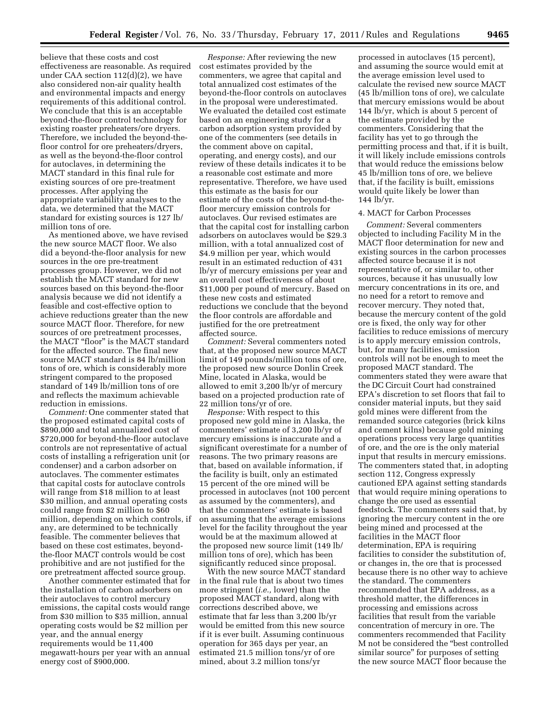believe that these costs and cost effectiveness are reasonable. As required under CAA section 112(d)(2), we have also considered non-air quality health and environmental impacts and energy requirements of this additional control. We conclude that this is an acceptable beyond-the-floor control technology for existing roaster preheaters/ore dryers. Therefore, we included the beyond-thefloor control for ore preheaters/dryers, as well as the beyond-the-floor control for autoclaves, in determining the MACT standard in this final rule for existing sources of ore pre-treatment processes. After applying the appropriate variability analyses to the data, we determined that the MACT standard for existing sources is 127 lb/ million tons of ore.

As mentioned above, we have revised the new source MACT floor. We also did a beyond-the-floor analysis for new sources in the ore pre-treatment processes group. However, we did not establish the MACT standard for new sources based on this beyond-the-floor analysis because we did not identify a feasible and cost-effective option to achieve reductions greater than the new source MACT floor. Therefore, for new sources of ore pretreatment processes, the MACT "floor" is the MACT standard for the affected source. The final new source MACT standard is 84 lb/million tons of ore, which is considerably more stringent compared to the proposed standard of 149 lb/million tons of ore and reflects the maximum achievable reduction in emissions.

*Comment:* One commenter stated that the proposed estimated capital costs of \$890,000 and total annualized cost of \$720,000 for beyond-the-floor autoclave controls are not representative of actual costs of installing a refrigeration unit (or condenser) and a carbon adsorber on autoclaves. The commenter estimates that capital costs for autoclave controls will range from \$18 million to at least \$30 million, and annual operating costs could range from \$2 million to \$60 million, depending on which controls, if any, are determined to be technically feasible. The commenter believes that based on these cost estimates, beyondthe-floor MACT controls would be cost prohibitive and are not justified for the ore pretreatment affected source group.

Another commenter estimated that for the installation of carbon adsorbers on their autoclaves to control mercury emissions, the capital costs would range from \$30 million to \$35 million, annual operating costs would be \$2 million per year, and the annual energy requirements would be 11,400 megawatt-hours per year with an annual energy cost of \$900,000.

*Response:* After reviewing the new cost estimates provided by the commenters, we agree that capital and total annualized cost estimates of the beyond-the-floor controls on autoclaves in the proposal were underestimated. We evaluated the detailed cost estimate based on an engineering study for a carbon adsorption system provided by one of the commenters (see details in the comment above on capital, operating, and energy costs), and our review of these details indicates it to be a reasonable cost estimate and more representative. Therefore, we have used this estimate as the basis for our estimate of the costs of the beyond-thefloor mercury emission controls for autoclaves. Our revised estimates are that the capital cost for installing carbon adsorbers on autoclaves would be \$29.3 million, with a total annualized cost of \$4.9 million per year, which would result in an estimated reduction of 431 lb/yr of mercury emissions per year and an overall cost effectiveness of about \$11,000 per pound of mercury. Based on these new costs and estimated reductions we conclude that the beyond the floor controls are affordable and justified for the ore pretreatment affected source.

*Comment:* Several commenters noted that, at the proposed new source MACT limit of 149 pounds/million tons of ore, the proposed new source Donlin Creek Mine, located in Alaska, would be allowed to emit 3,200 lb/yr of mercury based on a projected production rate of 22 million tons/yr of ore.

*Response:* With respect to this proposed new gold mine in Alaska, the commenters' estimate of 3,200 lb/yr of mercury emissions is inaccurate and a significant overestimate for a number of reasons. The two primary reasons are that, based on available information, if the facility is built, only an estimated 15 percent of the ore mined will be processed in autoclaves (not 100 percent as assumed by the commenters), and that the commenters' estimate is based on assuming that the average emissions level for the facility throughout the year would be at the maximum allowed at the proposed new source limit (149 lb/ million tons of ore), which has been significantly reduced since proposal.

With the new source MACT standard in the final rule that is about two times more stringent (*i.e.,* lower) than the proposed MACT standard, along with corrections described above, we estimate that far less than 3,200 lb/yr would be emitted from this new source if it is ever built. Assuming continuous operation for 365 days per year, an estimated 21.5 million tons/yr of ore mined, about 3.2 million tons/yr

processed in autoclaves (15 percent), and assuming the source would emit at the average emission level used to calculate the revised new source MACT (45 lb/million tons of ore), we calculate that mercury emissions would be about 144 lb/yr, which is about 5 percent of the estimate provided by the commenters. Considering that the facility has yet to go through the permitting process and that, if it is built, it will likely include emissions controls that would reduce the emissions below 45 lb/million tons of ore, we believe that, if the facility is built, emissions would quite likely be lower than 144 lb/yr.

## 4. MACT for Carbon Processes

*Comment:* Several commenters objected to including Facility M in the MACT floor determination for new and existing sources in the carbon processes affected source because it is not representative of, or similar to, other sources, because it has unusually low mercury concentrations in its ore, and no need for a retort to remove and recover mercury. They noted that, because the mercury content of the gold ore is fixed, the only way for other facilities to reduce emissions of mercury is to apply mercury emission controls, but, for many facilities, emission controls will not be enough to meet the proposed MACT standard. The commenters stated they were aware that the DC Circuit Court had constrained EPA's discretion to set floors that fail to consider material inputs, but they said gold mines were different from the remanded source categories (brick kilns and cement kilns) because gold mining operations process very large quantities of ore, and the ore is the only material input that results in mercury emissions. The commenters stated that, in adopting section 112, Congress expressly cautioned EPA against setting standards that would require mining operations to change the ore used as essential feedstock. The commenters said that, by ignoring the mercury content in the ore being mined and processed at the facilities in the MACT floor determination, EPA is requiring facilities to consider the substitution of, or changes in, the ore that is processed because there is no other way to achieve the standard. The commenters recommended that EPA address, as a threshold matter, the differences in processing and emissions across facilities that result from the variable concentration of mercury in ore. The commenters recommended that Facility M not be considered the ''best controlled similar source'' for purposes of setting the new source MACT floor because the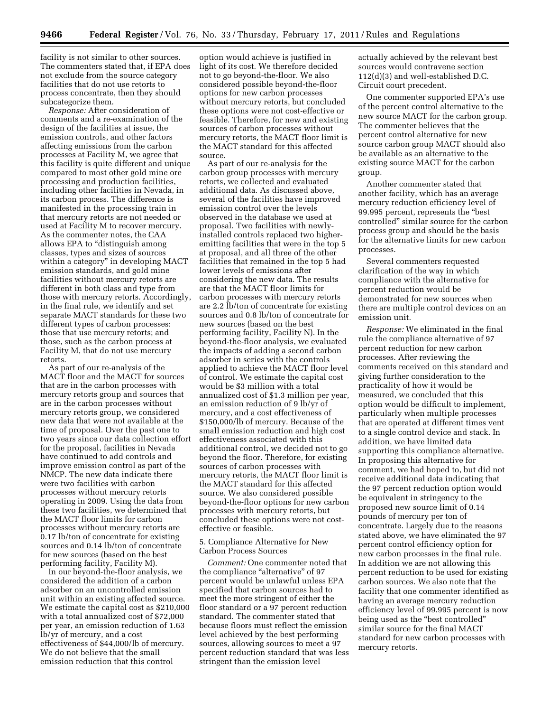facility is not similar to other sources. The commenters stated that, if EPA does not exclude from the source category facilities that do not use retorts to process concentrate, then they should subcategorize them.

*Response:* After consideration of comments and a re-examination of the design of the facilities at issue, the emission controls, and other factors affecting emissions from the carbon processes at Facility M, we agree that this facility is quite different and unique compared to most other gold mine ore processing and production facilities, including other facilities in Nevada, in its carbon process. The difference is manifested in the processing train in that mercury retorts are not needed or used at Facility M to recover mercury. As the commenter notes, the CAA allows EPA to "distinguish among classes, types and sizes of sources within a category'' in developing MACT emission standards, and gold mine facilities without mercury retorts are different in both class and type from those with mercury retorts. Accordingly, in the final rule, we identify and set separate MACT standards for these two different types of carbon processes: those that use mercury retorts; and those, such as the carbon process at Facility M, that do not use mercury retorts.

As part of our re-analysis of the MACT floor and the MACT for sources that are in the carbon processes with mercury retorts group and sources that are in the carbon processes without mercury retorts group, we considered new data that were not available at the time of proposal. Over the past one to two years since our data collection effort for the proposal, facilities in Nevada have continued to add controls and improve emission control as part of the NMCP. The new data indicate there were two facilities with carbon processes without mercury retorts operating in 2009. Using the data from these two facilities, we determined that the MACT floor limits for carbon processes without mercury retorts are 0.17 lb/ton of concentrate for existing sources and 0.14 lb/ton of concentrate for new sources (based on the best performing facility, Facility M).

In our beyond-the-floor analysis, we considered the addition of a carbon adsorber on an uncontrolled emission unit within an existing affected source. We estimate the capital cost as \$210,000 with a total annualized cost of \$72,000 per year, an emission reduction of 1.63 lb/yr of mercury, and a cost effectiveness of \$44,000/lb of mercury. We do not believe that the small emission reduction that this control

option would achieve is justified in light of its cost. We therefore decided not to go beyond-the-floor. We also considered possible beyond-the-floor options for new carbon processes without mercury retorts, but concluded these options were not cost-effective or feasible. Therefore, for new and existing sources of carbon processes without mercury retorts, the MACT floor limit is the MACT standard for this affected source.

As part of our re-analysis for the carbon group processes with mercury retorts, we collected and evaluated additional data. As discussed above, several of the facilities have improved emission control over the levels observed in the database we used at proposal. Two facilities with newlyinstalled controls replaced two higheremitting facilities that were in the top 5 at proposal, and all three of the other facilities that remained in the top 5 had lower levels of emissions after considering the new data. The results are that the MACT floor limits for carbon processes with mercury retorts are 2.2 lb/ton of concentrate for existing sources and 0.8 lb/ton of concentrate for new sources (based on the best performing facility, Facility N). In the beyond-the-floor analysis, we evaluated the impacts of adding a second carbon adsorber in series with the controls applied to achieve the MACT floor level of control. We estimate the capital cost would be \$3 million with a total annualized cost of \$1.3 million per year, an emission reduction of 9 lb/yr of mercury, and a cost effectiveness of \$150,000/lb of mercury. Because of the small emission reduction and high cost effectiveness associated with this additional control, we decided not to go beyond the floor. Therefore, for existing sources of carbon processes with mercury retorts, the MACT floor limit is the MACT standard for this affected source. We also considered possible beyond-the-floor options for new carbon processes with mercury retorts, but concluded these options were not costeffective or feasible.

# 5. Compliance Alternative for New Carbon Process Sources

*Comment:* One commenter noted that the compliance "alternative" of 97 percent would be unlawful unless EPA specified that carbon sources had to meet the more stringent of either the floor standard or a 97 percent reduction standard. The commenter stated that because floors must reflect the emission level achieved by the best performing sources, allowing sources to meet a 97 percent reduction standard that was less stringent than the emission level

actually achieved by the relevant best sources would contravene section 112(d)(3) and well-established D.C. Circuit court precedent.

One commenter supported EPA's use of the percent control alternative to the new source MACT for the carbon group. The commenter believes that the percent control alternative for new source carbon group MACT should also be available as an alternative to the existing source MACT for the carbon group.

Another commenter stated that another facility, which has an average mercury reduction efficiency level of 99.995 percent, represents the ''best controlled'' similar source for the carbon process group and should be the basis for the alternative limits for new carbon processes.

Several commenters requested clarification of the way in which compliance with the alternative for percent reduction would be demonstrated for new sources when there are multiple control devices on an emission unit.

*Response:* We eliminated in the final rule the compliance alternative of 97 percent reduction for new carbon processes. After reviewing the comments received on this standard and giving further consideration to the practicality of how it would be measured, we concluded that this option would be difficult to implement, particularly when multiple processes that are operated at different times vent to a single control device and stack. In addition, we have limited data supporting this compliance alternative. In proposing this alternative for comment, we had hoped to, but did not receive additional data indicating that the 97 percent reduction option would be equivalent in stringency to the proposed new source limit of 0.14 pounds of mercury per ton of concentrate. Largely due to the reasons stated above, we have eliminated the 97 percent control efficiency option for new carbon processes in the final rule. In addition we are not allowing this percent reduction to be used for existing carbon sources. We also note that the facility that one commenter identified as having an average mercury reduction efficiency level of 99.995 percent is now being used as the ''best controlled'' similar source for the final MACT standard for new carbon processes with mercury retorts.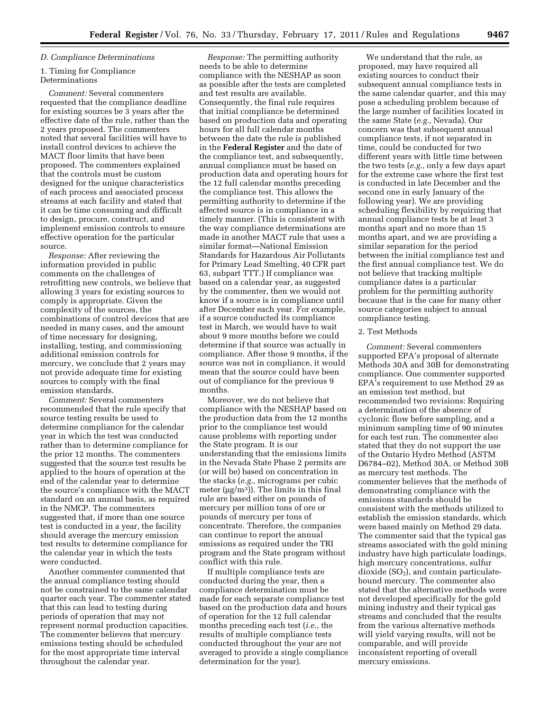## *D. Compliance Determinations*

# 1. Timing for Compliance Determinations

*Comment:* Several commenters requested that the compliance deadline for existing sources be 3 years after the effective date of the rule, rather than the 2 years proposed. The commenters noted that several facilities will have to install control devices to achieve the MACT floor limits that have been proposed. The commenters explained that the controls must be custom designed for the unique characteristics of each process and associated process streams at each facility and stated that it can be time consuming and difficult to design, procure, construct, and implement emission controls to ensure effective operation for the particular source.

*Response:* After reviewing the information provided in public comments on the challenges of retrofitting new controls, we believe that allowing 3 years for existing sources to comply is appropriate. Given the complexity of the sources, the combinations of control devices that are needed in many cases, and the amount of time necessary for designing, installing, testing, and commissioning additional emission controls for mercury, we conclude that 2 years may not provide adequate time for existing sources to comply with the final emission standards.

*Comment:* Several commenters recommended that the rule specify that source testing results be used to determine compliance for the calendar year in which the test was conducted rather than to determine compliance for the prior 12 months. The commenters suggested that the source test results be applied to the hours of operation at the end of the calendar year to determine the source's compliance with the MACT standard on an annual basis, as required in the NMCP. The commenters suggested that, if more than one source test is conducted in a year, the facility should average the mercury emission test results to determine compliance for the calendar year in which the tests were conducted.

Another commenter commented that the annual compliance testing should not be constrained to the same calendar quarter each year. The commenter stated that this can lead to testing during periods of operation that may not represent normal production capacities. The commenter believes that mercury emissions testing should be scheduled for the most appropriate time interval throughout the calendar year.

*Response:* The permitting authority needs to be able to determine compliance with the NESHAP as soon as possible after the tests are completed and test results are available. Consequently, the final rule requires that initial compliance be determined based on production data and operating hours for all full calendar months between the date the rule is published in the **Federal Register** and the date of the compliance test, and subsequently, annual compliance must be based on production data and operating hours for the 12 full calendar months preceding the compliance test. This allows the permitting authority to determine if the affected source is in compliance in a timely manner. (This is consistent with the way compliance determinations are made in another MACT rule that uses a similar format—National Emission Standards for Hazardous Air Pollutants for Primary Lead Smelting, 40 CFR part 63, subpart TTT.) If compliance was based on a calendar year, as suggested by the commenter, then we would not know if a source is in compliance until after December each year. For example, if a source conducted its compliance test in March, we would have to wait about 9 more months before we could determine if that source was actually in compliance. After those 9 months, if the source was not in compliance, it would mean that the source could have been out of compliance for the previous 9 months.

Moreover, we do not believe that compliance with the NESHAP based on the production data from the 12 months prior to the compliance test would cause problems with reporting under the State program. It is our understanding that the emissions limits in the Nevada State Phase 2 permits are (or will be) based on concentration in the stacks (*e.g.,* micrograms per cubic meter ( $\mu$ g/m<sup>3</sup>)). The limits in this final rule are based either on pounds of mercury per million tons of ore or pounds of mercury per tons of concentrate. Therefore, the companies can continue to report the annual emissions as required under the TRI program and the State program without conflict with this rule.

If multiple compliance tests are conducted during the year, then a compliance determination must be made for each separate compliance test based on the production data and hours of operation for the 12 full calendar months preceding each test (*i.e.,* the results of multiple compliance tests conducted throughout the year are not averaged to provide a single compliance determination for the year).

We understand that the rule, as proposed, may have required all existing sources to conduct their subsequent annual compliance tests in the same calendar quarter, and this may pose a scheduling problem because of the large number of facilities located in the same State (*e.g.,* Nevada). Our concern was that subsequent annual compliance tests, if not separated in time, could be conducted for two different years with little time between the two tests (*e.g.,* only a few days apart for the extreme case where the first test is conducted in late December and the second one in early January of the following year). We are providing scheduling flexibility by requiring that annual compliance tests be at least 3 months apart and no more than 15 months apart, and we are providing a similar separation for the period between the initial compliance test and the first annual compliance test. We do not believe that tracking multiple compliance dates is a particular problem for the permitting authority because that is the case for many other source categories subject to annual compliance testing.

# 2. Test Methods

*Comment:* Several commenters supported EPA's proposal of alternate Methods 30A and 30B for demonstrating compliance. One commenter supported EPA's requirement to use Method 29 as an emission test method, but recommended two revisions: Requiring a determination of the absence of cyclonic flow before sampling, and a minimum sampling time of 90 minutes for each test run. The commenter also stated that they do not support the use of the Ontario Hydro Method (ASTM D6784–02), Method 30A, or Method 30B as mercury test methods. The commenter believes that the methods of demonstrating compliance with the emissions standards should be consistent with the methods utilized to establish the emission standards, which were based mainly on Method 29 data. The commenter said that the typical gas streams associated with the gold mining industry have high particulate loadings, high mercury concentrations, sulfur dioxide  $(SO<sub>2</sub>)$ , and contain particulatebound mercury. The commenter also stated that the alternative methods were not developed specifically for the gold mining industry and their typical gas streams and concluded that the results from the various alternative methods will yield varying results, will not be comparable, and will provide inconsistent reporting of overall mercury emissions.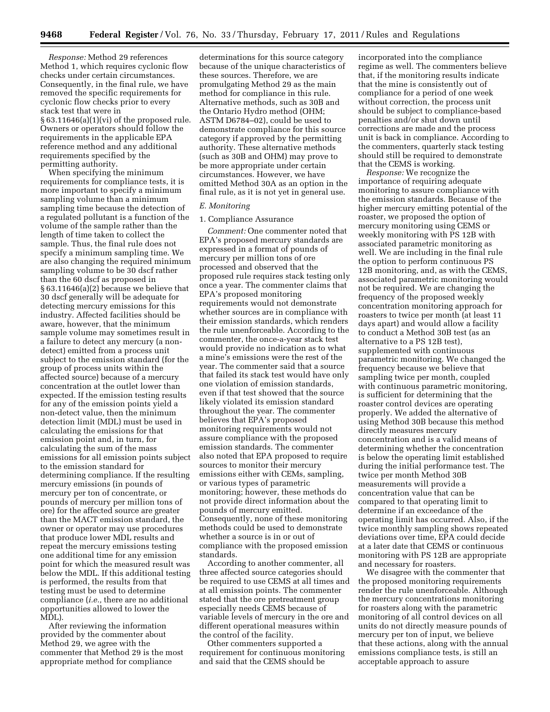*Response:* Method 29 references Method 1, which requires cyclonic flow checks under certain circumstances. Consequently, in the final rule, we have removed the specific requirements for cyclonic flow checks prior to every stack test that were in  $§ 63.11646(a)(1)(vi)$  of the proposed rule. Owners or operators should follow the requirements in the applicable EPA reference method and any additional requirements specified by the permitting authority.

When specifying the minimum requirements for compliance tests, it is more important to specify a minimum sampling volume than a minimum sampling time because the detection of a regulated pollutant is a function of the volume of the sample rather than the length of time taken to collect the sample. Thus, the final rule does not specify a minimum sampling time. We are also changing the required minimum sampling volume to be 30 dscf rather than the 60 dscf as proposed in § 63.11646(a)(2) because we believe that 30 dscf generally will be adequate for detecting mercury emissions for this industry. Affected facilities should be aware, however, that the minimum sample volume may sometimes result in a failure to detect any mercury (a nondetect) emitted from a process unit subject to the emission standard (for the group of process units within the affected source) because of a mercury concentration at the outlet lower than expected. If the emission testing results for any of the emission points yield a non-detect value, then the minimum detection limit (MDL) must be used in calculating the emissions for that emission point and, in turn, for calculating the sum of the mass emissions for all emission points subject to the emission standard for determining compliance. If the resulting mercury emissions (in pounds of mercury per ton of concentrate, or pounds of mercury per million tons of ore) for the affected source are greater than the MACT emission standard, the owner or operator may use procedures that produce lower MDL results and repeat the mercury emissions testing one additional time for any emission point for which the measured result was below the MDL. If this additional testing is performed, the results from that testing must be used to determine compliance (*i.e.,* there are no additional opportunities allowed to lower the MDL).

After reviewing the information provided by the commenter about Method 29, we agree with the commenter that Method 29 is the most appropriate method for compliance

determinations for this source category because of the unique characteristics of these sources. Therefore, we are promulgating Method 29 as the main method for compliance in this rule. Alternative methods, such as 30B and the Ontario Hydro method (OHM; ASTM D6784–02), could be used to demonstrate compliance for this source category if approved by the permitting authority. These alternative methods (such as 30B and OHM) may prove to be more appropriate under certain circumstances. However, we have omitted Method 30A as an option in the final rule, as it is not yet in general use.

#### *E. Monitoring*

## 1. Compliance Assurance

*Comment:* One commenter noted that EPA's proposed mercury standards are expressed in a format of pounds of mercury per million tons of ore processed and observed that the proposed rule requires stack testing only once a year. The commenter claims that EPA's proposed monitoring requirements would not demonstrate whether sources are in compliance with their emission standards, which renders the rule unenforceable. According to the commenter, the once-a-year stack test would provide no indication as to what a mine's emissions were the rest of the year. The commenter said that a source that failed its stack test would have only one violation of emission standards, even if that test showed that the source likely violated its emission standard throughout the year. The commenter believes that EPA's proposed monitoring requirements would not assure compliance with the proposed emission standards. The commenter also noted that EPA proposed to require sources to monitor their mercury emissions either with CEMs, sampling, or various types of parametric monitoring; however, these methods do not provide direct information about the pounds of mercury emitted. Consequently, none of these monitoring methods could be used to demonstrate whether a source is in or out of compliance with the proposed emission standards.

According to another commenter, all three affected source categories should be required to use CEMS at all times and at all emission points. The commenter stated that the ore pretreatment group especially needs CEMS because of variable levels of mercury in the ore and different operational measures within the control of the facility.

Other commenters supported a requirement for continuous monitoring and said that the CEMS should be

incorporated into the compliance regime as well. The commenters believe that, if the monitoring results indicate that the mine is consistently out of compliance for a period of one week without correction, the process unit should be subject to compliance-based penalties and/or shut down until corrections are made and the process unit is back in compliance. According to the commenters, quarterly stack testing should still be required to demonstrate that the CEMS is working.

*Response:* We recognize the importance of requiring adequate monitoring to assure compliance with the emission standards. Because of the higher mercury emitting potential of the roaster, we proposed the option of mercury monitoring using CEMS or weekly monitoring with PS 12B with associated parametric monitoring as well. We are including in the final rule the option to perform continuous PS 12B monitoring, and, as with the CEMS, associated parametric monitoring would not be required. We are changing the frequency of the proposed weekly concentration monitoring approach for roasters to twice per month (at least 11 days apart) and would allow a facility to conduct a Method 30B test (as an alternative to a PS 12B test), supplemented with continuous parametric monitoring. We changed the frequency because we believe that sampling twice per month, coupled with continuous parametric monitoring, is sufficient for determining that the roaster control devices are operating properly. We added the alternative of using Method 30B because this method directly measures mercury concentration and is a valid means of determining whether the concentration is below the operating limit established during the initial performance test. The twice per month Method 30B measurements will provide a concentration value that can be compared to that operating limit to determine if an exceedance of the operating limit has occurred. Also, if the twice monthly sampling shows repeated deviations over time, EPA could decide at a later date that CEMS or continuous monitoring with PS 12B are appropriate and necessary for roasters.

We disagree with the commenter that the proposed monitoring requirements render the rule unenforceable. Although the mercury concentrations monitoring for roasters along with the parametric monitoring of all control devices on all units do not directly measure pounds of mercury per ton of input, we believe that these actions, along with the annual emissions compliance tests, is still an acceptable approach to assure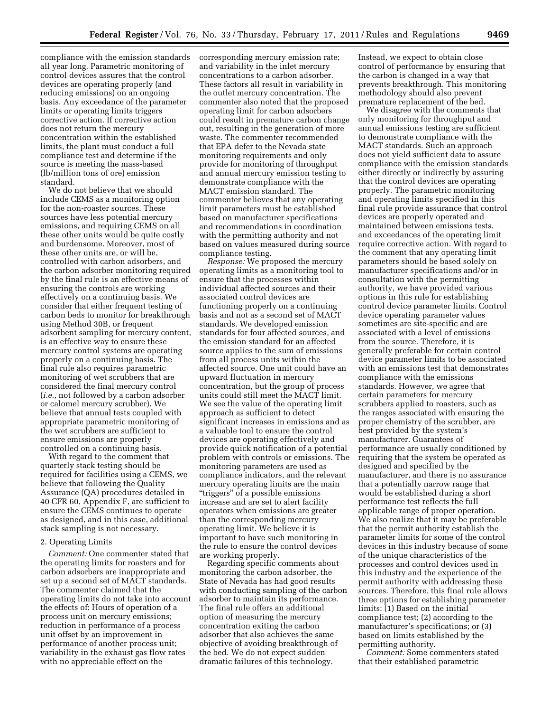compliance with the emission standards all year long. Parametric monitoring of control devices assures that the control devices are operating properly (and reducing emissions) on an ongoing basis. Any exceedance of the parameter limits or operating limits triggers corrective action. If corrective action does not return the mercury concentration within the established limits, the plant must conduct a full compliance test and determine if the source is meeting the mass-based (lb/million tons of ore) emission standard.

We do not believe that we should include CEMS as a monitoring option for the non-roaster sources. These sources have less potential mercury emissions, and requiring CEMS on all these other units would be quite costly and burdensome. Moreover, most of these other units are, or will be, controlled with carbon adsorbers, and the carbon adsorber monitoring required by the final rule is an effective means of ensuring the controls are working effectively on a continuing basis. We consider that either frequent testing of carbon beds to monitor for breakthrough using Method 30B, or frequent adsorbent sampling for mercury content, is an effective way to ensure these mercury control systems are operating properly on a continuing basis. The final rule also requires parametric monitoring of wet scrubbers that are considered the final mercury control (*i.e.,* not followed by a carbon adsorber or calomel mercury scrubber). We believe that annual tests coupled with appropriate parametric monitoring of the wet scrubbers are sufficient to ensure emissions are properly controlled on a continuing basis.

With regard to the comment that quarterly stack testing should be required for facilities using a CEMS, we believe that following the Quality Assurance (QA) procedures detailed in 40 CFR 60, Appendix F, are sufficient to ensure the CEMS continues to operate as designed, and in this case, additional stack sampling is not necessary.

# 2. Operating Limits

*Comment:* One commenter stated that the operating limits for roasters and for carbon adsorbers are inappropriate and set up a second set of MACT standards. The commenter claimed that the operating limits do not take into account the effects of: Hours of operation of a process unit on mercury emissions; reduction in performance of a process unit offset by an improvement in performance of another process unit; variability in the exhaust gas flow rates with no appreciable effect on the

corresponding mercury emission rate; and variability in the inlet mercury concentrations to a carbon adsorber. These factors all result in variability in the outlet mercury concentration. The commenter also noted that the proposed operating limit for carbon adsorbers could result in premature carbon change out, resulting in the generation of more waste. The commenter recommended that EPA defer to the Nevada state monitoring requirements and only provide for monitoring of throughput and annual mercury emission testing to demonstrate compliance with the MACT emission standard. The commenter believes that any operating limit parameters must be established based on manufacturer specifications and recommendations in coordination with the permitting authority and not based on values measured during source compliance testing.

*Response:* We proposed the mercury operating limits as a monitoring tool to ensure that the processes within individual affected sources and their associated control devices are functioning properly on a continuing basis and not as a second set of MACT standards. We developed emission standards for four affected sources, and the emission standard for an affected source applies to the sum of emissions from all process units within the affected source. One unit could have an upward fluctuation in mercury concentration, but the group of process units could still meet the MACT limit. We see the value of the operating limit approach as sufficient to detect significant increases in emissions and as a valuable tool to ensure the control devices are operating effectively and provide quick notification of a potential problem with controls or emissions. The monitoring parameters are used as compliance indicators, and the relevant mercury operating limits are the main ''triggers'' of a possible emissions increase and are set to alert facility operators when emissions are greater than the corresponding mercury operating limit. We believe it is important to have such monitoring in the rule to ensure the control devices are working properly.

Regarding specific comments about monitoring the carbon adsorber, the State of Nevada has had good results with conducting sampling of the carbon adsorber to maintain its performance. The final rule offers an additional option of measuring the mercury concentration exiting the carbon adsorber that also achieves the same objective of avoiding breakthrough of the bed. We do not expect sudden dramatic failures of this technology.

Instead, we expect to obtain close control of performance by ensuring that the carbon is changed in a way that prevents breakthrough. This monitoring methodology should also prevent premature replacement of the bed.

We disagree with the comments that only monitoring for throughput and annual emissions testing are sufficient to demonstrate compliance with the MACT standards. Such an approach does not yield sufficient data to assure compliance with the emission standards either directly or indirectly by assuring that the control devices are operating properly. The parametric monitoring and operating limits specified in this final rule provide assurance that control devices are properly operated and maintained between emissions tests, and exceedances of the operating limit require corrective action. With regard to the comment that any operating limit parameters should be based solely on manufacturer specifications and/or in consultation with the permitting authority, we have provided various options in this rule for establishing control device parameter limits. Control device operating parameter values sometimes are site-specific and are associated with a level of emissions from the source. Therefore, it is generally preferable for certain control device parameter limits to be associated with an emissions test that demonstrates compliance with the emissions standards. However, we agree that certain parameters for mercury scrubbers applied to roasters, such as the ranges associated with ensuring the proper chemistry of the scrubber, are best provided by the system's manufacturer. Guarantees of performance are usually conditioned by requiring that the system be operated as designed and specified by the manufacturer, and there is no assurance that a potentially narrow range that would be established during a short performance test reflects the full applicable range of proper operation. We also realize that it may be preferable that the permit authority establish the parameter limits for some of the control devices in this industry because of some of the unique characteristics of the processes and control devices used in this industry and the experience of the permit authority with addressing these sources. Therefore, this final rule allows three options for establishing parameter limits: (1) Based on the initial compliance test; (2) according to the manufacturer's specifications; or (3) based on limits established by the permitting authority.

*Comment:* Some commenters stated that their established parametric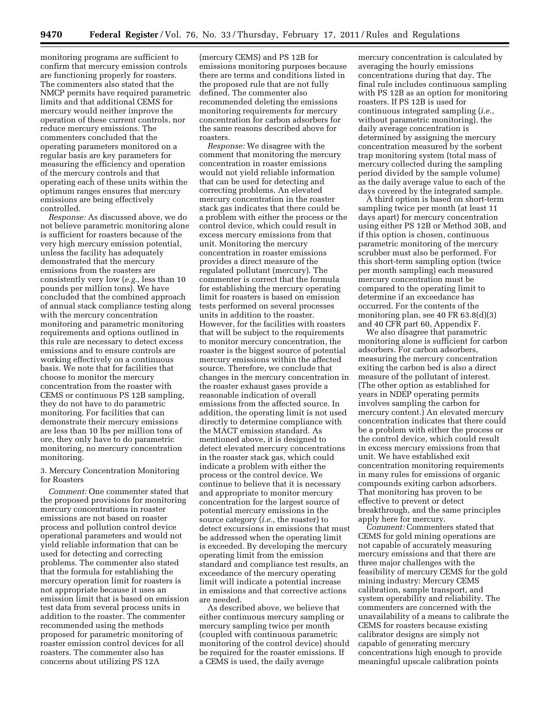monitoring programs are sufficient to confirm that mercury emission controls are functioning properly for roasters. The commenters also stated that the NMCP permits have required parametric limits and that additional CEMS for mercury would neither improve the operation of these current controls, nor reduce mercury emissions. The commenters concluded that the operating parameters monitored on a regular basis are key parameters for measuring the efficiency and operation of the mercury controls and that operating each of these units within the optimum ranges ensures that mercury emissions are being effectively controlled.

*Response:* As discussed above, we do not believe parametric monitoring alone is sufficient for roasters because of the very high mercury emission potential, unless the facility has adequately demonstrated that the mercury emissions from the roasters are consistently very low (*e.g.,* less than 10 pounds per million tons). We have concluded that the combined approach of annual stack compliance testing along with the mercury concentration monitoring and parametric monitoring requirements and options outlined in this rule are necessary to detect excess emissions and to ensure controls are working effectively on a continuous basis. We note that for facilities that choose to monitor the mercury concentration from the roaster with CEMS or continuous PS 12B sampling, they do not have to do parametric monitoring. For facilities that can demonstrate their mercury emissions are less than 10 lbs per million tons of ore, they only have to do parametric monitoring, no mercury concentration monitoring.

3. Mercury Concentration Monitoring for Roasters

*Comment:* One commenter stated that the proposed provisions for monitoring mercury concentrations in roaster emissions are not based on roaster process and pollution control device operational parameters and would not yield reliable information that can be used for detecting and correcting problems. The commenter also stated that the formula for establishing the mercury operation limit for roasters is not appropriate because it uses an emission limit that is based on emission test data from several process units in addition to the roaster. The commenter recommended using the methods proposed for parametric monitoring of roaster emission control devices for all roasters. The commenter also has concerns about utilizing PS 12A

(mercury CEMS) and PS 12B for emissions monitoring purposes because there are terms and conditions listed in the proposed rule that are not fully defined. The commenter also recommended deleting the emissions monitoring requirements for mercury concentration for carbon adsorbers for the same reasons described above for roasters.

*Response:* We disagree with the comment that monitoring the mercury concentration in roaster emissions would not yield reliable information that can be used for detecting and correcting problems. An elevated mercury concentration in the roaster stack gas indicates that there could be a problem with either the process or the control device, which could result in excess mercury emissions from that unit. Monitoring the mercury concentration in roaster emissions provides a direct measure of the regulated pollutant (mercury). The commenter is correct that the formula for establishing the mercury operating limit for roasters is based on emission tests performed on several processes units in addition to the roaster. However, for the facilities with roasters that will be subject to the requirements to monitor mercury concentration, the roaster is the biggest source of potential mercury emissions within the affected source. Therefore, we conclude that changes in the mercury concentration in the roaster exhaust gases provide a reasonable indication of overall emissions from the affected source. In addition, the operating limit is not used directly to determine compliance with the MACT emission standard. As mentioned above, it is designed to detect elevated mercury concentrations in the roaster stack gas, which could indicate a problem with either the process or the control device. We continue to believe that it is necessary and appropriate to monitor mercury concentration for the largest source of potential mercury emissions in the source category (*i.e.,* the roaster) to detect excursions in emissions that must be addressed when the operating limit is exceeded. By developing the mercury operating limit from the emission standard and compliance test results, an exceedance of the mercury operating limit will indicate a potential increase in emissions and that corrective actions are needed.

As described above, we believe that either continuous mercury sampling or mercury sampling twice per month (coupled with continuous parametric monitoring of the control device) should be required for the roaster emissions. If a CEMS is used, the daily average

mercury concentration is calculated by averaging the hourly emissions concentrations during that day. The final rule includes continuous sampling with PS 12B as an option for monitoring roasters. If PS 12B is used for continuous integrated sampling (*i.e.,*  without parametric monitoring), the daily average concentration is determined by assigning the mercury concentration measured by the sorbent trap monitoring system (total mass of mercury collected during the sampling period divided by the sample volume) as the daily average value to each of the days covered by the integrated sample.

A third option is based on short-term sampling twice per month (at least 11 days apart) for mercury concentration using either PS 12B or Method 30B, and if this option is chosen, continuous parametric monitoring of the mercury scrubber must also be performed. For this short-term sampling option (twice per month sampling) each measured mercury concentration must be compared to the operating limit to determine if an exceedance has occurred. For the contents of the monitoring plan, see 40 FR 63.8(d)(3) and 40 CFR part 60, Appendix F.

We also disagree that parametric monitoring alone is sufficient for carbon adsorbers. For carbon adsorbers, measuring the mercury concentration exiting the carbon bed is also a direct measure of the pollutant of interest. (The other option as established for years in NDEP operating permits involves sampling the carbon for mercury content.) An elevated mercury concentration indicates that there could be a problem with either the process or the control device, which could result in excess mercury emissions from that unit. We have established exit concentration monitoring requirements in many rules for emissions of organic compounds exiting carbon adsorbers. That monitoring has proven to be effective to prevent or detect breakthrough, and the same principles apply here for mercury.

*Comment:* Commenters stated that CEMS for gold mining operations are not capable of accurately measuring mercury emissions and that there are three major challenges with the feasibility of mercury CEMS for the gold mining industry: Mercury CEMS calibration, sample transport, and system operability and reliability. The commenters are concerned with the unavailability of a means to calibrate the CEMS for roasters because existing calibrator designs are simply not capable of generating mercury concentrations high enough to provide meaningful upscale calibration points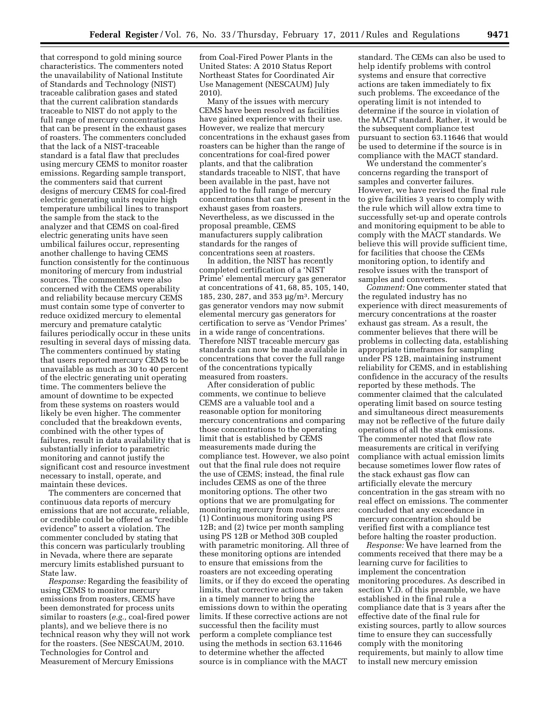that correspond to gold mining source characteristics. The commenters noted the unavailability of National Institute of Standards and Technology (NIST) traceable calibration gases and stated that the current calibration standards traceable to NIST do not apply to the full range of mercury concentrations that can be present in the exhaust gases of roasters. The commenters concluded that the lack of a NIST-traceable standard is a fatal flaw that precludes using mercury CEMS to monitor roaster emissions. Regarding sample transport, the commenters said that current designs of mercury CEMS for coal-fired electric generating units require high temperature umbilical lines to transport the sample from the stack to the analyzer and that CEMS on coal-fired electric generating units have seen umbilical failures occur, representing another challenge to having CEMS function consistently for the continuous monitoring of mercury from industrial sources. The commenters were also concerned with the CEMS operability and reliability because mercury CEMS must contain some type of converter to reduce oxidized mercury to elemental mercury and premature catalytic failures periodically occur in these units resulting in several days of missing data. The commenters continued by stating that users reported mercury CEMS to be unavailable as much as 30 to 40 percent of the electric generating unit operating time. The commenters believe the amount of downtime to be expected from these systems on roasters would likely be even higher. The commenter concluded that the breakdown events, combined with the other types of failures, result in data availability that is substantially inferior to parametric monitoring and cannot justify the significant cost and resource investment necessary to install, operate, and maintain these devices.

The commenters are concerned that continuous data reports of mercury emissions that are not accurate, reliable, or credible could be offered as ''credible evidence'' to assert a violation. The commenter concluded by stating that this concern was particularly troubling in Nevada, where there are separate mercury limits established pursuant to State law.

*Response:* Regarding the feasibility of using CEMS to monitor mercury emissions from roasters, CEMS have been demonstrated for process units similar to roasters (*e.g.,* coal-fired power plants), and we believe there is no technical reason why they will not work for the roasters. (See NESCAUM, 2010. Technologies for Control and Measurement of Mercury Emissions

from Coal-Fired Power Plants in the United States: A 2010 Status Report Northeast States for Coordinated Air Use Management (NESCAUM) July 2010).

Many of the issues with mercury CEMS have been resolved as facilities have gained experience with their use. However, we realize that mercury concentrations in the exhaust gases from roasters can be higher than the range of concentrations for coal-fired power plants, and that the calibration standards traceable to NIST, that have been available in the past, have not applied to the full range of mercury concentrations that can be present in the exhaust gases from roasters. Nevertheless, as we discussed in the proposal preamble, CEMS manufacturers supply calibration standards for the ranges of concentrations seen at roasters.

In addition, the NIST has recently completed certification of a 'NIST Prime' elemental mercury gas generator at concentrations of 41, 68, 85, 105, 140, 185, 230, 287, and 353 μg/m3. Mercury gas generator vendors may now submit elemental mercury gas generators for certification to serve as 'Vendor Primes' in a wide range of concentrations. Therefore NIST traceable mercury gas standards can now be made available in concentrations that cover the full range of the concentrations typically measured from roasters.

After consideration of public comments, we continue to believe CEMS are a valuable tool and a reasonable option for monitoring mercury concentrations and comparing those concentrations to the operating limit that is established by CEMS measurements made during the compliance test. However, we also point out that the final rule does not require the use of CEMS; instead, the final rule includes CEMS as one of the three monitoring options. The other two options that we are promulgating for monitoring mercury from roasters are: (1) Continuous monitoring using PS 12B; and (2) twice per month sampling using PS 12B or Method 30B coupled with parametric monitoring. All three of these monitoring options are intended to ensure that emissions from the roasters are not exceeding operating limits, or if they do exceed the operating limits, that corrective actions are taken in a timely manner to bring the emissions down to within the operating limits. If these corrective actions are not successful then the facility must perform a complete compliance test using the methods in section 63.11646 to determine whether the affected source is in compliance with the MACT

standard. The CEMs can also be used to help identify problems with control systems and ensure that corrective actions are taken immediately to fix such problems. The exceedance of the operating limit is not intended to determine if the source in violation of the MACT standard. Rather, it would be the subsequent compliance test pursuant to section 63.11646 that would be used to determine if the source is in compliance with the MACT standard.

We understand the commenter's concerns regarding the transport of samples and converter failures. However, we have revised the final rule to give facilities 3 years to comply with the rule which will allow extra time to successfully set-up and operate controls and monitoring equipment to be able to comply with the MACT standards. We believe this will provide sufficient time, for facilities that choose the CEMs monitoring option, to identify and resolve issues with the transport of samples and converters.

*Comment:* One commenter stated that the regulated industry has no experience with direct measurements of mercury concentrations at the roaster exhaust gas stream. As a result, the commenter believes that there will be problems in collecting data, establishing appropriate timeframes for sampling under PS 12B, maintaining instrument reliability for CEMS, and in establishing confidence in the accuracy of the results reported by these methods. The commenter claimed that the calculated operating limit based on source testing and simultaneous direct measurements may not be reflective of the future daily operations of all the stack emissions. The commenter noted that flow rate measurements are critical in verifying compliance with actual emission limits because sometimes lower flow rates of the stack exhaust gas flow can artificially elevate the mercury concentration in the gas stream with no real effect on emissions. The commenter concluded that any exceedance in mercury concentration should be verified first with a compliance test before halting the roaster production.

*Response:* We have learned from the comments received that there may be a learning curve for facilities to implement the concentration monitoring procedures. As described in section V.D. of this preamble, we have established in the final rule a compliance date that is 3 years after the effective date of the final rule for existing sources, partly to allow sources time to ensure they can successfully comply with the monitoring requirements, but mainly to allow time to install new mercury emission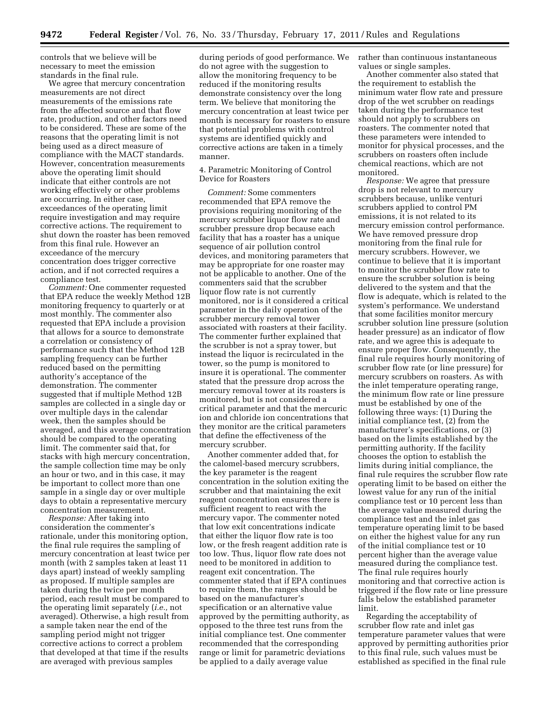controls that we believe will be necessary to meet the emission standards in the final rule.

We agree that mercury concentration measurements are not direct measurements of the emissions rate from the affected source and that flow rate, production, and other factors need to be considered. These are some of the reasons that the operating limit is not being used as a direct measure of compliance with the MACT standards. However, concentration measurements above the operating limit should indicate that either controls are not working effectively or other problems are occurring. In either case, exceedances of the operating limit require investigation and may require corrective actions. The requirement to shut down the roaster has been removed from this final rule. However an exceedance of the mercury concentration does trigger corrective action, and if not corrected requires a compliance test.

*Comment:* One commenter requested that EPA reduce the weekly Method 12B monitoring frequency to quarterly or at most monthly. The commenter also requested that EPA include a provision that allows for a source to demonstrate a correlation or consistency of performance such that the Method 12B sampling frequency can be further reduced based on the permitting authority's acceptance of the demonstration. The commenter suggested that if multiple Method 12B samples are collected in a single day or over multiple days in the calendar week, then the samples should be averaged, and this average concentration should be compared to the operating limit. The commenter said that, for stacks with high mercury concentration, the sample collection time may be only an hour or two, and in this case, it may be important to collect more than one sample in a single day or over multiple days to obtain a representative mercury concentration measurement.

*Response:* After taking into consideration the commenter's rationale, under this monitoring option, the final rule requires the sampling of mercury concentration at least twice per month (with 2 samples taken at least 11 days apart) instead of weekly sampling as proposed. If multiple samples are taken during the twice per month period, each result must be compared to the operating limit separately (*i.e.,* not averaged). Otherwise, a high result from a sample taken near the end of the sampling period might not trigger corrective actions to correct a problem that developed at that time if the results are averaged with previous samples

during periods of good performance. We do not agree with the suggestion to allow the monitoring frequency to be reduced if the monitoring results demonstrate consistency over the long term. We believe that monitoring the mercury concentration at least twice per month is necessary for roasters to ensure that potential problems with control systems are identified quickly and corrective actions are taken in a timely manner.

4. Parametric Monitoring of Control Device for Roasters

*Comment:* Some commenters recommended that EPA remove the provisions requiring monitoring of the mercury scrubber liquor flow rate and scrubber pressure drop because each facility that has a roaster has a unique sequence of air pollution control devices, and monitoring parameters that may be appropriate for one roaster may not be applicable to another. One of the commenters said that the scrubber liquor flow rate is not currently monitored, nor is it considered a critical parameter in the daily operation of the scrubber mercury removal tower associated with roasters at their facility. The commenter further explained that the scrubber is not a spray tower, but instead the liquor is recirculated in the tower, so the pump is monitored to insure it is operational. The commenter stated that the pressure drop across the mercury removal tower at its roasters is monitored, but is not considered a critical parameter and that the mercuric ion and chloride ion concentrations that they monitor are the critical parameters that define the effectiveness of the mercury scrubber.

Another commenter added that, for the calomel-based mercury scrubbers, the key parameter is the reagent concentration in the solution exiting the scrubber and that maintaining the exit reagent concentration ensures there is sufficient reagent to react with the mercury vapor. The commenter noted that low exit concentrations indicate that either the liquor flow rate is too low, or the fresh reagent addition rate is too low. Thus, liquor flow rate does not need to be monitored in addition to reagent exit concentration. The commenter stated that if EPA continues to require them, the ranges should be based on the manufacturer's specification or an alternative value approved by the permitting authority, as opposed to the three test runs from the initial compliance test. One commenter recommended that the corresponding range or limit for parametric deviations be applied to a daily average value

rather than continuous instantaneous values or single samples.

Another commenter also stated that the requirement to establish the minimum water flow rate and pressure drop of the wet scrubber on readings taken during the performance test should not apply to scrubbers on roasters. The commenter noted that these parameters were intended to monitor for physical processes, and the scrubbers on roasters often include chemical reactions, which are not monitored.

*Response:* We agree that pressure drop is not relevant to mercury scrubbers because, unlike venturi scrubbers applied to control PM emissions, it is not related to its mercury emission control performance. We have removed pressure drop monitoring from the final rule for mercury scrubbers. However, we continue to believe that it is important to monitor the scrubber flow rate to ensure the scrubber solution is being delivered to the system and that the flow is adequate, which is related to the system's performance. We understand that some facilities monitor mercury scrubber solution line pressure (solution header pressure) as an indicator of flow rate, and we agree this is adequate to ensure proper flow. Consequently, the final rule requires hourly monitoring of scrubber flow rate (or line pressure) for mercury scrubbers on roasters. As with the inlet temperature operating range, the minimum flow rate or line pressure must be established by one of the following three ways: (1) During the initial compliance test, (2) from the manufacturer's specifications, or (3) based on the limits established by the permitting authority. If the facility chooses the option to establish the limits during initial compliance, the final rule requires the scrubber flow rate operating limit to be based on either the lowest value for any run of the initial compliance test or 10 percent less than the average value measured during the compliance test and the inlet gas temperature operating limit to be based on either the highest value for any run of the initial compliance test or 10 percent higher than the average value measured during the compliance test. The final rule requires hourly monitoring and that corrective action is triggered if the flow rate or line pressure falls below the established parameter limit.

Regarding the acceptability of scrubber flow rate and inlet gas temperature parameter values that were approved by permitting authorities prior to this final rule, such values must be established as specified in the final rule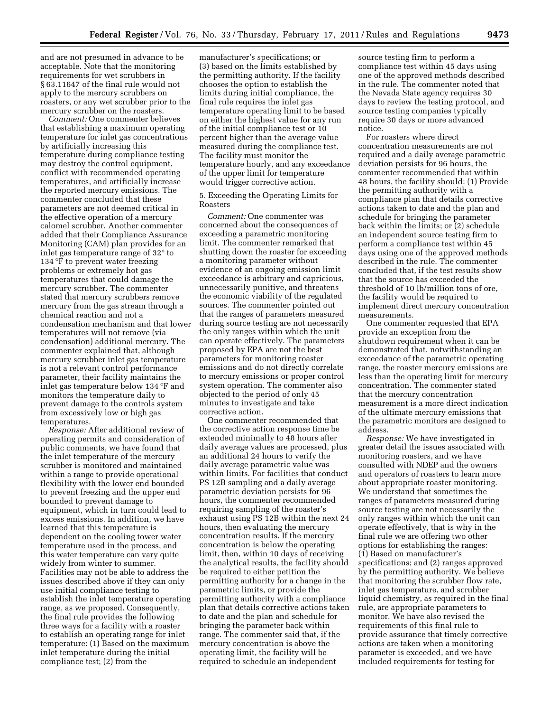and are not presumed in advance to be acceptable. Note that the monitoring requirements for wet scrubbers in § 63.11647 of the final rule would not apply to the mercury scrubbers on roasters, or any wet scrubber prior to the mercury scrubber on the roasters.

*Comment:* One commenter believes that establishing a maximum operating temperature for inlet gas concentrations by artificially increasing this temperature during compliance testing may destroy the control equipment, conflict with recommended operating temperatures, and artificially increase the reported mercury emissions. The commenter concluded that these parameters are not deemed critical in the effective operation of a mercury calomel scrubber. Another commenter added that their Compliance Assurance Monitoring (CAM) plan provides for an inlet gas temperature range of 32° to 134 °F to prevent water freezing problems or extremely hot gas temperatures that could damage the mercury scrubber. The commenter stated that mercury scrubbers remove mercury from the gas stream through a chemical reaction and not a condensation mechanism and that lower temperatures will not remove (via condensation) additional mercury. The commenter explained that, although mercury scrubber inlet gas temperature is not a relevant control performance parameter, their facility maintains the inlet gas temperature below 134 °F and monitors the temperature daily to prevent damage to the controls system from excessively low or high gas temperatures.

*Response:* After additional review of operating permits and consideration of public comments, we have found that the inlet temperature of the mercury scrubber is monitored and maintained within a range to provide operational flexibility with the lower end bounded to prevent freezing and the upper end bounded to prevent damage to equipment, which in turn could lead to excess emissions. In addition, we have learned that this temperature is dependent on the cooling tower water temperature used in the process, and this water temperature can vary quite widely from winter to summer. Facilities may not be able to address the issues described above if they can only use initial compliance testing to establish the inlet temperature operating range, as we proposed. Consequently, the final rule provides the following three ways for a facility with a roaster to establish an operating range for inlet temperature: (1) Based on the maximum inlet temperature during the initial compliance test; (2) from the

manufacturer's specifications; or (3) based on the limits established by the permitting authority. If the facility chooses the option to establish the limits during initial compliance, the final rule requires the inlet gas temperature operating limit to be based on either the highest value for any run of the initial compliance test or 10 percent higher than the average value measured during the compliance test. The facility must monitor the temperature hourly, and any exceedance of the upper limit for temperature would trigger corrective action.

5. Exceeding the Operating Limits for Roasters

*Comment:* One commenter was concerned about the consequences of exceeding a parametric monitoring limit. The commenter remarked that shutting down the roaster for exceeding a monitoring parameter without evidence of an ongoing emission limit exceedance is arbitrary and capricious, unnecessarily punitive, and threatens the economic viability of the regulated sources. The commenter pointed out that the ranges of parameters measured during source testing are not necessarily the only ranges within which the unit can operate effectively. The parameters proposed by EPA are not the best parameters for monitoring roaster emissions and do not directly correlate to mercury emissions or proper control system operation. The commenter also objected to the period of only 45 minutes to investigate and take corrective action.

One commenter recommended that the corrective action response time be extended minimally to 48 hours after daily average values are processed, plus an additional 24 hours to verify the daily average parametric value was within limits. For facilities that conduct PS 12B sampling and a daily average parametric deviation persists for 96 hours, the commenter recommended requiring sampling of the roaster's exhaust using PS 12B within the next 24 hours, then evaluating the mercury concentration results. If the mercury concentration is below the operating limit, then, within 10 days of receiving the analytical results, the facility should be required to either petition the permitting authority for a change in the parametric limits, or provide the permitting authority with a compliance plan that details corrective actions taken to date and the plan and schedule for bringing the parameter back within range. The commenter said that, if the mercury concentration is above the operating limit, the facility will be required to schedule an independent

source testing firm to perform a compliance test within 45 days using one of the approved methods described in the rule. The commenter noted that the Nevada State agency requires 30 days to review the testing protocol, and source testing companies typically require 30 days or more advanced notice.

For roasters where direct concentration measurements are not required and a daily average parametric deviation persists for 96 hours, the commenter recommended that within 48 hours, the facility should: (1) Provide the permitting authority with a compliance plan that details corrective actions taken to date and the plan and schedule for bringing the parameter back within the limits; or (2) schedule an independent source testing firm to perform a compliance test within 45 days using one of the approved methods described in the rule. The commenter concluded that, if the test results show that the source has exceeded the threshold of 10 lb/million tons of ore, the facility would be required to implement direct mercury concentration measurements.

One commenter requested that EPA provide an exception from the shutdown requirement when it can be demonstrated that, notwithstanding an exceedance of the parametric operating range, the roaster mercury emissions are less than the operating limit for mercury concentration. The commenter stated that the mercury concentration measurement is a more direct indication of the ultimate mercury emissions that the parametric monitors are designed to address.

*Response:* We have investigated in greater detail the issues associated with monitoring roasters, and we have consulted with NDEP and the owners and operators of roasters to learn more about appropriate roaster monitoring. We understand that sometimes the ranges of parameters measured during source testing are not necessarily the only ranges within which the unit can operate effectively, that is why in the final rule we are offering two other options for establishing the ranges: (1) Based on manufacturer's specifications; and (2) ranges approved by the permitting authority. We believe that monitoring the scrubber flow rate, inlet gas temperature, and scrubber liquid chemistry, as required in the final rule, are appropriate parameters to monitor. We have also revised the requirements of this final rule to provide assurance that timely corrective actions are taken when a monitoring parameter is exceeded, and we have included requirements for testing for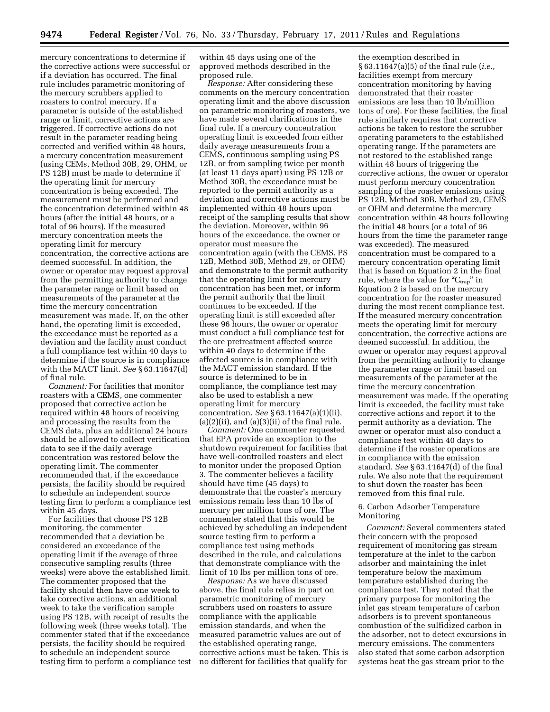mercury concentrations to determine if the corrective actions were successful or if a deviation has occurred. The final rule includes parametric monitoring of the mercury scrubbers applied to roasters to control mercury. If a parameter is outside of the established range or limit, corrective actions are triggered. If corrective actions do not result in the parameter reading being corrected and verified within 48 hours, a mercury concentration measurement (using CEMs, Method 30B, 29, OHM, or PS 12B) must be made to determine if the operating limit for mercury concentration is being exceeded. The measurement must be performed and the concentration determined within 48 hours (after the initial 48 hours, or a total of 96 hours). If the measured mercury concentration meets the operating limit for mercury concentration, the corrective actions are deemed successful. In addition, the owner or operator may request approval from the permitting authority to change the parameter range or limit based on measurements of the parameter at the time the mercury concentration measurement was made. If, on the other hand, the operating limit is exceeded, the exceedance must be reported as a deviation and the facility must conduct a full compliance test within 40 days to determine if the source is in compliance with the MACT limit. *See* § 63.11647(d) of final rule.

*Comment:* For facilities that monitor roasters with a CEMS, one commenter proposed that corrective action be required within 48 hours of receiving and processing the results from the CEMS data, plus an additional 24 hours should be allowed to collect verification data to see if the daily average concentration was restored below the operating limit. The commenter recommended that, if the exceedance persists, the facility should be required to schedule an independent source testing firm to perform a compliance test within 45 days.

For facilities that choose PS 12B monitoring, the commenter recommended that a deviation be considered an exceedance of the operating limit if the average of three consecutive sampling results (three weeks) were above the established limit. The commenter proposed that the facility should then have one week to take corrective actions, an additional week to take the verification sample using PS 12B, with receipt of results the following week (three weeks total). The commenter stated that if the exceedance persists, the facility should be required to schedule an independent source testing firm to perform a compliance test

within 45 days using one of the approved methods described in the proposed rule.

*Response:* After considering these comments on the mercury concentration operating limit and the above discussion on parametric monitoring of roasters, we have made several clarifications in the final rule. If a mercury concentration operating limit is exceeded from either daily average measurements from a CEMS, continuous sampling using PS 12B, or from sampling twice per month (at least 11 days apart) using PS 12B or Method 30B, the exceedance must be reported to the permit authority as a deviation and corrective actions must be implemented within 48 hours upon receipt of the sampling results that show the deviation. Moreover, within 96 hours of the exceedance, the owner or operator must measure the concentration again (with the CEMS, PS 12B, Method 30B, Method 29, or OHM) and demonstrate to the permit authority that the operating limit for mercury concentration has been met, or inform the permit authority that the limit continues to be exceeded. If the operating limit is still exceeded after these 96 hours, the owner or operator must conduct a full compliance test for the ore pretreatment affected source within 40 days to determine if the affected source is in compliance with the MACT emission standard. If the source is determined to be in compliance, the compliance test may also be used to establish a new operating limit for mercury concentration. *See* § 63.11647(a)(1)(ii),  $(a)(2)(ii)$ , and  $(a)(3)(ii)$  of the final rule.

*Comment:* One commenter requested that EPA provide an exception to the shutdown requirement for facilities that have well-controlled roasters and elect to monitor under the proposed Option 3. The commenter believes a facility should have time (45 days) to demonstrate that the roaster's mercury emissions remain less than 10 lbs of mercury per million tons of ore. The commenter stated that this would be achieved by scheduling an independent source testing firm to perform a compliance test using methods described in the rule, and calculations that demonstrate compliance with the limit of 10 lbs per million tons of ore.

*Response:* As we have discussed above, the final rule relies in part on parametric monitoring of mercury scrubbers used on roasters to assure compliance with the applicable emission standards, and when the measured parametric values are out of the established operating range, corrective actions must be taken. This is no different for facilities that qualify for

the exemption described in § 63.11647(a)(5) of the final rule (*i.e.,*  facilities exempt from mercury concentration monitoring by having demonstrated that their roaster emissions are less than 10 lb/million tons of ore). For these facilities, the final rule similarly requires that corrective actions be taken to restore the scrubber operating parameters to the established operating range. If the parameters are not restored to the established range within 48 hours of triggering the corrective actions, the owner or operator must perform mercury concentration sampling of the roaster emissions using PS 12B, Method 30B, Method 29, CEMS or OHM and determine the mercury concentration within 48 hours following the initial 48 hours (or a total of 96 hours from the time the parameter range was exceeded). The measured concentration must be compared to a mercury concentration operating limit that is based on Equation 2 in the final rule, where the value for " $C_{trap}$ " in Equation 2 is based on the mercury concentration for the roaster measured during the most recent compliance test. If the measured mercury concentration meets the operating limit for mercury concentration, the corrective actions are deemed successful. In addition, the owner or operator may request approval from the permitting authority to change the parameter range or limit based on measurements of the parameter at the time the mercury concentration measurement was made. If the operating limit is exceeded, the facility must take corrective actions and report it to the permit authority as a deviation. The owner or operator must also conduct a compliance test within 40 days to determine if the roaster operations are in compliance with the emission standard. *See* § 63.11647(d) of the final rule. We also note that the requirement to shut down the roaster has been removed from this final rule.

# 6. Carbon Adsorber Temperature Monitoring

*Comment:* Several commenters stated their concern with the proposed requirement of monitoring gas stream temperature at the inlet to the carbon adsorber and maintaining the inlet temperature below the maximum temperature established during the compliance test. They noted that the primary purpose for monitoring the inlet gas stream temperature of carbon adsorbers is to prevent spontaneous combustion of the sulfidized carbon in the adsorber, not to detect excursions in mercury emissions. The commenters also stated that some carbon adsorption systems heat the gas stream prior to the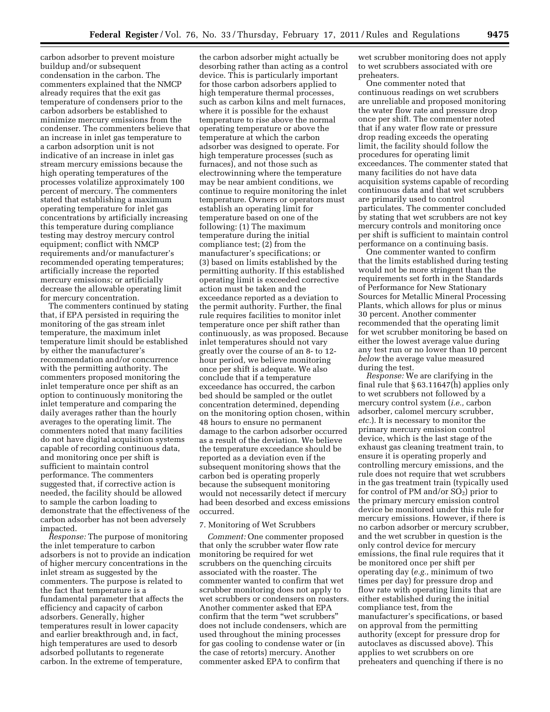carbon adsorber to prevent moisture buildup and/or subsequent condensation in the carbon. The commenters explained that the NMCP already requires that the exit gas temperature of condensers prior to the carbon adsorbers be established to minimize mercury emissions from the condenser. The commenters believe that an increase in inlet gas temperature to a carbon adsorption unit is not indicative of an increase in inlet gas stream mercury emissions because the high operating temperatures of the processes volatilize approximately 100 percent of mercury. The commenters stated that establishing a maximum operating temperature for inlet gas concentrations by artificially increasing this temperature during compliance testing may destroy mercury control equipment; conflict with NMCP requirements and/or manufacturer's recommended operating temperatures; artificially increase the reported mercury emissions; or artificially decrease the allowable operating limit for mercury concentration.

The commenters continued by stating that, if EPA persisted in requiring the monitoring of the gas stream inlet temperature, the maximum inlet temperature limit should be established by either the manufacturer's recommendation and/or concurrence with the permitting authority. The commenters proposed monitoring the inlet temperature once per shift as an option to continuously monitoring the inlet temperature and comparing the daily averages rather than the hourly averages to the operating limit. The commenters noted that many facilities do not have digital acquisition systems capable of recording continuous data, and monitoring once per shift is sufficient to maintain control performance. The commenters suggested that, if corrective action is needed, the facility should be allowed to sample the carbon loading to demonstrate that the effectiveness of the carbon adsorber has not been adversely impacted.

*Response:* The purpose of monitoring the inlet temperature to carbon adsorbers is not to provide an indication of higher mercury concentrations in the inlet stream as suggested by the commenters. The purpose is related to the fact that temperature is a fundamental parameter that affects the efficiency and capacity of carbon adsorbers. Generally, higher temperatures result in lower capacity and earlier breakthrough and, in fact, high temperatures are used to desorb adsorbed pollutants to regenerate carbon. In the extreme of temperature,

the carbon adsorber might actually be desorbing rather than acting as a control device. This is particularly important for those carbon adsorbers applied to high temperature thermal processes, such as carbon kilns and melt furnaces, where it is possible for the exhaust temperature to rise above the normal operating temperature or above the temperature at which the carbon adsorber was designed to operate. For high temperature processes (such as furnaces), and not those such as electrowinning where the temperature may be near ambient conditions, we continue to require monitoring the inlet temperature. Owners or operators must establish an operating limit for temperature based on one of the following: (1) The maximum temperature during the initial compliance test; (2) from the manufacturer's specifications; or (3) based on limits established by the permitting authority. If this established operating limit is exceeded corrective action must be taken and the exceedance reported as a deviation to the permit authority. Further, the final rule requires facilities to monitor inlet temperature once per shift rather than continuously, as was proposed. Because inlet temperatures should not vary greatly over the course of an 8- to 12 hour period, we believe monitoring once per shift is adequate. We also conclude that if a temperature exceedance has occurred, the carbon bed should be sampled or the outlet concentration determined, depending on the monitoring option chosen, within 48 hours to ensure no permanent damage to the carbon adsorber occurred as a result of the deviation. We believe the temperature exceedance should be reported as a deviation even if the subsequent monitoring shows that the carbon bed is operating properly because the subsequent monitoring would not necessarily detect if mercury had been desorbed and excess emissions occurred.

# 7. Monitoring of Wet Scrubbers

*Comment:* One commenter proposed that only the scrubber water flow rate monitoring be required for wet scrubbers on the quenching circuits associated with the roaster. The commenter wanted to confirm that wet scrubber monitoring does not apply to wet scrubbers or condensers on roasters. Another commenter asked that EPA confirm that the term ''wet scrubbers'' does not include condensers, which are used throughout the mining processes for gas cooling to condense water or (in the case of retorts) mercury. Another commenter asked EPA to confirm that

wet scrubber monitoring does not apply to wet scrubbers associated with ore preheaters.

One commenter noted that continuous readings on wet scrubbers are unreliable and proposed monitoring the water flow rate and pressure drop once per shift. The commenter noted that if any water flow rate or pressure drop reading exceeds the operating limit, the facility should follow the procedures for operating limit exceedances. The commenter stated that many facilities do not have data acquisition systems capable of recording continuous data and that wet scrubbers are primarily used to control particulates. The commenter concluded by stating that wet scrubbers are not key mercury controls and monitoring once per shift is sufficient to maintain control performance on a continuing basis.

One commenter wanted to confirm that the limits established during testing would not be more stringent than the requirements set forth in the Standards of Performance for New Stationary Sources for Metallic Mineral Processing Plants, which allows for plus or minus 30 percent. Another commenter recommended that the operating limit for wet scrubber monitoring be based on either the lowest average value during any test run or no lower than 10 percent *below* the average value measured during the test.

*Response:* We are clarifying in the final rule that § 63.11647(h) applies only to wet scrubbers not followed by a mercury control system (*i.e.,* carbon adsorber, calomel mercury scrubber, *etc.*). It is necessary to monitor the primary mercury emission control device, which is the last stage of the exhaust gas cleaning treatment train, to ensure it is operating properly and controlling mercury emissions, and the rule does not require that wet scrubbers in the gas treatment train (typically used for control of PM and/or SO<sub>2</sub>) prior to the primary mercury emission control device be monitored under this rule for mercury emissions. However, if there is no carbon adsorber or mercury scrubber, and the wet scrubber in question is the only control device for mercury emissions, the final rule requires that it be monitored once per shift per operating day (*e.g.,* minimum of two times per day) for pressure drop and flow rate with operating limits that are either established during the initial compliance test, from the manufacturer's specifications, or based on approval from the permitting authority (except for pressure drop for autoclaves as discussed above). This applies to wet scrubbers on ore preheaters and quenching if there is no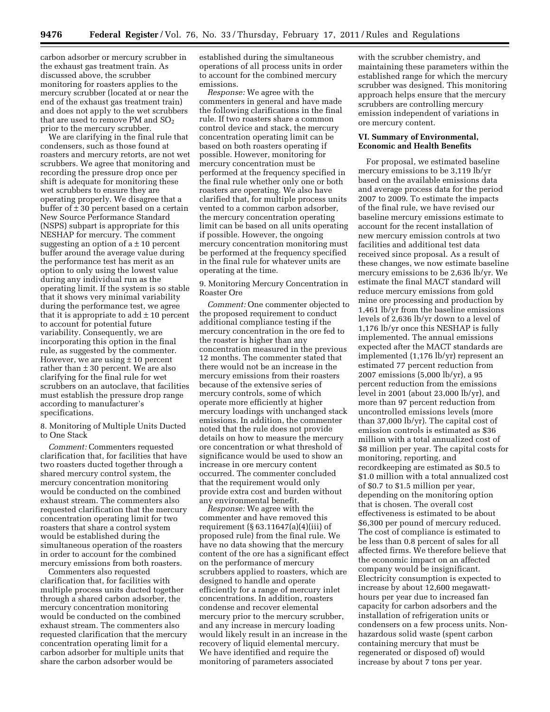carbon adsorber or mercury scrubber in the exhaust gas treatment train. As discussed above, the scrubber monitoring for roasters applies to the mercury scrubber (located at or near the end of the exhaust gas treatment train) and does not apply to the wet scrubbers that are used to remove PM and  $SO_2$ prior to the mercury scrubber.

We are clarifying in the final rule that condensers, such as those found at roasters and mercury retorts, are not wet scrubbers. We agree that monitoring and recording the pressure drop once per shift is adequate for monitoring these wet scrubbers to ensure they are operating properly. We disagree that a buffer of  $\pm 30$  percent based on a certain New Source Performance Standard (NSPS) subpart is appropriate for this NESHAP for mercury. The comment suggesting an option of  $a \pm 10$  percent buffer around the average value during the performance test has merit as an option to only using the lowest value during any individual run as the operating limit. If the system is so stable that it shows very minimal variability during the performance test, we agree that it is appropriate to  $add \pm 10$  percent to account for potential future variability. Consequently, we are incorporating this option in the final rule, as suggested by the commenter. However, we are using  $\pm$  10 percent rather than  $\pm$  30 percent. We are also clarifying for the final rule for wet scrubbers on an autoclave, that facilities must establish the pressure drop range according to manufacturer's specifications.

8. Monitoring of Multiple Units Ducted to One Stack

*Comment:* Commenters requested clarification that, for facilities that have two roasters ducted together through a shared mercury control system, the mercury concentration monitoring would be conducted on the combined exhaust stream. The commenters also requested clarification that the mercury concentration operating limit for two roasters that share a control system would be established during the simultaneous operation of the roasters in order to account for the combined mercury emissions from both roasters.

Commenters also requested clarification that, for facilities with multiple process units ducted together through a shared carbon adsorber, the mercury concentration monitoring would be conducted on the combined exhaust stream. The commenters also requested clarification that the mercury concentration operating limit for a carbon adsorber for multiple units that share the carbon adsorber would be

established during the simultaneous operations of all process units in order to account for the combined mercury emissions.

*Response:* We agree with the commenters in general and have made the following clarifications in the final rule. If two roasters share a common control device and stack, the mercury concentration operating limit can be based on both roasters operating if possible. However, monitoring for mercury concentration must be performed at the frequency specified in the final rule whether only one or both roasters are operating. We also have clarified that, for multiple process units vented to a common carbon adsorber, the mercury concentration operating limit can be based on all units operating if possible. However, the ongoing mercury concentration monitoring must be performed at the frequency specified in the final rule for whatever units are operating at the time.

9. Monitoring Mercury Concentration in Roaster Ore

*Comment:* One commenter objected to the proposed requirement to conduct additional compliance testing if the mercury concentration in the ore fed to the roaster is higher than any concentration measured in the previous 12 months. The commenter stated that there would not be an increase in the mercury emissions from their roasters because of the extensive series of mercury controls, some of which operate more efficiently at higher mercury loadings with unchanged stack emissions. In addition, the commenter noted that the rule does not provide details on how to measure the mercury ore concentration or what threshold of significance would be used to show an increase in ore mercury content occurred. The commenter concluded that the requirement would only provide extra cost and burden without any environmental benefit.

*Response:* We agree with the commenter and have removed this requirement (§ 63.11647(a)(4)(iii) of proposed rule) from the final rule. We have no data showing that the mercury content of the ore has a significant effect on the performance of mercury scrubbers applied to roasters, which are designed to handle and operate efficiently for a range of mercury inlet concentrations. In addition, roasters condense and recover elemental mercury prior to the mercury scrubber, and any increase in mercury loading would likely result in an increase in the recovery of liquid elemental mercury. We have identified and require the monitoring of parameters associated

with the scrubber chemistry, and maintaining these parameters within the established range for which the mercury scrubber was designed. This monitoring approach helps ensure that the mercury scrubbers are controlling mercury emission independent of variations in ore mercury content.

# **VI. Summary of Environmental, Economic and Health Benefits**

For proposal, we estimated baseline mercury emissions to be 3,119 lb/yr based on the available emissions data and average process data for the period 2007 to 2009. To estimate the impacts of the final rule, we have revised our baseline mercury emissions estimate to account for the recent installation of new mercury emission controls at two facilities and additional test data received since proposal. As a result of these changes, we now estimate baseline mercury emissions to be 2,636 lb/yr. We estimate the final MACT standard will reduce mercury emissions from gold mine ore processing and production by 1,461 lb/yr from the baseline emissions levels of 2,636 lb/yr down to a level of 1,176 lb/yr once this NESHAP is fully implemented. The annual emissions expected after the MACT standards are implemented (1,176 lb/yr) represent an estimated 77 percent reduction from 2007 emissions (5,000 lb/yr), a 95 percent reduction from the emissions level in 2001 (about 23,000 lb/yr), and more than 97 percent reduction from uncontrolled emissions levels (more than 37,000 lb/yr). The capital cost of emission controls is estimated as \$36 million with a total annualized cost of \$8 million per year. The capital costs for monitoring, reporting, and recordkeeping are estimated as \$0.5 to \$1.0 million with a total annualized cost of \$0.7 to \$1.5 million per year, depending on the monitoring option that is chosen. The overall cost effectiveness is estimated to be about \$6,300 per pound of mercury reduced. The cost of compliance is estimated to be less than 0.8 percent of sales for all affected firms. We therefore believe that the economic impact on an affected company would be insignificant. Electricity consumption is expected to increase by about 12,600 megawatthours per year due to increased fan capacity for carbon adsorbers and the installation of refrigeration units or condensers on a few process units. Nonhazardous solid waste (spent carbon containing mercury that must be regenerated or disposed of) would increase by about 7 tons per year.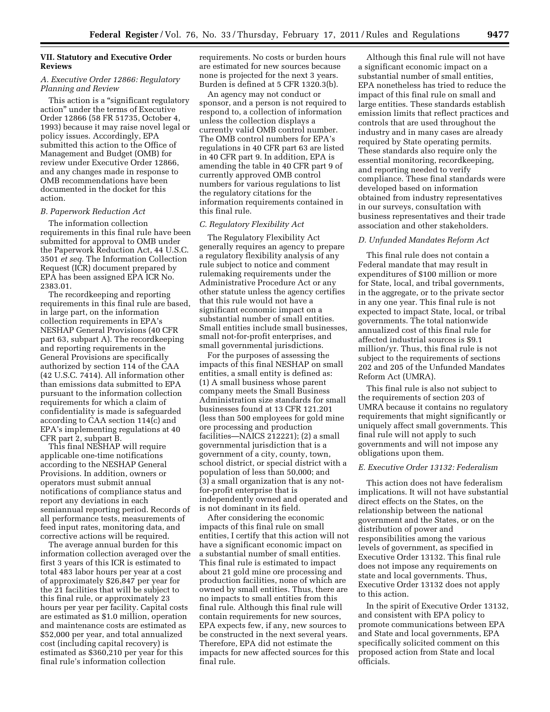# **VII. Statutory and Executive Order Reviews**

# *A. Executive Order 12866: Regulatory Planning and Review*

This action is a ''significant regulatory action'' under the terms of Executive Order 12866 (58 FR 51735, October 4, 1993) because it may raise novel legal or policy issues. Accordingly, EPA submitted this action to the Office of Management and Budget (OMB) for review under Executive Order 12866, and any changes made in response to OMB recommendations have been documented in the docket for this action.

# *B. Paperwork Reduction Act*

The information collection requirements in this final rule have been submitted for approval to OMB under the Paperwork Reduction Act, 44 U.S.C. 3501 *et seq.* The Information Collection Request (ICR) document prepared by EPA has been assigned EPA ICR No. 2383.01.

The recordkeeping and reporting requirements in this final rule are based, in large part, on the information collection requirements in EPA's NESHAP General Provisions (40 CFR part 63, subpart A). The recordkeeping and reporting requirements in the General Provisions are specifically authorized by section 114 of the CAA (42 U.S.C. 7414). All information other than emissions data submitted to EPA pursuant to the information collection requirements for which a claim of confidentiality is made is safeguarded according to CAA section 114(c) and EPA's implementing regulations at 40 CFR part 2, subpart B.

This final NESHAP will require applicable one-time notifications according to the NESHAP General Provisions. In addition, owners or operators must submit annual notifications of compliance status and report any deviations in each semiannual reporting period. Records of all performance tests, measurements of feed input rates, monitoring data, and corrective actions will be required.

The average annual burden for this information collection averaged over the first 3 years of this ICR is estimated to total 483 labor hours per year at a cost of approximately \$26,847 per year for the 21 facilities that will be subject to this final rule, or approximately 23 hours per year per facility. Capital costs are estimated as \$1.0 million, operation and maintenance costs are estimated as \$52,000 per year, and total annualized cost (including capital recovery) is estimated as \$360,210 per year for this final rule's information collection

requirements. No costs or burden hours are estimated for new sources because none is projected for the next 3 years. Burden is defined at 5 CFR 1320.3(b).

An agency may not conduct or sponsor, and a person is not required to respond to, a collection of information unless the collection displays a currently valid OMB control number. The OMB control numbers for EPA's regulations in 40 CFR part 63 are listed in 40 CFR part 9. In addition, EPA is amending the table in 40 CFR part 9 of currently approved OMB control numbers for various regulations to list the regulatory citations for the information requirements contained in this final rule.

#### *C. Regulatory Flexibility Act*

The Regulatory Flexibility Act generally requires an agency to prepare a regulatory flexibility analysis of any rule subject to notice and comment rulemaking requirements under the Administrative Procedure Act or any other statute unless the agency certifies that this rule would not have a significant economic impact on a substantial number of small entities. Small entities include small businesses, small not-for-profit enterprises, and small governmental jurisdictions.

For the purposes of assessing the impacts of this final NESHAP on small entities, a small entity is defined as: (1) A small business whose parent company meets the Small Business Administration size standards for small businesses found at 13 CFR 121.201 (less than 500 employees for gold mine ore processing and production facilities—NAICS 212221); (2) a small governmental jurisdiction that is a government of a city, county, town, school district, or special district with a population of less than 50,000; and (3) a small organization that is any notfor-profit enterprise that is independently owned and operated and is not dominant in its field.

After considering the economic impacts of this final rule on small entities, I certify that this action will not have a significant economic impact on a substantial number of small entities. This final rule is estimated to impact about 21 gold mine ore processing and production facilities, none of which are owned by small entities. Thus, there are no impacts to small entities from this final rule. Although this final rule will contain requirements for new sources, EPA expects few, if any, new sources to be constructed in the next several years. Therefore, EPA did not estimate the impacts for new affected sources for this final rule.

Although this final rule will not have a significant economic impact on a substantial number of small entities, EPA nonetheless has tried to reduce the impact of this final rule on small and large entities. These standards establish emission limits that reflect practices and controls that are used throughout the industry and in many cases are already required by State operating permits. These standards also require only the essential monitoring, recordkeeping, and reporting needed to verify compliance. These final standards were developed based on information obtained from industry representatives in our surveys, consultation with business representatives and their trade association and other stakeholders.

# *D. Unfunded Mandates Reform Act*

This final rule does not contain a Federal mandate that may result in expenditures of \$100 million or more for State, local, and tribal governments, in the aggregate, or to the private sector in any one year. This final rule is not expected to impact State, local, or tribal governments. The total nationwide annualized cost of this final rule for affected industrial sources is \$9.1 million/yr. Thus, this final rule is not subject to the requirements of sections 202 and 205 of the Unfunded Mandates Reform Act (UMRA).

This final rule is also not subject to the requirements of section 203 of UMRA because it contains no regulatory requirements that might significantly or uniquely affect small governments. This final rule will not apply to such governments and will not impose any obligations upon them.

#### *E. Executive Order 13132: Federalism*

This action does not have federalism implications. It will not have substantial direct effects on the States, on the relationship between the national government and the States, or on the distribution of power and responsibilities among the various levels of government, as specified in Executive Order 13132. This final rule does not impose any requirements on state and local governments. Thus, Executive Order 13132 does not apply to this action.

In the spirit of Executive Order 13132, and consistent with EPA policy to promote communications between EPA and State and local governments, EPA specifically solicited comment on this proposed action from State and local officials.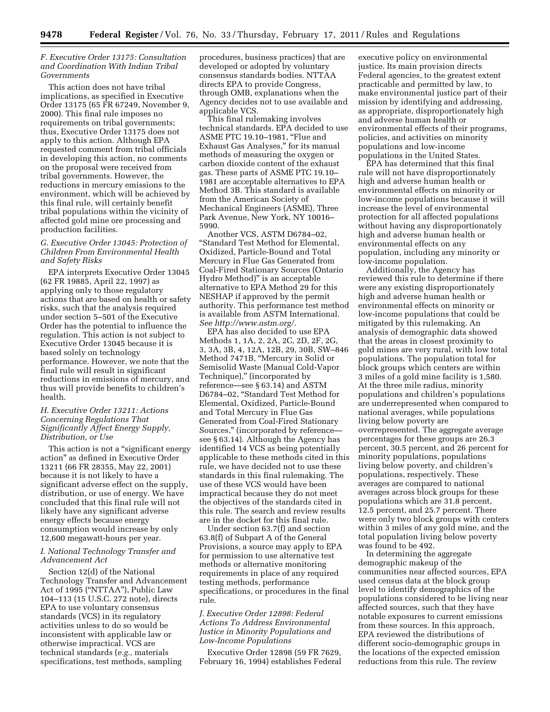# *F. Executive Order 13175: Consultation and Coordination With Indian Tribal Governments*

This action does not have tribal implications, as specified in Executive Order 13175 (65 FR 67249, November 9, 2000). This final rule imposes no requirements on tribal governments; thus, Executive Order 13175 does not apply to this action. Although EPA requested comment from tribal officials in developing this action, no comments on the proposal were received from tribal governments. However, the reductions in mercury emissions to the environment, which will be achieved by this final rule, will certainly benefit tribal populations within the vicinity of affected gold mine ore processing and production facilities.

# *G. Executive Order 13045: Protection of Children From Environmental Health and Safety Risks*

EPA interprets Executive Order 13045 (62 FR 19885, April 22, 1997) as applying only to those regulatory actions that are based on health or safety risks, such that the analysis required under section 5–501 of the Executive Order has the potential to influence the regulation. This action is not subject to Executive Order 13045 because it is based solely on technology performance. However, we note that the final rule will result in significant reductions in emissions of mercury, and thus will provide benefits to children's health.

# *H. Executive Order 13211: Actions Concerning Regulations That Significantly Affect Energy Supply, Distribution, or Use*

This action is not a "significant energy action'' as defined in Executive Order 13211 (66 FR 28355, May 22, 2001) because it is not likely to have a significant adverse effect on the supply, distribution, or use of energy. We have concluded that this final rule will not likely have any significant adverse energy effects because energy consumption would increase by only 12,600 megawatt-hours per year.

# *I. National Technology Transfer and Advancement Act*

Section 12(d) of the National Technology Transfer and Advancement Act of 1995 (''NTTAA''), Public Law 104–113 (15 U.S.C. 272 note), directs EPA to use voluntary consensus standards (VCS) in its regulatory activities unless to do so would be inconsistent with applicable law or otherwise impractical. VCS are technical standards (*e.g.,* materials specifications, test methods, sampling

procedures, business practices) that are developed or adopted by voluntary consensus standards bodies. NTTAA directs EPA to provide Congress, through OMB, explanations when the Agency decides not to use available and applicable VCS.

This final rulemaking involves technical standards. EPA decided to use ASME PTC 19.10-1981, "Flue and Exhaust Gas Analyses,'' for its manual methods of measuring the oxygen or carbon dioxide content of the exhaust gas. These parts of ASME PTC 19.10– 1981 are acceptable alternatives to EPA Method 3B. This standard is available from the American Society of Mechanical Engineers (ASME), Three Park Avenue, New York, NY 10016– 5990.

Another VCS, ASTM D6784–02, ''Standard Test Method for Elemental, Oxidized, Particle-Bound and Total Mercury in Flue Gas Generated from Coal-Fired Stationary Sources (Ontario Hydro Method)'' is an acceptable alternative to EPA Method 29 for this NESHAP if approved by the permit authority. This performance test method is available from ASTM International. *See [http://www.astm.org/.](http://www.astm.org/)* 

EPA has also decided to use EPA Methods 1, 1A, 2, 2A, 2C, 2D, 2F, 2G, 3, 3A, 3B, 4, 12A, 12B, 29, 30B, SW–846 Method 7471B, ''Mercury in Solid or Semisolid Waste (Manual Cold-Vapor Technique)," (incorporated by reference—see § 63.14) and ASTM D6784–02, ''Standard Test Method for Elemental, Oxidized, Particle-Bound and Total Mercury in Flue Gas Generated from Coal-Fired Stationary Sources,'' (incorporated by reference see § 63.14). Although the Agency has identified 14 VCS as being potentially applicable to these methods cited in this rule, we have decided not to use these standards in this final rulemaking. The use of these VCS would have been impractical because they do not meet the objectives of the standards cited in this rule. The search and review results are in the docket for this final rule.

Under section 63.7(f) and section 63.8(f) of Subpart A of the General Provisions, a source may apply to EPA for permission to use alternative test methods or alternative monitoring requirements in place of any required testing methods, performance specifications, or procedures in the final rule.

# *J. Executive Order 12898: Federal Actions To Address Environmental Justice in Minority Populations and Low-Income Populations*

Executive Order 12898 (59 FR 7629, February 16, 1994) establishes Federal

executive policy on environmental justice. Its main provision directs Federal agencies, to the greatest extent practicable and permitted by law, to make environmental justice part of their mission by identifying and addressing, as appropriate, disproportionately high and adverse human health or environmental effects of their programs, policies, and activities on minority populations and low-income populations in the United States.

EPA has determined that this final rule will not have disproportionately high and adverse human health or environmental effects on minority or low-income populations because it will increase the level of environmental protection for all affected populations without having any disproportionately high and adverse human health or environmental effects on any population, including any minority or low-income population.

Additionally, the Agency has reviewed this rule to determine if there were any existing disproportionately high and adverse human health or environmental effects on minority or low-income populations that could be mitigated by this rulemaking. An analysis of demographic data showed that the areas in closest proximity to gold mines are very rural, with low total populations. The population total for block groups which centers are within 3 miles of a gold mine facility is 1,580. At the three mile radius, minority populations and children's populations are underrepresented when compared to national averages, while populations living below poverty are overrepresented. The aggregate average percentages for these groups are 26.3 percent, 30.5 percent, and 26 percent for minority populations, populations living below poverty, and children's populations, respectively. These averages are compared to national averages across block groups for these populations which are 31.8 percent, 12.5 percent, and 25.7 percent. There were only two block groups with centers within 3 miles of any gold mine, and the total population living below poverty was found to be 492.

In determining the aggregate demographic makeup of the communities near affected sources, EPA used census data at the block group level to identify demographics of the populations considered to be living near affected sources, such that they have notable exposures to current emissions from these sources. In this approach, EPA reviewed the distributions of different socio-demographic groups in the locations of the expected emission reductions from this rule. The review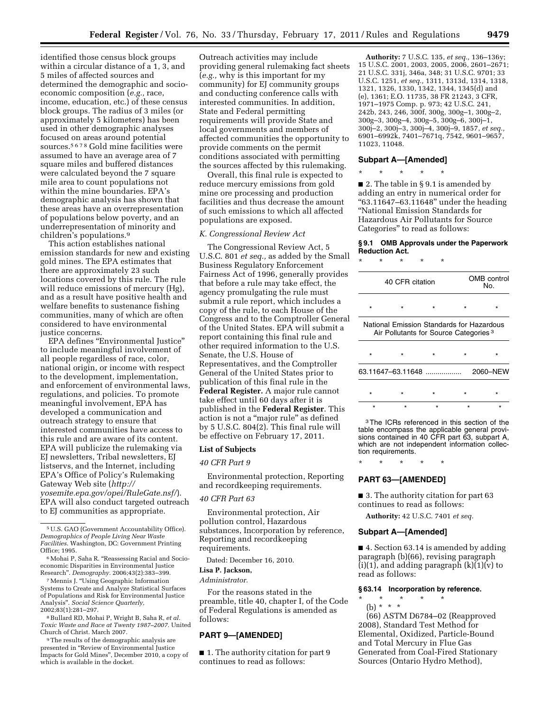identified those census block groups within a circular distance of a 1, 3, and 5 miles of affected sources and determined the demographic and socioeconomic composition (*e.g.,* race, income, education, etc.) of these census block groups. The radius of 3 miles (or approximately 5 kilometers) has been used in other demographic analyses focused on areas around potential sources.5678 Gold mine facilities were assumed to have an average area of 7 square miles and buffered distances were calculated beyond the 7 square mile area to count populations not within the mine boundaries. EPA's demographic analysis has shown that these areas have an overrepresentation of populations below poverty, and an underrepresentation of minority and children's populations.9

This action establishes national emission standards for new and existing gold mines. The EPA estimates that there are approximately 23 such locations covered by this rule. The rule will reduce emissions of mercury (Hg), and as a result have positive health and welfare benefits to sustenance fishing communities, many of which are often considered to have environmental justice concerns.

EPA defines ''Environmental Justice'' to include meaningful involvement of all people regardless of race, color, national origin, or income with respect to the development, implementation, and enforcement of environmental laws, regulations, and policies. To promote meaningful involvement, EPA has developed a communication and outreach strategy to ensure that interested communities have access to this rule and are aware of its content. EPA will publicize the rulemaking via EJ newsletters, Tribal newsletters, EJ listservs, and the Internet, including EPA's Office of Policy's Rulemaking Gateway Web site (*[http://](http://yosemite.epa.gov/opei/RuleGate.nsf/) [yosemite.epa.gov/opei/RuleGate.nsf/](http://yosemite.epa.gov/opei/RuleGate.nsf/)*). EPA will also conduct targeted outreach to EJ communities as appropriate.

7Mennis J. ''Using Geographic Information Systems to Create and Analyze Statistical Surfaces of Populations and Risk for Environmental Justice Analysis''. *Social Science Quarterly,*  2002;83(1):281–297.

8Bullard RD, Mohai P, Wright B, Saha R, *et al. Toxic Waste and Race at Twenty 1987–2007.* United Church of Christ. March 2007.

9The results of the demographic analysis are presented in ''Review of Environmental Justice Impacts for Gold Mines'', December 2010, a copy of which is available in the docket.

Outreach activities may include providing general rulemaking fact sheets (*e.g.,* why is this important for my community) for EJ community groups and conducting conference calls with interested communities. In addition, State and Federal permitting requirements will provide State and local governments and members of affected communities the opportunity to provide comments on the permit conditions associated with permitting the sources affected by this rulemaking.

Overall, this final rule is expected to reduce mercury emissions from gold mine ore processing and production facilities and thus decrease the amount of such emissions to which all affected populations are exposed.

#### *K. Congressional Review Act*

The Congressional Review Act, 5 U.S.C. 801 *et seq.,* as added by the Small Business Regulatory Enforcement Fairness Act of 1996, generally provides that before a rule may take effect, the agency promulgating the rule must submit a rule report, which includes a copy of the rule, to each House of the Congress and to the Comptroller General of the United States. EPA will submit a report containing this final rule and other required information to the U.S. Senate, the U.S. House of Representatives, and the Comptroller General of the United States prior to publication of this final rule in the **Federal Register.** A major rule cannot take effect until 60 days after it is published in the **Federal Register**. This action is not a ''major rule'' as defined by 5 U.S.C. 804(2). This final rule will be effective on February 17, 2011.

#### **List of Subjects**

## *40 CFR Part 9*

Environmental protection, Reporting and recordkeeping requirements.

#### *40 CFR Part 63*

Environmental protection, Air pollution control, Hazardous substances, Incorporation by reference, Reporting and recordkeeping requirements.

Dated: December 16, 2010.

# **Lisa P. Jackson,**

*Administrator.* 

For the reasons stated in the preamble, title 40, chapter I, of the Code of Federal Regulations is amended as follows:

# **PART 9—[AMENDED]**

■ 1. The authority citation for part 9 continues to read as follows:

**Authority:** 7 U.S.C. 135, *et seq.,* 136–136y; 15 U.S.C. 2001, 2003, 2005, 2006, 2601–2671; 21 U.S.C. 331j, 346a, 348; 31 U.S.C. 9701; 33 U.S.C. 1251, *et seq.,* 1311, 1313d, 1314, 1318, 1321, 1326, 1330, 1342, 1344, 1345(d) and (e), 1361; E.O. 11735, 38 FR 21243, 3 CFR, 1971–1975 Comp. p. 973; 42 U.S.C. 241, 242b, 243, 246, 300f, 300g, 300g–1, 300g–2, 300g–3, 300g–4, 300g–5, 300g–6, 300j–1, 300j–2, 300j–3, 300j–4, 300j–9, 1857, *et seq.,*  6901–6992k, 7401–7671q, 7542, 9601–9657, 11023, 11048.

## **Subpart A—[Amended]**

\* \* \* \* \* ■ 2. The table in § 9.1 is amended by adding an entry in numerical order for  $"63.11647 - 63.11648"$  under the heading ''National Emission Standards for Hazardous Air Pollutants for Source Categories'' to read as follows:

#### **§ 9.1 OMB Approvals under the Paperwork Reduction Act.**

| $^\star$ | ÷ | ÷                 | ÷ | ÷                                                 |                                           |
|----------|---|-------------------|---|---------------------------------------------------|-------------------------------------------|
|          |   | 40 CFR citation   |   |                                                   | OMB control<br>N٥.                        |
| $\star$  |   |                   |   |                                                   |                                           |
|          |   |                   |   | Air Pollutants for Source Categories <sup>3</sup> | National Emission Standards for Hazardous |
| $\star$  |   |                   |   | ÷                                                 |                                           |
|          |   | 63.11647-63.11648 |   |                                                   | 2060-NFW                                  |

\* \* \* \* \* \*\*\*\*\*

3The ICRs referenced in this section of the table encompass the applicable general provisions contained in 40 CFR part 63, subpart A, which are not independent information collection requirements.

\* \* \* \* \*

# **PART 63—[AMENDED]**

■ 3. The authority citation for part 63 continues to read as follows:

**Authority:** 42 U.S.C. 7401 *et seq.* 

# **Subpart A—[Amended]**

■ 4. Section 63.14 is amended by adding paragraph (b)(66), revising paragraph  $(i)(1)$ , and adding paragraph  $(k)(1)(v)$  to read as follows:

# **§ 63.14 Incorporation by reference.**

- \* \* \* \* \*
- (b) \* \* \* (66) ASTM D6784–02 (Reapproved 2008), Standard Test Method for Elemental, Oxidized, Particle-Bound and Total Mercury in Flue Gas Generated from Coal-Fired Stationary Sources (Ontario Hydro Method),

<sup>5</sup>U.S. GAO (Government Accountability Office). *Demographics of People Living Near Waste Facilities.* Washington, DC: Government Printing Office; 1995.

<sup>6</sup>Mohai P, Saha R. ''Reassessing Racial and Socioeconomic Disparities in Environmental Justice Research''. *Demography.* 2006;43(2):383–399.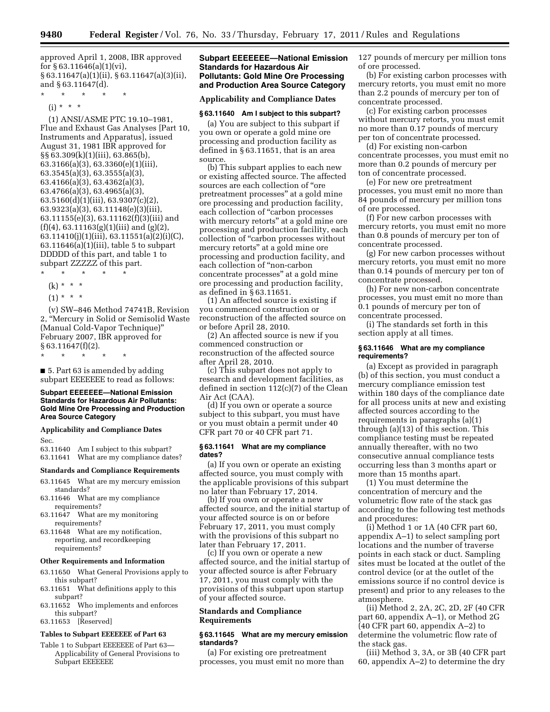approved April 1, 2008, IBR approved for  $\S 63.11646(a)(1)(vi)$ , § 63.11647(a)(1)(ii), § 63.11647(a)(3)(ii), and § 63.11647(d).

\* \* \* \* \*

 $(i) * * * *$ 

(1) ANSI/ASME PTC 19.10–1981, Flue and Exhaust Gas Analyses [Part 10, Instruments and Apparatus], issued August 31, 1981 IBR approved for §§ 63.309(k)(1)(iii), 63.865(b), 63.3166(a)(3), 63.3360(e)(1)(iii), 63.3545(a)(3), 63.3555(a)(3), 63.4166(a)(3), 63.4362(a)(3), 63.4766(a)(3), 63.4965(a)(3), 63.5160(d)(1)(iii), 63.9307(c)(2), 63.9323(a)(3), 63.11148(e)(3)(iii), 63.11155(e)(3), 63.11162(f)(3)(iii) and  $(f)(4)$ , 63.11163(g)(1)(iii) and (g)(2), 63.11410(j)(1)(iii), 63.11551(a)(2)(i)(C), 63.11646(a)(1)(iii), table 5 to subpart DDDDD of this part, and table 1 to subpart ZZZZZ of this part.

- \* \* \* \* \*
- $(k) * * * *$
- $(1) * * * *$

(v) SW–846 Method 74741B, Revision 2, ''Mercury in Solid or Semisolid Waste (Manual Cold-Vapor Technique)'' February 2007, IBR approved for  $§ 63.11647(f)(2).$ 

\* \* \* \* \*

■ 5. Part 63 is amended by adding subpart EEEEEEE to read as follows:

# **Subpart EEEEEEE—National Emission Standards for Hazardous Air Pollutants: Gold Mine Ore Processing and Production Area Source Category**

**Applicability and Compliance Dates** 

Sec.

63.11640 Am I subject to this subpart? 63.11641 What are my compliance dates?

#### **Standards and Compliance Requirements**

- 63.11645 What are my mercury emission standards?
- 63.11646 What are my compliance requirements?
- 63.11647 What are my monitoring requirements?
- 63.11648 What are my notification, reporting, and recordkeeping requirements?

#### **Other Requirements and Information**

- 63.11650 What General Provisions apply to this subpart?
- 63.11651 What definitions apply to this subpart?
- 63.11652 Who implements and enforces this subpart?
- 63.11653 [Reserved]

#### **Tables to Subpart EEEEEEE of Part 63**

Table 1 to Subpart EEEEEEE of Part 63— Applicability of General Provisions to Subpart EEEEEEE

# **Subpart EEEEEEE—National Emission Standards for Hazardous Air Pollutants: Gold Mine Ore Processing and Production Area Source Category**

## **Applicability and Compliance Dates**

# **§ 63.11640 Am I subject to this subpart?**

(a) You are subject to this subpart if you own or operate a gold mine ore processing and production facility as defined in § 63.11651, that is an area source.

(b) This subpart applies to each new or existing affected source. The affected sources are each collection of ''ore pretreatment processes'' at a gold mine ore processing and production facility, each collection of "carbon processes with mercury retorts'' at a gold mine ore processing and production facility, each collection of ''carbon processes without mercury retorts'' at a gold mine ore processing and production facility, and each collection of ''non-carbon concentrate processes'' at a gold mine ore processing and production facility, as defined in § 63.11651.

(1) An affected source is existing if you commenced construction or reconstruction of the affected source on or before April 28, 2010.

(2) An affected source is new if you commenced construction or reconstruction of the affected source after April 28, 2010.

(c) This subpart does not apply to research and development facilities, as defined in section 112(c)(7) of the Clean Air Act (CAA).

(d) If you own or operate a source subject to this subpart, you must have or you must obtain a permit under 40 CFR part 70 or 40 CFR part 71.

#### **§ 63.11641 What are my compliance dates?**

(a) If you own or operate an existing affected source, you must comply with the applicable provisions of this subpart no later than February 17, 2014.

(b) If you own or operate a new affected source, and the initial startup of your affected source is on or before February 17, 2011, you must comply with the provisions of this subpart no later than February 17, 2011.

(c) If you own or operate a new affected source, and the initial startup of your affected source is after February 17, 2011, you must comply with the provisions of this subpart upon startup of your affected source.

# **Standards and Compliance Requirements**

## **§ 63.11645 What are my mercury emission standards?**

(a) For existing ore pretreatment processes, you must emit no more than 127 pounds of mercury per million tons of ore processed.

(b) For existing carbon processes with mercury retorts, you must emit no more than 2.2 pounds of mercury per ton of concentrate processed.

(c) For existing carbon processes without mercury retorts, you must emit no more than 0.17 pounds of mercury per ton of concentrate processed.

(d) For existing non-carbon concentrate processes, you must emit no more than 0.2 pounds of mercury per ton of concentrate processed.

(e) For new ore pretreatment processes, you must emit no more than 84 pounds of mercury per million tons of ore processed.

(f) For new carbon processes with mercury retorts, you must emit no more than 0.8 pounds of mercury per ton of concentrate processed.

(g) For new carbon processes without mercury retorts, you must emit no more than 0.14 pounds of mercury per ton of concentrate processed.

(h) For new non-carbon concentrate processes, you must emit no more than 0.1 pounds of mercury per ton of concentrate processed.

(i) The standards set forth in this section apply at all times.

# **§ 63.11646 What are my compliance requirements?**

(a) Except as provided in paragraph (b) of this section, you must conduct a mercury compliance emission test within 180 days of the compliance date for all process units at new and existing affected sources according to the requirements in paragraphs (a)(1) through (a)(13) of this section. This compliance testing must be repeated annually thereafter, with no two consecutive annual compliance tests occurring less than 3 months apart or more than 15 months apart.

(1) You must determine the concentration of mercury and the volumetric flow rate of the stack gas according to the following test methods and procedures:

(i) Method 1 or 1A (40 CFR part 60, appendix A–1) to select sampling port locations and the number of traverse points in each stack or duct. Sampling sites must be located at the outlet of the control device (or at the outlet of the emissions source if no control device is present) and prior to any releases to the atmosphere.

(ii) Method 2, 2A, 2C, 2D, 2F (40 CFR part 60, appendix A–1), or Method 2G (40 CFR part 60, appendix A–2) to determine the volumetric flow rate of the stack gas.

(iii) Method 3, 3A, or 3B (40 CFR part 60, appendix A–2) to determine the dry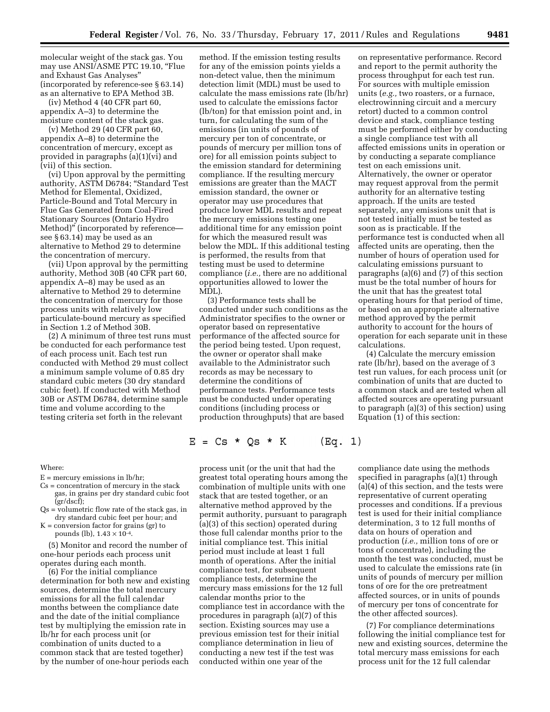molecular weight of the stack gas. You may use ANSI/ASME PTC 19.10, "Flue and Exhaust Gas Analyses'' (incorporated by reference-see § 63.14) as an alternative to EPA Method 3B.

(iv) Method 4 (40 CFR part 60, appendix A–3) to determine the moisture content of the stack gas.

(v) Method 29 (40 CFR part 60, appendix A–8) to determine the concentration of mercury, except as provided in paragraphs (a)(1)(vi) and (vii) of this section.

(vi) Upon approval by the permitting authority, ASTM D6784; ''Standard Test Method for Elemental, Oxidized, Particle-Bound and Total Mercury in Flue Gas Generated from Coal-Fired Stationary Sources (Ontario Hydro Method)'' (incorporated by reference see § 63.14) may be used as an alternative to Method 29 to determine the concentration of mercury.

(vii) Upon approval by the permitting authority, Method 30B (40 CFR part 60, appendix A–8) may be used as an alternative to Method 29 to determine the concentration of mercury for those process units with relatively low particulate-bound mercury as specified in Section 1.2 of Method 30B.

(2) A minimum of three test runs must be conducted for each performance test of each process unit. Each test run conducted with Method 29 must collect a minimum sample volume of 0.85 dry standard cubic meters (30 dry standard cubic feet). If conducted with Method 30B or ASTM D6784, determine sample time and volume according to the testing criteria set forth in the relevant

Where:

- $E =$  mercury emissions in  $lb/hr$ ;
- Cs = concentration of mercury in the stack gas, in grains per dry standard cubic foot (gr/dscf);
- $Qs$  = volumetric flow rate of the stack gas, in dry standard cubic feet per hour; and
- $K =$  conversion factor for grains (gr) to pounds (lb),  $1.43 \times 10^{-4}$ .

(5) Monitor and record the number of one-hour periods each process unit operates during each month.

(6) For the initial compliance determination for both new and existing sources, determine the total mercury emissions for all the full calendar months between the compliance date and the date of the initial compliance test by multiplying the emission rate in lb/hr for each process unit (or combination of units ducted to a common stack that are tested together) by the number of one-hour periods each

method. If the emission testing results for any of the emission points yields a non-detect value, then the minimum detection limit (MDL) must be used to calculate the mass emissions rate (lb/hr) used to calculate the emissions factor (lb/ton) for that emission point and, in turn, for calculating the sum of the emissions (in units of pounds of mercury per ton of concentrate, or pounds of mercury per million tons of ore) for all emission points subject to the emission standard for determining compliance. If the resulting mercury emissions are greater than the MACT emission standard, the owner or operator may use procedures that produce lower MDL results and repeat the mercury emissions testing one additional time for any emission point for which the measured result was below the MDL. If this additional testing is performed, the results from that testing must be used to determine compliance (*i.e.,* there are no additional opportunities allowed to lower the MDL).

(3) Performance tests shall be conducted under such conditions as the Administrator specifies to the owner or operator based on representative performance of the affected source for the period being tested. Upon request, the owner or operator shall make available to the Administrator such records as may be necessary to determine the conditions of performance tests. Performance tests must be conducted under operating conditions (including process or production throughputs) that are based

 $E = Cs * Qs * K$ (Eq. 1)

process unit (or the unit that had the greatest total operating hours among the combination of multiple units with one stack that are tested together, or an alternative method approved by the permit authority, pursuant to paragraph (a)(3) of this section) operated during those full calendar months prior to the initial compliance test. This initial period must include at least 1 full month of operations. After the initial compliance test, for subsequent compliance tests, determine the mercury mass emissions for the 12 full calendar months prior to the compliance test in accordance with the procedures in paragraph (a)(7) of this section. Existing sources may use a previous emission test for their initial compliance determination in lieu of conducting a new test if the test was conducted within one year of the

on representative performance. Record and report to the permit authority the process throughput for each test run. For sources with multiple emission units (*e.g.,* two roasters, or a furnace, electrowinning circuit and a mercury retort) ducted to a common control device and stack, compliance testing must be performed either by conducting a single compliance test with all affected emissions units in operation or by conducting a separate compliance test on each emissions unit. Alternatively, the owner or operator may request approval from the permit authority for an alternative testing approach. If the units are tested separately, any emissions unit that is not tested initially must be tested as soon as is practicable. If the performance test is conducted when all affected units are operating, then the number of hours of operation used for calculating emissions pursuant to paragraphs (a)(6) and (7) of this section must be the total number of hours for the unit that has the greatest total operating hours for that period of time, or based on an appropriate alternative method approved by the permit authority to account for the hours of operation for each separate unit in these calculations.

(4) Calculate the mercury emission rate (lb/hr), based on the average of 3 test run values, for each process unit (or combination of units that are ducted to a common stack and are tested when all affected sources are operating pursuant to paragraph (a)(3) of this section) using Equation (1) of this section:

compliance date using the methods specified in paragraphs (a)(1) through (a)(4) of this section, and the tests were representative of current operating processes and conditions. If a previous test is used for their initial compliance determination, 3 to 12 full months of data on hours of operation and production (*i.e.,* million tons of ore or tons of concentrate), including the month the test was conducted, must be used to calculate the emissions rate (in units of pounds of mercury per million tons of ore for the ore pretreatment affected sources, or in units of pounds of mercury per tons of concentrate for the other affected sources).

(7) For compliance determinations following the initial compliance test for new and existing sources, determine the total mercury mass emissions for each process unit for the 12 full calendar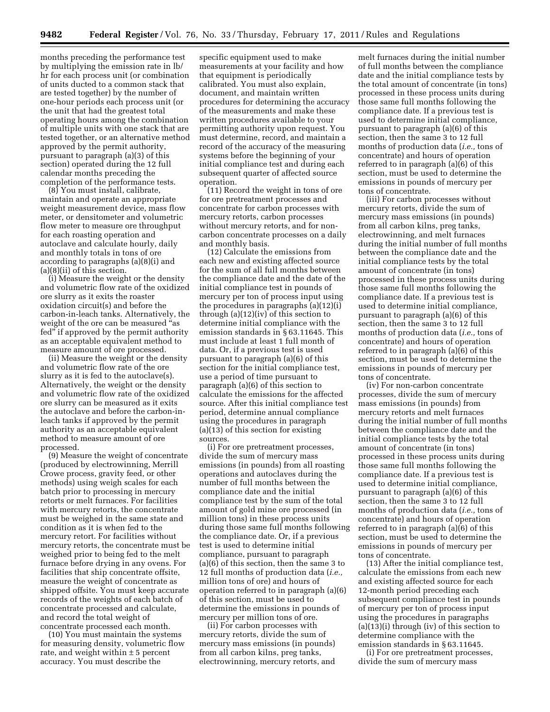months preceding the performance test by multiplying the emission rate in lb/ hr for each process unit (or combination of units ducted to a common stack that are tested together) by the number of one-hour periods each process unit (or the unit that had the greatest total operating hours among the combination of multiple units with one stack that are tested together, or an alternative method approved by the permit authority, pursuant to paragraph (a)(3) of this section) operated during the 12 full calendar months preceding the completion of the performance tests.

(8) You must install, calibrate, maintain and operate an appropriate weight measurement device, mass flow meter, or densitometer and volumetric flow meter to measure ore throughput for each roasting operation and autoclave and calculate hourly, daily and monthly totals in tons of ore according to paragraphs (a)(8)(i) and (a)(8)(ii) of this section.

(i) Measure the weight or the density and volumetric flow rate of the oxidized ore slurry as it exits the roaster oxidation circuit(s) and before the carbon-in-leach tanks. Alternatively, the weight of the ore can be measured "as fed'' if approved by the permit authority as an acceptable equivalent method to measure amount of ore processed.

(ii) Measure the weight or the density and volumetric flow rate of the ore slurry as it is fed to the autoclave(s). Alternatively, the weight or the density and volumetric flow rate of the oxidized ore slurry can be measured as it exits the autoclave and before the carbon-inleach tanks if approved by the permit authority as an acceptable equivalent method to measure amount of ore processed.

(9) Measure the weight of concentrate (produced by electrowinning, Merrill Crowe process, gravity feed, or other methods) using weigh scales for each batch prior to processing in mercury retorts or melt furnaces. For facilities with mercury retorts, the concentrate must be weighed in the same state and condition as it is when fed to the mercury retort. For facilities without mercury retorts, the concentrate must be weighed prior to being fed to the melt furnace before drying in any ovens. For facilities that ship concentrate offsite, measure the weight of concentrate as shipped offsite. You must keep accurate records of the weights of each batch of concentrate processed and calculate, and record the total weight of concentrate processed each month.

(10) You must maintain the systems for measuring density, volumetric flow rate, and weight within  $\pm$  5 percent accuracy. You must describe the

specific equipment used to make measurements at your facility and how that equipment is periodically calibrated. You must also explain, document, and maintain written procedures for determining the accuracy of the measurements and make these written procedures available to your permitting authority upon request. You must determine, record, and maintain a record of the accuracy of the measuring systems before the beginning of your initial compliance test and during each subsequent quarter of affected source operation.

(11) Record the weight in tons of ore for ore pretreatment processes and concentrate for carbon processes with mercury retorts, carbon processes without mercury retorts, and for noncarbon concentrate processes on a daily and monthly basis.

(12) Calculate the emissions from each new and existing affected source for the sum of all full months between the compliance date and the date of the initial compliance test in pounds of mercury per ton of process input using the procedures in paragraphs (a)(12)(i) through (a)(12)(iv) of this section to determine initial compliance with the emission standards in § 63.11645. This must include at least 1 full month of data. Or, if a previous test is used pursuant to paragraph (a)(6) of this section for the initial compliance test, use a period of time pursuant to paragraph (a)(6) of this section to calculate the emissions for the affected source. After this initial compliance test period, determine annual compliance using the procedures in paragraph (a)(13) of this section for existing sources.

(i) For ore pretreatment processes, divide the sum of mercury mass emissions (in pounds) from all roasting operations and autoclaves during the number of full months between the compliance date and the initial compliance test by the sum of the total amount of gold mine ore processed (in million tons) in these process units during those same full months following the compliance date. Or, if a previous test is used to determine initial compliance, pursuant to paragraph (a)(6) of this section, then the same 3 to 12 full months of production data (*i.e.,*  million tons of ore) and hours of operation referred to in paragraph (a)(6) of this section, must be used to determine the emissions in pounds of mercury per million tons of ore.

(ii) For carbon processes with mercury retorts, divide the sum of mercury mass emissions (in pounds) from all carbon kilns, preg tanks, electrowinning, mercury retorts, and melt furnaces during the initial number of full months between the compliance date and the initial compliance tests by the total amount of concentrate (in tons) processed in these process units during those same full months following the compliance date. If a previous test is used to determine initial compliance, pursuant to paragraph (a)(6) of this section, then the same 3 to 12 full months of production data (*i.e.,* tons of concentrate) and hours of operation referred to in paragraph (a)(6) of this section, must be used to determine the emissions in pounds of mercury per tons of concentrate.

(iii) For carbon processes without mercury retorts, divide the sum of mercury mass emissions (in pounds) from all carbon kilns, preg tanks, electrowinning, and melt furnaces during the initial number of full months between the compliance date and the initial compliance tests by the total amount of concentrate (in tons) processed in these process units during those same full months following the compliance date. If a previous test is used to determine initial compliance, pursuant to paragraph (a)(6) of this section, then the same 3 to 12 full months of production data (*i.e.,* tons of concentrate) and hours of operation referred to in paragraph (a)(6) of this section, must be used to determine the emissions in pounds of mercury per tons of concentrate.

(iv) For non-carbon concentrate processes, divide the sum of mercury mass emissions (in pounds) from mercury retorts and melt furnaces during the initial number of full months between the compliance date and the initial compliance tests by the total amount of concentrate (in tons) processed in these process units during those same full months following the compliance date. If a previous test is used to determine initial compliance, pursuant to paragraph (a)(6) of this section, then the same 3 to 12 full months of production data (*i.e.,* tons of concentrate) and hours of operation referred to in paragraph (a)(6) of this section, must be used to determine the emissions in pounds of mercury per tons of concentrate.

(13) After the initial compliance test, calculate the emissions from each new and existing affected source for each 12-month period preceding each subsequent compliance test in pounds of mercury per ton of process input using the procedures in paragraphs  $(a)(13)(i)$  through  $(iv)$  of this section to determine compliance with the emission standards in § 63.11645.

(i) For ore pretreatment processes, divide the sum of mercury mass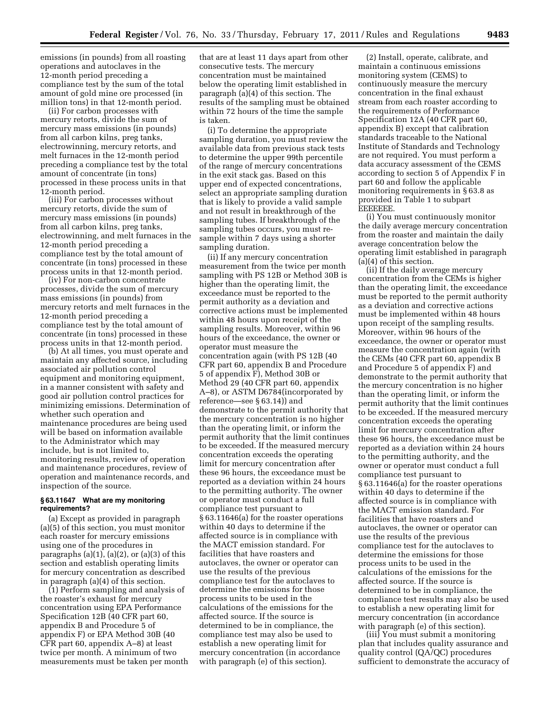emissions (in pounds) from all roasting operations and autoclaves in the 12-month period preceding a compliance test by the sum of the total amount of gold mine ore processed (in million tons) in that 12-month period.

(ii) For carbon processes with mercury retorts, divide the sum of mercury mass emissions (in pounds) from all carbon kilns, preg tanks, electrowinning, mercury retorts, and melt furnaces in the 12-month period preceding a compliance test by the total amount of concentrate (in tons) processed in these process units in that 12-month period.

(iii) For carbon processes without mercury retorts, divide the sum of mercury mass emissions (in pounds) from all carbon kilns, preg tanks, electrowinning, and melt furnaces in the 12-month period preceding a compliance test by the total amount of concentrate (in tons) processed in these process units in that 12-month period.

(iv) For non-carbon concentrate processes, divide the sum of mercury mass emissions (in pounds) from mercury retorts and melt furnaces in the 12-month period preceding a compliance test by the total amount of concentrate (in tons) processed in these process units in that 12-month period.

(b) At all times, you must operate and maintain any affected source, including associated air pollution control equipment and monitoring equipment, in a manner consistent with safety and good air pollution control practices for minimizing emissions. Determination of whether such operation and maintenance procedures are being used will be based on information available to the Administrator which may include, but is not limited to, monitoring results, review of operation and maintenance procedures, review of operation and maintenance records, and inspection of the source.

# **§ 63.11647 What are my monitoring requirements?**

(a) Except as provided in paragraph (a)(5) of this section, you must monitor each roaster for mercury emissions using one of the procedures in paragraphs  $(a)(1)$ ,  $(a)(2)$ , or  $(a)(3)$  of this section and establish operating limits for mercury concentration as described in paragraph (a)(4) of this section.

(1) Perform sampling and analysis of the roaster's exhaust for mercury concentration using EPA Performance Specification 12B (40 CFR part 60, appendix B and Procedure 5 of appendix F) or EPA Method 30B (40 CFR part 60, appendix A–8) at least twice per month. A minimum of two measurements must be taken per month

that are at least 11 days apart from other consecutive tests. The mercury concentration must be maintained below the operating limit established in paragraph (a)(4) of this section. The results of the sampling must be obtained within 72 hours of the time the sample is taken.

(i) To determine the appropriate sampling duration, you must review the available data from previous stack tests to determine the upper 99th percentile of the range of mercury concentrations in the exit stack gas. Based on this upper end of expected concentrations, select an appropriate sampling duration that is likely to provide a valid sample and not result in breakthrough of the sampling tubes. If breakthrough of the sampling tubes occurs, you must resample within 7 days using a shorter sampling duration.

(ii) If any mercury concentration measurement from the twice per month sampling with PS 12B or Method 30B is higher than the operating limit, the exceedance must be reported to the permit authority as a deviation and corrective actions must be implemented within 48 hours upon receipt of the sampling results. Moreover, within 96 hours of the exceedance, the owner or operator must measure the concentration again (with PS 12B (40 CFR part 60, appendix B and Procedure 5 of appendix F), Method 30B or Method 29 (40 CFR part 60, appendix A–8), or ASTM D6784(incorporated by reference—see § 63.14)) and demonstrate to the permit authority that the mercury concentration is no higher than the operating limit, or inform the permit authority that the limit continues to be exceeded. If the measured mercury concentration exceeds the operating limit for mercury concentration after these 96 hours, the exceedance must be reported as a deviation within 24 hours to the permitting authority. The owner or operator must conduct a full compliance test pursuant to § 63.11646(a) for the roaster operations within 40 days to determine if the affected source is in compliance with the MACT emission standard. For facilities that have roasters and autoclaves, the owner or operator can use the results of the previous compliance test for the autoclaves to determine the emissions for those process units to be used in the calculations of the emissions for the affected source. If the source is determined to be in compliance, the compliance test may also be used to establish a new operating limit for mercury concentration (in accordance with paragraph (e) of this section).

(2) Install, operate, calibrate, and maintain a continuous emissions monitoring system (CEMS) to continuously measure the mercury concentration in the final exhaust stream from each roaster according to the requirements of Performance Specification 12A (40 CFR part 60, appendix B) except that calibration standards traceable to the National Institute of Standards and Technology are not required. You must perform a data accuracy assessment of the CEMS according to section 5 of Appendix F in part 60 and follow the applicable monitoring requirements in § 63.8 as provided in Table 1 to subpart EEEEEEE.

(i) You must continuously monitor the daily average mercury concentration from the roaster and maintain the daily average concentration below the operating limit established in paragraph (a)(4) of this section.

(ii) If the daily average mercury concentration from the CEMs is higher than the operating limit, the exceedance must be reported to the permit authority as a deviation and corrective actions must be implemented within 48 hours upon receipt of the sampling results. Moreover, within 96 hours of the exceedance, the owner or operator must measure the concentration again (with the CEMs (40 CFR part 60, appendix B and Procedure 5 of appendix F) and demonstrate to the permit authority that the mercury concentration is no higher than the operating limit, or inform the permit authority that the limit continues to be exceeded. If the measured mercury concentration exceeds the operating limit for mercury concentration after these 96 hours, the exceedance must be reported as a deviation within 24 hours to the permitting authority, and the owner or operator must conduct a full compliance test pursuant to § 63.11646(a) for the roaster operations within 40 days to determine if the affected source is in compliance with the MACT emission standard. For facilities that have roasters and autoclaves, the owner or operator can use the results of the previous compliance test for the autoclaves to determine the emissions for those process units to be used in the calculations of the emissions for the affected source. If the source is determined to be in compliance, the compliance test results may also be used to establish a new operating limit for mercury concentration (in accordance with paragraph (e) of this section).

(iii) You must submit a monitoring plan that includes quality assurance and quality control (QA/QC) procedures sufficient to demonstrate the accuracy of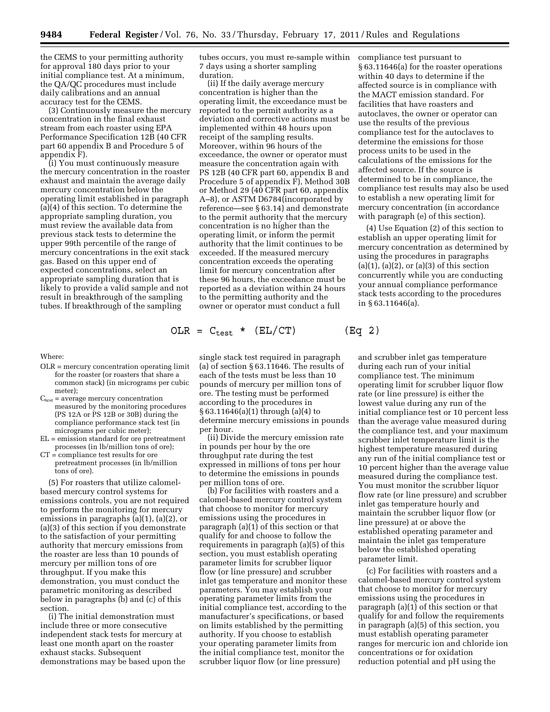the CEMS to your permitting authority for approval 180 days prior to your initial compliance test. At a minimum, the QA/QC procedures must include daily calibrations and an annual accuracy test for the CEMS.

(3) Continuously measure the mercury concentration in the final exhaust stream from each roaster using EPA Performance Specification 12B (40 CFR part 60 appendix B and Procedure 5 of appendix F).

(i) You must continuously measure the mercury concentration in the roaster exhaust and maintain the average daily mercury concentration below the operating limit established in paragraph (a)(4) of this section. To determine the appropriate sampling duration, you must review the available data from previous stack tests to determine the upper 99th percentile of the range of mercury concentrations in the exit stack gas. Based on this upper end of expected concentrations, select an appropriate sampling duration that is likely to provide a valid sample and not result in breakthrough of the sampling tubes. If breakthrough of the sampling

Where:

- OLR = mercury concentration operating limit for the roaster (or roasters that share a common stack) (in micrograms per cubic meter);
- $C_{test}$  = average mercury concentration measured by the monitoring procedures (PS 12A or PS 12B or 30B) during the compliance performance stack test (in micrograms per cubic meter);
- EL = emission standard for ore pretreatment processes (in lb/million tons of ore);
- CT = compliance test results for ore pretreatment processes (in lb/million tons of ore).

(5) For roasters that utilize calomelbased mercury control systems for emissions controls, you are not required to perform the monitoring for mercury emissions in paragraphs (a)(1), (a)(2), or (a)(3) of this section if you demonstrate to the satisfaction of your permitting authority that mercury emissions from the roaster are less than 10 pounds of mercury per million tons of ore throughput. If you make this demonstration, you must conduct the parametric monitoring as described below in paragraphs (b) and (c) of this section.

(i) The initial demonstration must include three or more consecutive independent stack tests for mercury at least one month apart on the roaster exhaust stacks. Subsequent demonstrations may be based upon the tubes occurs, you must re-sample within 7 days using a shorter sampling duration.

(ii) If the daily average mercury concentration is higher than the operating limit, the exceedance must be reported to the permit authority as a deviation and corrective actions must be implemented within 48 hours upon receipt of the sampling results. Moreover, within 96 hours of the exceedance, the owner or operator must measure the concentration again with PS 12B (40 CFR part 60, appendix B and Procedure 5 of appendix F), Method 30B or Method 29 (40 CFR part 60, appendix A–8), or ASTM D6784(incorporated by reference—see § 63.14) and demonstrate to the permit authority that the mercury concentration is no higher than the operating limit, or inform the permit authority that the limit continues to be exceeded. If the measured mercury concentration exceeds the operating limit for mercury concentration after these 96 hours, the exceedance must be reported as a deviation within 24 hours to the permitting authority and the owner or operator must conduct a full

$$
OLR = C_{test} * (EL/CT)
$$

single stack test required in paragraph (a) of section § 63.11646. The results of each of the tests must be less than 10 pounds of mercury per million tons of ore. The testing must be performed according to the procedures in § 63.11646(a)(1) through (a)(4) to determine mercury emissions in pounds per hour.

(ii) Divide the mercury emission rate in pounds per hour by the ore throughput rate during the test expressed in millions of tons per hour to determine the emissions in pounds per million tons of ore.

(b) For facilities with roasters and a calomel-based mercury control system that choose to monitor for mercury emissions using the procedures in paragraph (a)(1) of this section or that qualify for and choose to follow the requirements in paragraph (a)(5) of this section, you must establish operating parameter limits for scrubber liquor flow (or line pressure) and scrubber inlet gas temperature and monitor these parameters. You may establish your operating parameter limits from the initial compliance test, according to the manufacturer's specifications, or based on limits established by the permitting authority. If you choose to establish your operating parameter limits from the initial compliance test, monitor the scrubber liquor flow (or line pressure)

compliance test pursuant to § 63.11646(a) for the roaster operations within 40 days to determine if the affected source is in compliance with the MACT emission standard. For facilities that have roasters and autoclaves, the owner or operator can use the results of the previous compliance test for the autoclaves to determine the emissions for those process units to be used in the calculations of the emissions for the affected source. If the source is determined to be in compliance, the compliance test results may also be used to establish a new operating limit for mercury concentration (in accordance with paragraph (e) of this section).

(4) Use Equation (2) of this section to establish an upper operating limit for mercury concentration as determined by using the procedures in paragraphs  $(a)(1)$ ,  $(a)(2)$ , or  $(a)(3)$  of this section concurrently while you are conducting your annual compliance performance stack tests according to the procedures in § 63.11646(a).

 $(Eq 2)$ 

and scrubber inlet gas temperature during each run of your initial compliance test. The minimum operating limit for scrubber liquor flow rate (or line pressure) is either the lowest value during any run of the initial compliance test or 10 percent less than the average value measured during the compliance test, and your maximum scrubber inlet temperature limit is the highest temperature measured during any run of the initial compliance test or 10 percent higher than the average value measured during the compliance test. You must monitor the scrubber liquor flow rate (or line pressure) and scrubber inlet gas temperature hourly and maintain the scrubber liquor flow (or line pressure) at or above the established operating parameter and maintain the inlet gas temperature below the established operating parameter limit.

(c) For facilities with roasters and a calomel-based mercury control system that choose to monitor for mercury emissions using the procedures in paragraph (a)(1) of this section or that qualify for and follow the requirements in paragraph (a)(5) of this section, you must establish operating parameter ranges for mercuric ion and chloride ion concentrations or for oxidation reduction potential and pH using the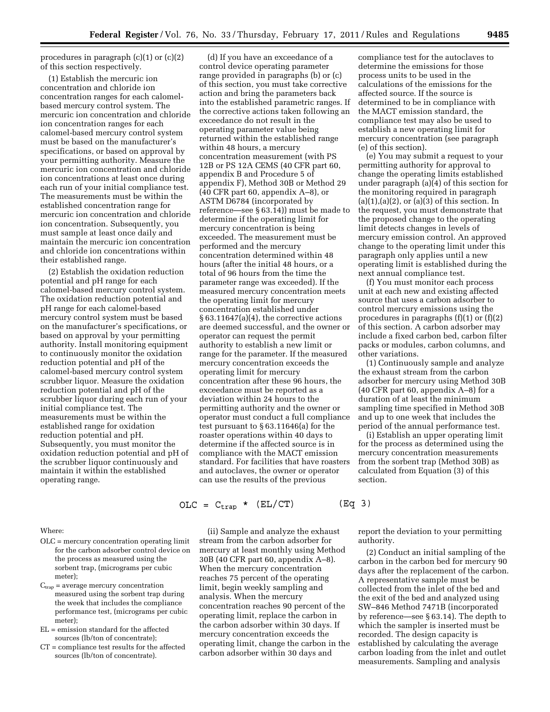procedures in paragraph (c)(1) or (c)(2) of this section respectively.

(1) Establish the mercuric ion concentration and chloride ion concentration ranges for each calomelbased mercury control system. The mercuric ion concentration and chloride ion concentration ranges for each calomel-based mercury control system must be based on the manufacturer's specifications, or based on approval by your permitting authority. Measure the mercuric ion concentration and chloride ion concentrations at least once during each run of your initial compliance test. The measurements must be within the established concentration range for mercuric ion concentration and chloride ion concentration. Subsequently, you must sample at least once daily and maintain the mercuric ion concentration and chloride ion concentrations within their established range.

(2) Establish the oxidation reduction potential and pH range for each calomel-based mercury control system. The oxidation reduction potential and pH range for each calomel-based mercury control system must be based on the manufacturer's specifications, or based on approval by your permitting authority. Install monitoring equipment to continuously monitor the oxidation reduction potential and pH of the calomel-based mercury control system scrubber liquor. Measure the oxidation reduction potential and pH of the scrubber liquor during each run of your initial compliance test. The measurements must be within the established range for oxidation reduction potential and pH. Subsequently, you must monitor the oxidation reduction potential and pH of the scrubber liquor continuously and maintain it within the established operating range.

Where:

- OLC = mercury concentration operating limit for the carbon adsorber control device on the process as measured using the sorbent trap, (micrograms per cubic meter);
- $C_{trap}$  = average mercury concentration measured using the sorbent trap during the week that includes the compliance performance test, (micrograms per cubic meter);
- EL = emission standard for the affected sources (lb/ton of concentrate);
- CT = compliance test results for the affected sources (lb/ton of concentrate).

(d) If you have an exceedance of a control device operating parameter range provided in paragraphs (b) or (c) of this section, you must take corrective action and bring the parameters back into the established parametric ranges. If the corrective actions taken following an exceedance do not result in the operating parameter value being returned within the established range within 48 hours, a mercury concentration measurement (with PS 12B or PS 12A CEMS (40 CFR part 60, appendix B and Procedure 5 of appendix F), Method 30B or Method 29 (40 CFR part 60, appendix A–8), or ASTM D6784 (incorporated by reference—see § 63.14)) must be made to determine if the operating limit for mercury concentration is being exceeded. The measurement must be performed and the mercury concentration determined within 48 hours (after the initial 48 hours, or a total of 96 hours from the time the parameter range was exceeded). If the measured mercury concentration meets the operating limit for mercury concentration established under § 63.11647(a)(4), the corrective actions are deemed successful, and the owner or operator can request the permit authority to establish a new limit or range for the parameter. If the measured mercury concentration exceeds the operating limit for mercury concentration after these 96 hours, the exceedance must be reported as a deviation within 24 hours to the permitting authority and the owner or operator must conduct a full compliance test pursuant to § 63.11646(a) for the roaster operations within 40 days to determine if the affected source is in compliance with the MACT emission standard. For facilities that have roasters and autoclaves, the owner or operator can use the results of the previous

compliance test for the autoclaves to determine the emissions for those process units to be used in the calculations of the emissions for the affected source. If the source is determined to be in compliance with the MACT emission standard, the compliance test may also be used to establish a new operating limit for mercury concentration (see paragraph (e) of this section).

(e) You may submit a request to your permitting authority for approval to change the operating limits established under paragraph (a)(4) of this section for the monitoring required in paragraph  $(a)(1), (a)(2),$  or  $(a)(3)$  of this section. In the request, you must demonstrate that the proposed change to the operating limit detects changes in levels of mercury emission control. An approved change to the operating limit under this paragraph only applies until a new operating limit is established during the next annual compliance test.

(f) You must monitor each process unit at each new and existing affected source that uses a carbon adsorber to control mercury emissions using the procedures in paragraphs  $(f)(1)$  or  $(f)(2)$ of this section. A carbon adsorber may include a fixed carbon bed, carbon filter packs or modules, carbon columns, and other variations.

(1) Continuously sample and analyze the exhaust stream from the carbon adsorber for mercury using Method 30B (40 CFR part 60, appendix A–8) for a duration of at least the minimum sampling time specified in Method 30B and up to one week that includes the period of the annual performance test.

(i) Establish an upper operating limit for the process as determined using the mercury concentration measurements from the sorbent trap (Method 30B) as calculated from Equation (3) of this section.

$$
OLC = Ctrap * (EL/CT)
$$
 (Eq 3)

(ii) Sample and analyze the exhaust stream from the carbon adsorber for mercury at least monthly using Method 30B (40 CFR part 60, appendix A–8). When the mercury concentration reaches 75 percent of the operating limit, begin weekly sampling and analysis. When the mercury concentration reaches 90 percent of the operating limit, replace the carbon in the carbon adsorber within 30 days. If mercury concentration exceeds the operating limit, change the carbon in the carbon adsorber within 30 days and

report the deviation to your permitting authority.

(2) Conduct an initial sampling of the carbon in the carbon bed for mercury 90 days after the replacement of the carbon. A representative sample must be collected from the inlet of the bed and the exit of the bed and analyzed using SW–846 Method 7471B (incorporated by reference—see § 63.14). The depth to which the sampler is inserted must be recorded. The design capacity is established by calculating the average carbon loading from the inlet and outlet measurements. Sampling and analysis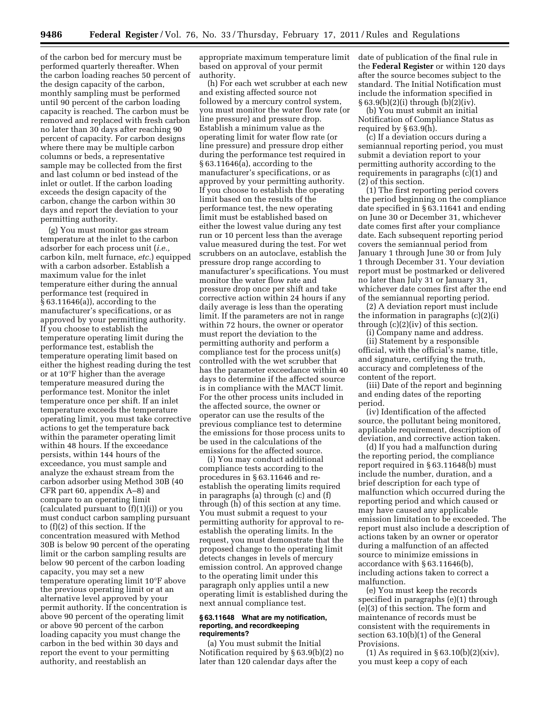of the carbon bed for mercury must be performed quarterly thereafter. When the carbon loading reaches 50 percent of the design capacity of the carbon, monthly sampling must be performed until 90 percent of the carbon loading capacity is reached. The carbon must be removed and replaced with fresh carbon no later than 30 days after reaching 90 percent of capacity. For carbon designs where there may be multiple carbon columns or beds, a representative sample may be collected from the first and last column or bed instead of the inlet or outlet. If the carbon loading exceeds the design capacity of the carbon, change the carbon within 30 days and report the deviation to your permitting authority.

(g) You must monitor gas stream temperature at the inlet to the carbon adsorber for each process unit (*i.e.,*  carbon kiln, melt furnace, *etc.*) equipped with a carbon adsorber. Establish a maximum value for the inlet temperature either during the annual performance test (required in § 63.11646(a)), according to the manufacturer's specifications, or as approved by your permitting authority. If you choose to establish the temperature operating limit during the performance test, establish the temperature operating limit based on either the highest reading during the test or at 10°F higher than the average temperature measured during the performance test. Monitor the inlet temperature once per shift. If an inlet temperature exceeds the temperature operating limit, you must take corrective actions to get the temperature back within the parameter operating limit within 48 hours. If the exceedance persists, within 144 hours of the exceedance, you must sample and analyze the exhaust stream from the carbon adsorber using Method 30B (40 CFR part 60, appendix A–8) and compare to an operating limit (calculated pursuant to  $(f)(1)(i)$ ) or you must conduct carbon sampling pursuant to (f)(2) of this section. If the concentration measured with Method 30B is below 90 percent of the operating limit or the carbon sampling results are below 90 percent of the carbon loading capacity, you may set a new temperature operating limit 10°F above the previous operating limit or at an alternative level approved by your permit authority. If the concentration is above 90 percent of the operating limit or above 90 percent of the carbon loading capacity you must change the carbon in the bed within 30 days and report the event to your permitting authority, and reestablish an

appropriate maximum temperature limit based on approval of your permit authority.

(h) For each wet scrubber at each new and existing affected source not followed by a mercury control system, you must monitor the water flow rate (or line pressure) and pressure drop. Establish a minimum value as the operating limit for water flow rate (or line pressure) and pressure drop either during the performance test required in § 63.11646(a), according to the manufacturer's specifications, or as approved by your permitting authority. If you choose to establish the operating limit based on the results of the performance test, the new operating limit must be established based on either the lowest value during any test run or 10 percent less than the average value measured during the test. For wet scrubbers on an autoclave, establish the pressure drop range according to manufacturer's specifications. You must monitor the water flow rate and pressure drop once per shift and take corrective action within 24 hours if any daily average is less than the operating limit. If the parameters are not in range within 72 hours, the owner or operator must report the deviation to the permitting authority and perform a compliance test for the process unit(s) controlled with the wet scrubber that has the parameter exceedance within 40 days to determine if the affected source is in compliance with the MACT limit. For the other process units included in the affected source, the owner or operator can use the results of the previous compliance test to determine the emissions for those process units to be used in the calculations of the emissions for the affected source.

(i) You may conduct additional compliance tests according to the procedures in § 63.11646 and reestablish the operating limits required in paragraphs (a) through (c) and (f) through (h) of this section at any time. You must submit a request to your permitting authority for approval to reestablish the operating limits. In the request, you must demonstrate that the proposed change to the operating limit detects changes in levels of mercury emission control. An approved change to the operating limit under this paragraph only applies until a new operating limit is established during the next annual compliance test.

# **§ 63.11648 What are my notification, reporting, and recordkeeping requirements?**

(a) You must submit the Initial Notification required by § 63.9(b)(2) no later than 120 calendar days after the

date of publication of the final rule in the **Federal Register** or within 120 days after the source becomes subject to the standard. The Initial Notification must include the information specified in § 63.9(b)(2)(i) through (b)(2)(iv).

(b) You must submit an initial Notification of Compliance Status as required by § 63.9(h).

(c) If a deviation occurs during a semiannual reporting period, you must submit a deviation report to your permitting authority according to the requirements in paragraphs (c)(1) and (2) of this section.

(1) The first reporting period covers the period beginning on the compliance date specified in § 63.11641 and ending on June 30 or December 31, whichever date comes first after your compliance date. Each subsequent reporting period covers the semiannual period from January 1 through June 30 or from July 1 through December 31. Your deviation report must be postmarked or delivered no later than July 31 or January 31, whichever date comes first after the end of the semiannual reporting period.

(2) A deviation report must include the information in paragraphs (c)(2)(i) through  $(c)(2)(iv)$  of this section.

(i) Company name and address.

(ii) Statement by a responsible official, with the official's name, title, and signature, certifying the truth, accuracy and completeness of the content of the report.

(iii) Date of the report and beginning and ending dates of the reporting period.

(iv) Identification of the affected source, the pollutant being monitored, applicable requirement, description of deviation, and corrective action taken.

(d) If you had a malfunction during the reporting period, the compliance report required in § 63.11648(b) must include the number, duration, and a brief description for each type of malfunction which occurred during the reporting period and which caused or may have caused any applicable emission limitation to be exceeded. The report must also include a description of actions taken by an owner or operator during a malfunction of an affected source to minimize emissions in accordance with § 63.11646(b), including actions taken to correct a malfunction.

(e) You must keep the records specified in paragraphs (e)(1) through (e)(3) of this section. The form and maintenance of records must be consistent with the requirements in section 63.10(b)(1) of the General Provisions.

(1) As required in  $\S 63.10(b)(2)(xiv)$ , you must keep a copy of each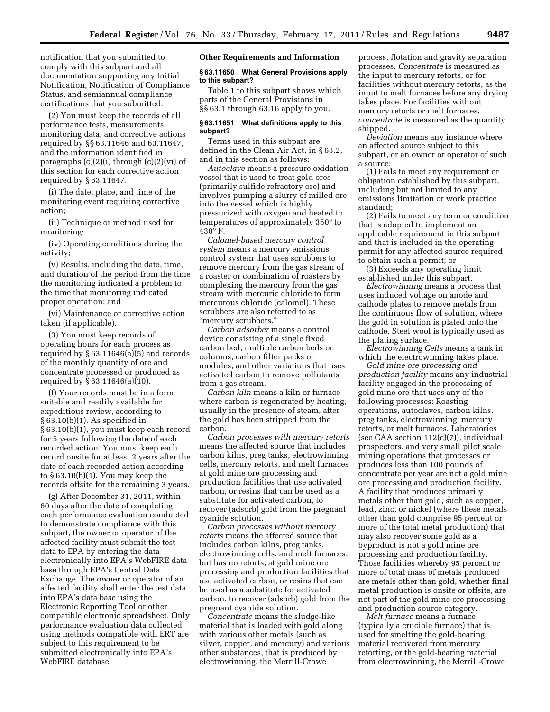notification that you submitted to comply with this subpart and all documentation supporting any Initial Notification, Notification of Compliance Status, and semiannual compliance certifications that you submitted.

(2) You must keep the records of all performance tests, measurements, monitoring data, and corrective actions required by §§ 63.11646 and 63.11647, and the information identified in paragraphs (c)(2)(i) through (c)(2)(vi) of this section for each corrective action required by § 63.11647.

(i) The date, place, and time of the monitoring event requiring corrective action;

(ii) Technique or method used for monitoring;

(iv) Operating conditions during the activity;

(v) Results, including the date, time, and duration of the period from the time the monitoring indicated a problem to the time that monitoring indicated proper operation; and

(vi) Maintenance or corrective action taken (if applicable).

(3) You must keep records of operating hours for each process as required by § 63.11646(a)(5) and records of the monthly quantity of ore and concentrate processed or produced as required by § 63.11646(a)(10).

(f) Your records must be in a form suitable and readily available for expeditious review, according to § 63.10(b)(1). As specified in § 63.10(b)(1), you must keep each record for 5 years following the date of each recorded action. You must keep each record onsite for at least 2 years after the date of each recorded action according to § 63.10(b)(1). You may keep the records offsite for the remaining 3 years.

(g) After December 31, 2011, within 60 days after the date of completing each performance evaluation conducted to demonstrate compliance with this subpart, the owner or operator of the affected facility must submit the test data to EPA by entering the data electronically into EPA's WebFIRE data base through EPA's Central Data Exchange. The owner or operator of an affected facility shall enter the test data into EPA's data base using the Electronic Reporting Tool or other compatible electronic spreadsheet. Only performance evaluation data collected using methods compatible with ERT are subject to this requirement to be submitted electronically into EPA's WebFIRE database.

#### **Other Requirements and Information**

## **§ 63.11650 What General Provisions apply to this subpart?**

Table 1 to this subpart shows which parts of the General Provisions in §§ 63.1 through 63.16 apply to you.

# **§ 63.11651 What definitions apply to this subpart?**

Terms used in this subpart are defined in the Clean Air Act, in § 63.2, and in this section as follows:

*Autoclave* means a pressure oxidation vessel that is used to treat gold ores (primarily sulfide refractory ore) and involves pumping a slurry of milled ore into the vessel which is highly pressurized with oxygen and heated to temperatures of approximately 350° to  $430^\circ$  F.

*Calomel-based mercury control system* means a mercury emissions control system that uses scrubbers to remove mercury from the gas stream of a roaster or combination of roasters by complexing the mercury from the gas stream with mercuric chloride to form mercurous chloride (calomel). These scrubbers are also referred to as ''mercury scrubbers.''

*Carbon adsorber* means a control device consisting of a single fixed carbon bed, multiple carbon beds or columns, carbon filter packs or modules, and other variations that uses activated carbon to remove pollutants from a gas stream.

*Carbon kiln* means a kiln or furnace where carbon is regenerated by heating, usually in the presence of steam, after the gold has been stripped from the carbon.

*Carbon processes with mercury retorts*  means the affected source that includes carbon kilns, preg tanks, electrowinning cells, mercury retorts, and melt furnaces at gold mine ore processing and production facilities that use activated carbon, or resins that can be used as a substitute for activated carbon, to recover (adsorb) gold from the pregnant cyanide solution.

*Carbon processes without mercury retorts* means the affected source that includes carbon kilns, preg tanks, electrowinning cells, and melt furnaces, but has no retorts, at gold mine ore processing and production facilities that use activated carbon, or resins that can be used as a substitute for activated carbon, to recover (adsorb) gold from the pregnant cyanide solution.

*Concentrate* means the sludge-like material that is loaded with gold along with various other metals (such as silver, copper, and mercury) and various other substances, that is produced by electrowinning, the Merrill-Crowe

process, flotation and gravity separation processes. *Concentrate* is measured as the input to mercury retorts, or for facilities without mercury retorts, as the input to melt furnaces before any drying takes place. For facilities without mercury retorts or melt furnaces, *concentrate* is measured as the quantity shipped.

*Deviation* means any instance where an affected source subject to this subpart, or an owner or operator of such a source:

(1) Fails to meet any requirement or obligation established by this subpart, including but not limited to any emissions limitation or work practice standard;

(2) Fails to meet any term or condition that is adopted to implement an applicable requirement in this subpart and that is included in the operating permit for any affected source required to obtain such a permit; or

(3) Exceeds any operating limit established under this subpart.

*Electrowinning* means a process that uses induced voltage on anode and cathode plates to remove metals from the continuous flow of solution, where the gold in solution is plated onto the cathode. Steel wool is typically used as the plating surface.

*Electrowinning Cells* means a tank in which the electrowinning takes place.

*Gold mine ore processing and production facility* means any industrial facility engaged in the processing of gold mine ore that uses any of the following processes: Roasting operations, autoclaves, carbon kilns, preg tanks, electrowinning, mercury retorts, or melt furnaces. Laboratories (see CAA section 112(c)(7)), individual prospectors, and very small pilot scale mining operations that processes or produces less than 100 pounds of concentrate per year are not a gold mine ore processing and production facility. A facility that produces primarily metals other than gold, such as copper, lead, zinc, or nickel (where these metals other than gold comprise 95 percent or more of the total metal production) that may also recover some gold as a byproduct is not a gold mine ore processing and production facility. Those facilities whereby 95 percent or more of total mass of metals produced are metals other than gold, whether final metal production is onsite or offsite, are not part of the gold mine ore processing and production source category.

*Melt furnace* means a furnace (typically a crucible furnace) that is used for smelting the gold-bearing material recovered from mercury retorting, or the gold-bearing material from electrowinning, the Merrill-Crowe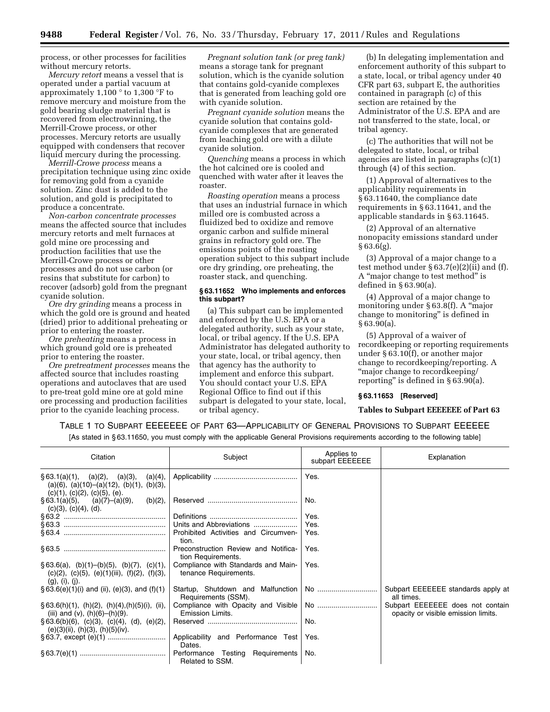process, or other processes for facilities without mercury retorts.

*Mercury retort* means a vessel that is operated under a partial vacuum at approximately  $1,100°$  to  $1,300°$  F to remove mercury and moisture from the gold bearing sludge material that is recovered from electrowinning, the Merrill-Crowe process, or other processes. Mercury retorts are usually equipped with condensers that recover liquid mercury during the processing.

*Merrill-Crowe process* means a precipitation technique using zinc oxide for removing gold from a cyanide solution. Zinc dust is added to the solution, and gold is precipitated to produce a concentrate.

*Non-carbon concentrate processes*  means the affected source that includes mercury retorts and melt furnaces at gold mine ore processing and production facilities that use the Merrill-Crowe process or other processes and do not use carbon (or resins that substitute for carbon) to recover (adsorb) gold from the pregnant cyanide solution.

*Ore dry grinding* means a process in which the gold ore is ground and heated (dried) prior to additional preheating or prior to entering the roaster.

*Ore preheating* means a process in which ground gold ore is preheated prior to entering the roaster.

*Ore pretreatment processes* means the affected source that includes roasting operations and autoclaves that are used to pre-treat gold mine ore at gold mine ore processing and production facilities prior to the cyanide leaching process.

*Pregnant solution tank (or preg tank)*  means a storage tank for pregnant solution, which is the cyanide solution that contains gold-cyanide complexes that is generated from leaching gold ore with cyanide solution.

*Pregnant cyanide solution* means the cyanide solution that contains goldcyanide complexes that are generated from leaching gold ore with a dilute cyanide solution.

*Quenching* means a process in which the hot calcined ore is cooled and quenched with water after it leaves the roaster.

*Roasting operation* means a process that uses an industrial furnace in which milled ore is combusted across a fluidized bed to oxidize and remove organic carbon and sulfide mineral grains in refractory gold ore. The emissions points of the roasting operation subject to this subpart include ore dry grinding, ore preheating, the roaster stack, and quenching.

# **§ 63.11652 Who implements and enforces this subpart?**

(a) This subpart can be implemented and enforced by the U.S. EPA or a delegated authority, such as your state, local, or tribal agency. If the U.S. EPA Administrator has delegated authority to your state, local, or tribal agency, then that agency has the authority to implement and enforce this subpart. You should contact your U.S. EPA Regional Office to find out if this subpart is delegated to your state, local, or tribal agency.

(b) In delegating implementation and enforcement authority of this subpart to a state, local, or tribal agency under 40 CFR part 63, subpart E, the authorities contained in paragraph (c) of this section are retained by the Administrator of the U.S. EPA and are not transferred to the state, local, or tribal agency.

(c) The authorities that will not be delegated to state, local, or tribal agencies are listed in paragraphs (c)(1) through (4) of this section.

(1) Approval of alternatives to the applicability requirements in § 63.11640, the compliance date requirements in § 63.11641, and the applicable standards in § 63.11645.

(2) Approval of an alternative nonopacity emissions standard under § 63.6(g).

(3) Approval of a major change to a test method under  $\S 63.7(e)(2)(ii)$  and (f). A ''major change to test method'' is defined in § 63.90(a).

(4) Approval of a major change to monitoring under § 63.8(f). A "major change to monitoring'' is defined in  $§ 63.90(a).$ 

(5) Approval of a waiver of recordkeeping or reporting requirements under § 63.10(f), or another major change to recordkeeping/reporting. A ''major change to recordkeeping/ reporting" is defined in  $\S 63.90(a)$ .

# **§ 63.11653 [Reserved]**

**Tables to Subpart EEEEEEE of Part 63** 

TABLE 1 TO SUBPART EEEEEEE OF PART 63—APPLICABILITY OF GENERAL PROVISIONS TO SUBPART EEEEEE

[As stated in § 63.11650, you must comply with the applicable General Provisions requirements according to the following table]

| Citation                                                                                                                                | Subject                                                      | Applies to<br>subpart EEEEEEE | Explanation                                                             |  |
|-----------------------------------------------------------------------------------------------------------------------------------------|--------------------------------------------------------------|-------------------------------|-------------------------------------------------------------------------|--|
| $\S 63.1(a)(1), (a)(2), (a)(3),$<br>(a)(4),<br>$(a)(6)$ , $(a)(10)$ – $(a)(12)$ , $(b)(1)$ , $(b)(3)$ ,<br>(c)(1), (c)(2), (c)(5), (e). |                                                              | Yes.                          |                                                                         |  |
| $§ 63.1(a)(5),$ (a)(7)-(a)(9),<br>(b)(2),<br>(c)(3), (c)(4), (d).                                                                       |                                                              | No.                           |                                                                         |  |
|                                                                                                                                         |                                                              | Yes.                          |                                                                         |  |
|                                                                                                                                         | Units and Abbreviations                                      | Yes.                          |                                                                         |  |
|                                                                                                                                         | Prohibited Activities and Circumven-<br>tion.                | Yes.                          |                                                                         |  |
|                                                                                                                                         | Preconstruction Review and Notifica-<br>tion Requirements.   | Yes.                          |                                                                         |  |
| $\S 63.6(a)$ , (b)(1)-(b)(5), (b)(7), (c)(1),<br>$(c)(2)$ , $(c)(5)$ , $(e)(1)(iii)$ , $(f)(2)$ , $(f)(3)$ ,<br>$(g)$ , (i), (j).       | Compliance with Standards and Main-<br>tenance Requirements. | Yes.                          |                                                                         |  |
| $\S 63.6(e)(1)(i)$ and (ii), (e)(3), and (f)(1)                                                                                         | Startup, Shutdown and Malfunction<br>Requirements (SSM).     | No                            | Subpart EEEEEEE standards apply at<br>all times.                        |  |
| $\S$ 63.6(h)(1), (h)(2), (h)(4),(h)(5)(i), (ii),<br>(iii) and (v), (h)(6)–(h)(9).                                                       | Emission Limits.                                             |                               | Subpart EEEEEEE does not contain<br>opacity or visible emission limits. |  |
| $\S 63.6(b)(6)$ , (c)(3), (c)(4), (d), (e)(2),<br>(e)(3)(ii), (h)(3), (h)(5)(iv).                                                       |                                                              | No.                           |                                                                         |  |
|                                                                                                                                         | Applicability and Performance Test<br>Dates.                 | Yes.                          |                                                                         |  |
|                                                                                                                                         | Performance Testing Requirements<br>Related to SSM.          | No.                           |                                                                         |  |